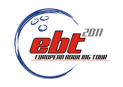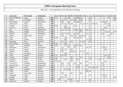| P                       | Last name         | First name    | Federation  | T   | 01  | 02 | 03 | 04  | 05              | 06     | 07     | 08         | 09  | 10 <sub>1</sub> | 11  | 12  | 13  | 14 | 15 16 17 |    |     | 18  | 19 | 20  |
|-------------------------|-------------------|---------------|-------------|-----|-----|----|----|-----|-----------------|--------|--------|------------|-----|-----------------|-----|-----|-----|----|----------|----|-----|-----|----|-----|
| $\mathbf{1}$            | Persson-Planefors | Joline        | Sweden      | 861 | 66  |    |    | 20  | 100             |        |        | 70 105 120 |     |                 |     | 120 |     |    |          |    |     | 60  |    | 200 |
| $\overline{2}$          | Jensen            | Mai Ginge     | Denmark     | 805 |     |    | 42 | 175 |                 |        | 70 100 |            | 105 |                 |     | 63  |     |    |          |    |     |     |    | 250 |
| 3                       | Breeschoten       | Lisanne       | Netherlands | 556 |     |    | 48 |     | 60              |        |        | 44 150     | 72  |                 |     | 12  |     |    |          | 50 | 120 |     |    |     |
| 4                       | Thorstensen       | Heidi         | Norway      | 492 |     |    | 30 | 15  | 30 <sup>1</sup> | 24     |        |            | 36  | 25              | 42  | 24  | 100 | 30 |          |    | 90  | 46  |    |     |
| 5                       | Pöllänen          | Krista        | Finland     | 468 | 150 |    |    | 125 |                 |        | 80     |            |     |                 |     | 33  |     |    |          |    |     | 80  |    |     |
| 6                       | Guerrero          | Clara         | Colombia    | 461 |     |    |    | 250 | 28              |        |        |            |     |                 |     | 33  |     |    |          |    | 150 |     |    |     |
| $\overline{\mathbf{z}}$ | Kok               | Wendy         | Netherlands | 444 |     |    | 26 | 75  | 70              |        | 50     | 63         | 39  |                 | 66  | 42  |     |    |          | 13 |     |     |    |     |
| 8                       | Wedel             | Sascha        | Denmark     | 393 |     |    |    |     |                 |        |        |            | 90  |                 |     | 3   |     |    |          |    | 75  | 50  |    | 175 |
| 9                       | Sanders           | Nicole        | Netherlands | 388 |     |    | 44 | 75  | 28              |        | 30     | 39         |     |                 | 63  | 39  |     |    |          | 20 |     |     | 50 |     |
| 10                      | Agerbo            | Rikke Holm    | Denmark     | 369 |     |    | 46 |     |                 | 26     | 28     |            | 150 | 50              |     | 45  |     |    |          |    |     | 24  |    |     |
| 11                      | Flack             | Nina          | Sweden      | 368 | 105 |    |    | 100 |                 |        | 40     | 60         | 45  |                 |     | 18  |     |    |          |    |     |     |    |     |
| 12                      | Aziela            | Zandra        | Malaysia    | 327 |     |    |    | 105 |                 |        |        |            |     |                 | 72  | 150 |     |    |          |    |     |     |    |     |
| 13                      | <b>Bröndsted</b>  | <b>Britt</b>  | Denmark     | 324 |     |    | 24 | 40  |                 | 50     |        |            | 75  | 30              |     | 105 |     |    |          |    |     |     |    |     |
| 14                      | Dorin-Ballard     | Carolyn       | <b>USA</b>  | 320 | 120 |    |    | 200 |                 |        |        |            |     |                 |     |     |     |    |          |    |     |     |    |     |
| 15                      | Larsen            | Rebecka       | Sweden      | 301 | 69  |    |    | 20  | 26              |        | 48     | 69         | 63  |                 |     | 6   |     |    |          |    |     |     |    |     |
| 16                      | Wiekeraad         | <b>Bianca</b> | Netherlands | 293 |     |    | 12 |     | 50              |        | 42     |            |     |                 | 39  | 66  |     |    |          | 15 | 69  |     |    |     |
| 17                      | Geissler          | Nadine        | Germany     | 283 |     |    | 60 | 70  |                 | 48     |        |            |     |                 |     |     |     |    |          |    | 105 |     |    |     |
| 18                      | Kjeldsen          | Kamilla       | Denmark     | 270 |     |    | 28 |     |                 | 100 60 |        |            | 42  | 40              |     |     |     |    |          |    |     |     |    |     |
| 19                      | Sijore            | Jacqueline    | Malaysia    | 264 |     |    |    | 150 |                 |        |        |            |     |                 | 105 | 9   |     |    |          |    |     |     |    |     |
| 20                      | Luoto             | Patricia      | Germany     | 264 | 45  |    | 50 | 60  |                 |        |        |            |     |                 |     |     |     |    |          |    | 39  | 70  |    |     |
| 21                      | Lundén            | Roosa         | Finland     | 251 | 24  |    |    |     |                 | 28     |        |            | 24  |                 |     | 75  |     |    |          |    |     | 100 |    |     |
| 22                      | Kovalova          | Daria         | Ukraine     | 234 | 39  |    |    | 40  |                 | 46     |        | 45         |     |                 |     | 24  |     |    | 40       |    |     |     |    |     |
| 23                      | Beuhtner          | Laura         | Germany     | 224 | 42  | 40 |    |     |                 | 40     |        |            |     |                 | 60  |     |     |    |          |    | 42  |     |    |     |
| 24                      | van der Tol       | Ghislaine     | Netherlands | 223 |     |    | 80 |     | 40              |        | 26     |            | 36  |                 |     | 6   |     |    |          | 35 |     |     |    |     |
| 25                      | Haandrikman       | Carmen        | Netherlands | 206 |     |    | 22 |     | 16              |        |        | 75         |     |                 | 69  |     |     |    |          | 24 |     |     |    |     |
| 26                      | Wegner            | Jenny         | Sweden      | 204 |     |    |    |     |                 |        |        | 66         |     |                 |     | 18  | 80  | 40 |          |    |     |     |    |     |
| 27                      | Sacco             | Isabelle      | France      | 203 |     |    |    | 65  | 80              |        |        |            |     |                 | 45  |     |     |    |          | 13 |     |     |    |     |
| 28                      | Cheah             | Esther        | Malaysia    | 195 |     |    |    |     |                 |        |        |            |     |                 | 150 | 45  |     |    |          |    |     |     |    |     |
| 29                      | Jensen            | Anja Ginge    | Denmark     | 190 |     |    | 70 |     |                 | 60     |        |            | 60  |                 |     |     |     |    |          |    |     |     |    |     |
| 30                      | Staudinger        | Cassie        | Australia   | 189 |     |    |    | 65  |                 |        |        |            |     |                 |     | 36  |     |    |          | 25 | 63  |     |    |     |
| 31                      | Guldbäk           | Heidi         | Denmark     | 185 |     |    | 8  | 15  |                 |        |        |            |     |                 |     |     |     |    |          |    | 12  |     |    | 150 |
| 32                      | Ribguth           | Janin         | Germany     | 182 |     | 30 |    |     | 30 <sup>1</sup> | 80     |        |            |     |                 |     | 42  |     |    |          |    |     |     |    |     |
| 33                      | Andersson         | Sandra        | Sweden      | 181 |     |    |    | 55  |                 | 24     |        | 33         |     |                 |     | 69  |     |    |          |    |     |     |    |     |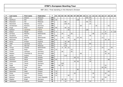| P  | Last name   | First name    | Federation     | T.  | 01 | 02 |     |        |    |    | 03 04 05 06 07 |     | 08 09 | 10 | $11$ | $12$ |    |    | 13   14   15   16   17 |    |    | 18 <sup>1</sup> | 19 | 20  |
|----|-------------|---------------|----------------|-----|----|----|-----|--------|----|----|----------------|-----|-------|----|------|------|----|----|------------------------|----|----|-----------------|----|-----|
| 34 | Koh         | Sharon        | Malaysia       | 180 |    |    |     |        |    |    |                |     |       |    | 90   | 90   |    |    |                        |    |    |                 |    |     |
| 35 | Adolfsson   | Elin          | Sweden         | 180 | 36 |    |     |        |    |    |                | 120 |       |    |      | 24   |    |    |                        |    |    |                 |    |     |
| 36 | Shazwani    | Siti          | Malaysia       | 177 |    |    |     | 60     |    |    |                |     |       |    | 45   | 72   |    |    |                        |    |    |                 |    |     |
| 37 | Planchard   | Marilyn       | France         | 168 |    |    |     | 120 24 |    |    |                |     |       |    |      | 24   |    |    |                        |    |    |                 |    |     |
| 38 | Christensen | Randi B.      | Denmark        | 146 |    |    |     |        |    |    |                |     | 69    |    |      |      |    | 35 |                        |    |    | 42              |    |     |
| 39 | Ainge       | Nicki         | England        | 146 | 90 |    |     | 40     | 16 |    |                |     |       |    |      |      |    |    |                        |    |    |                 |    |     |
| 40 | Gaillard    | Laurence      | France         | 146 |    |    |     |        | 26 |    |                |     |       |    | 120  |      |    |    |                        |    |    |                 |    |     |
| 41 | Keituri     | Margit        | Finland        | 143 | 3  |    |     |        |    |    |                |     |       |    |      |      |    |    |                        |    | 9  |                 | 6  | 125 |
| 42 | de Rooij    | Maxime        | Netherlands    | 141 |    |    | 24  |        |    | 30 |                |     |       |    |      |      | 48 |    |                        | 21 | 18 |                 |    |     |
| 43 | Zavjalova   | Diana         | Latvia         | 140 | 60 |    |     |        | 44 |    |                |     |       |    |      | 36   |    |    |                        |    |    |                 |    |     |
| 44 | Maaswinkel  | Priscilla     | Netherlands    | 139 |    |    | 16  |        | 42 |    |                | 24  | 45    |    |      |      |    |    |                        | 12 |    |                 |    |     |
| 45 | Manninen    | Nina          | Finland        | 126 | 42 |    |     |        |    |    | 26             |     |       |    |      | 12   |    |    |                        |    | 18 | 28              |    |     |
| 46 | Penny       | Kirsten       | England        | 118 |    |    |     | 70     | 48 |    |                |     |       |    |      |      |    |    |                        |    |    |                 |    |     |
| 47 | Célié       | Lauriane      | France         | 115 |    |    |     | 55     |    |    |                |     |       |    |      | 60   |    |    |                        |    |    |                 |    |     |
| 48 | Yen         | Hee Kar       | Malaysia       | 115 |    |    |     | 115    |    |    |                |     |       |    |      |      |    |    |                        |    |    |                 |    |     |
| 49 | Tomas       | Cheska        | Netherlands    | 115 |    |    | 8   | 30     | 22 |    |                |     |       |    |      | 6    |    |    |                        | 14 |    |                 | 35 |     |
| 50 | Lundén      | Reija         | Finland        | 111 | 33 |    |     |        |    | 16 |                |     |       |    |      | 18   |    |    |                        |    |    | 44              |    |     |
| 51 | Timter      | Vanessa       | Germany        | 111 |    |    | 40  |        |    | 26 |                |     |       |    |      |      |    |    |                        |    | 45 |                 |    |     |
| 52 | Madsen      | Charlotte B.  | Denmark        | 110 |    |    |     |        |    |    |                |     | 66    |    |      |      |    |    |                        |    | 18 | 26              |    |     |
| 53 | Herbin      | Sophie        | France         | 110 |    |    |     | 110    |    |    |                |     |       |    |      |      |    |    |                        |    |    |                 |    |     |
| 54 | Johnsson    | Helén         | Sweden         | 109 |    |    |     |        |    |    | 28             | 72  |       |    |      | 9    |    |    |                        |    |    |                 |    |     |
| 55 | Pöntinen    | Marjo         | Finland        | 105 | 45 |    |     |        |    |    |                |     |       |    |      | 12   |    |    |                        |    |    | 48              |    |     |
| 56 | Johansson   | Jenny         | Sweden         | 105 |    |    |     |        |    |    | 30             | 36  |       |    |      | 39   |    |    |                        |    |    |                 |    |     |
| 57 | Cuva        | Tanya         | Germany        | 100 |    |    | 100 |        |    |    |                |     |       |    |      |      |    |    |                        |    |    |                 |    |     |
| 58 | Pająk       | Daria         | Poland         | 100 |    | 50 | 26  |        |    |    |                |     |       |    |      |      |    |    |                        |    | 24 |                 |    |     |
| 59 | Stickney    | Tina          | <b>USA</b>     | 100 |    |    |     |        |    |    |                |     |       |    |      |      |    |    |                        | 40 | 60 |                 |    |     |
| 60 | Andersson   | Ida           | Sweden         | 99  |    |    |     |        |    |    |                | 90  |       |    |      | 9    |    |    |                        |    |    |                 |    |     |
| 61 | Manninen    | Heidi         | Finland        | 97  | 75 |    |     |        |    |    |                |     |       |    |      |      |    |    |                        |    |    | 22              |    |     |
| 62 | Gross       | Ivonne        | Austria        | 96  | 18 |    |     |        |    |    | 24             |     |       |    |      |      | 30 |    |                        |    | 24 |                 |    |     |
| 63 | Nurmilo     | Mari          | Finland        | 96  | 24 |    |     |        | 46 |    |                |     |       |    |      |      |    |    |                        |    |    | 26              |    |     |
| 64 | Bestova     | Katerina      | Czech Republic | 94  |    |    |     |        |    |    |                |     |       |    |      |      | 70 |    |                        |    | 24 |                 |    |     |
| 65 | Pöppler     | <b>Birgit</b> | Germany        | 92  |    |    | 16  | 30     |    | 16 |                |     |       |    |      |      |    |    |                        | 30 |    |                 |    |     |
| 66 | Johansson   | Victoria      | Sweden         | 79  |    |    |     | 10     |    |    |                | 45  |       |    |      | 24   |    |    |                        |    |    |                 |    |     |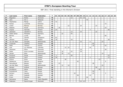| P  | Last name     | First name    | Federation      | T. | 01 | 02 | 03 04 05 |                 |    |    | 06 07 08 |    | 09 | 10 | $11$ |    |    |    | 12   13   14   15   16   17 |    |    |    | $18$   19 | 20 |
|----|---------------|---------------|-----------------|----|----|----|----------|-----------------|----|----|----------|----|----|----|------|----|----|----|-----------------------------|----|----|----|-----------|----|
| 67 | Bögeskov      | Nickie        | Denmark         | 78 |    |    |          |                 |    | 12 |          |    | 42 | 24 |      |    |    |    |                             |    |    |    |           |    |
| 68 | Jane          | Sin Li        | Malaysia        | 75 |    |    |          |                 |    |    |          |    |    |    | 75   |    |    |    |                             |    |    |    |           |    |
| 69 | Tkachenko     | Marija        | Latvia          | 72 | 72 |    |          |                 |    |    |          |    |    |    |      |    |    |    |                             |    |    |    |           |    |
| 70 | Farkas        | Luminita      | Romania         | 72 |    |    |          |                 |    |    |          |    |    |    |      |    |    |    |                             |    | 72 |    |           |    |
| 71 | Lislien       | Monica        | Norway          | 69 |    |    |          |                 | 22 |    |          |    | 24 |    |      |    |    | 23 |                             |    |    |    |           |    |
| 72 | Heberle       | Nicole        | Germany         | 68 |    | 35 |          |                 |    |    |          |    |    |    |      |    |    |    |                             |    | 33 |    |           |    |
| 73 | Impola        | Hannele       | Finland         | 67 | 24 |    |          |                 |    |    |          |    |    |    |      | 3  |    |    |                             |    |    | 40 |           |    |
| 74 | Johansen      | Jeanett H.    | Norway          | 67 |    |    |          |                 |    | 12 |          |    | 33 |    |      |    |    | 22 |                             |    |    |    |           |    |
| 75 | Göbel-Janka   | Michaela      | Germany         | 66 |    |    | 22       |                 |    | 44 |          |    |    |    |      |    |    |    |                             |    |    |    |           |    |
| 76 | <b>Barnes</b> | Lynda         | <b>USA</b>      | 66 |    |    |          |                 |    |    |          |    |    |    |      |    |    |    |                             |    | 66 |    |           |    |
| 77 | Tan           | Jazreel       | Singapore       | 63 | 63 |    |          |                 |    |    |          |    |    |    |      |    |    |    |                             |    |    |    |           |    |
| 78 | Jokinen       | Jonna         | Finland         | 62 | 18 |    |          |                 |    | 16 |          |    |    |    |      |    |    |    |                             |    |    | 28 |           |    |
| 79 | van der Meer  | Danielle      | Netherlands     | 62 |    |    |          |                 |    |    |          |    | 33 |    |      | 6  |    |    |                             | 23 |    |    |           |    |
| 80 | Linderoth     | Josefine      | Sweden          | 60 |    |    |          |                 |    |    |          |    |    |    |      |    | 60 |    |                             |    |    |    |           |    |
| 81 | Adler         | Tamara        | Austria         | 58 |    |    |          |                 |    |    |          |    |    |    |      |    | 16 |    |                             |    | 42 |    |           |    |
| 82 | Leal          | Luz Adriana   | Colimbia        | 57 |    |    |          | 15 <sup>1</sup> | 24 |    |          |    |    |    |      | 18 |    |    |                             |    |    |    |           |    |
| 83 | Johansen      | Stine         | Denmark         | 57 |    |    |          |                 |    |    |          |    | 18 |    |      |    |    |    |                             |    | 39 |    |           |    |
| 84 | Gales         | Anne Lorraine | Denmark         | 56 |    |    | 16       |                 |    | 22 |          |    | 18 |    |      |    |    |    |                             |    |    |    |           |    |
| 85 | Jansen        | Ellen         | Netherlands     | 56 |    |    | 30       |                 | 12 |    |          |    |    |    |      |    |    |    |                             | 14 |    |    |           |    |
| 86 | Forslund      | Sonja         | Finland         | 55 | 3  |    |          |                 |    | 30 |          |    |    |    |      |    |    |    |                             |    |    | 22 |           |    |
| 87 | Keränen       | Jenni         | Finland         | 54 | 39 |    |          |                 |    |    |          |    |    |    |      | 3  |    |    |                             |    |    | 12 |           |    |
| 88 | Orlova        | Anna          | Russia          | 53 |    |    |          | 30              |    |    |          |    |    |    |      |    |    |    | 23                          |    |    |    |           |    |
| 89 | Stefanova     | Marina        | <b>Bulgaria</b> | 51 |    |    |          |                 |    |    |          | 42 |    |    |      |    |    |    |                             |    | 9  |    |           |    |
| 90 | Hanusíková    | Blanka        | Czech           | 51 |    | 23 |          |                 |    |    |          |    |    |    |      |    | 28 |    |                             |    |    |    |           |    |
| 91 | van der Meer  | Sophie        | Netherlands     | 50 |    |    | 12       |                 | 16 |    |          |    |    |    |      |    |    |    |                             | 22 |    |    |           |    |
| 92 | Hansen        | Andrea        | Norway          | 50 |    |    |          |                 |    |    |          |    |    |    |      |    |    | 50 |                             |    |    |    |           |    |
| 93 | Korobkova     | Alena         | Russia          | 50 |    |    |          |                 |    |    |          |    |    |    |      |    |    |    | 50                          |    |    |    |           |    |
| 94 | Kuznetcova    | Yana          | Russia          | 50 |    |    |          |                 |    |    |          |    |    |    |      |    | 50 |    |                             |    |    |    |           |    |
| 95 | Korherr       | Sandra        | Austria         | 49 |    |    |          |                 |    |    | 22       |    |    |    |      |    | 24 |    |                             |    | 3  |    |           |    |
| 96 | Hultin        | Isabelle      | Sweden          | 48 |    |    |          |                 |    |    |          | 36 |    |    |      | 12 |    |    |                             |    |    |    |           |    |
| 97 | Frioni        | Pamela        | Italy           | 47 |    |    |          |                 |    |    |          |    |    |    | 36   |    |    |    |                             |    |    |    | 11        |    |
| 98 | Hanusova      | Dana          | Czech Republic  | 46 |    |    |          |                 |    |    |          |    |    |    |      |    | 46 |    |                             |    |    |    |           |    |
| 99 | Pedersen      | Randi Kryger  | Denmark         | 46 |    |    |          |                 |    |    |          |    | 24 | 22 |      |    |    |    |                             |    |    |    |           |    |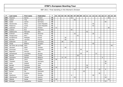| P   | Last name           | First name | Federation     | T. | 01 | 02 |    |    |    | 03   04   05   06   07   08   09   10 |    |    |    | 11 | 12 |    |    | 13 14 15 16 17 |   |    | 18 | $19$ 20 |  |
|-----|---------------------|------------|----------------|----|----|----|----|----|----|---------------------------------------|----|----|----|----|----|----|----|----------------|---|----|----|---------|--|
| 100 | Pasanen             | Sanna      | Finland        | 46 |    |    |    |    | 16 |                                       |    |    |    |    |    |    |    |                |   |    | 30 |         |  |
| 101 | Hulsch              | Tina       | Germany        | 46 |    |    |    |    |    | 46                                    |    |    |    |    |    |    |    |                |   |    |    |         |  |
| 102 | Gabel               | Janine     | Germany        | 45 |    |    |    |    |    |                                       |    |    |    |    |    |    |    |                |   | 45 |    |         |  |
| 103 | Hanzlovska          | Petra      | Czech Republic | 44 |    |    |    |    |    |                                       |    |    |    |    |    | 44 |    |                |   |    |    |         |  |
| 104 | Padarova            | Ivana      | Czech Republic | 42 |    |    |    |    |    |                                       |    |    |    |    |    | 42 |    |                |   |    |    |         |  |
| 105 | Leskinen            | Suvi       | Finland        | 42 | 12 |    |    |    |    |                                       |    |    |    |    |    |    |    |                |   |    | 30 |         |  |
| 106 | Lindner             | Eva        | Germany        | 42 |    |    |    |    | 42 |                                       |    |    |    |    |    |    |    |                |   |    |    |         |  |
| 107 | Dallelucche         | Manuela    | Italy          | 42 |    |    |    |    |    |                                       |    |    |    | 42 |    |    |    |                |   |    |    |         |  |
| 108 | Križman             | Mihela     | Slovenia       | 42 |    |    |    |    |    | 16                                    |    |    |    |    |    | 26 |    |                |   |    |    |         |  |
| 109 | Özogluuntur         | Ebru       | Turkey         | 42 |    |    |    |    |    |                                       | 42 |    |    |    |    |    |    |                |   |    |    |         |  |
| 110 | Korablinova         | Nadejda    | Russia         | 41 |    |    |    | 30 |    |                                       |    |    |    |    |    |    |    | 11             |   |    |    |         |  |
| 111 | <b>Bouillier</b>    | Laurene    | France         | 40 |    |    |    | 40 |    |                                       |    |    |    |    |    |    |    |                |   |    |    |         |  |
| 112 | Kabowski            | Lisa       | Germany        | 40 |    |    | 28 |    | 12 |                                       |    |    |    |    |    |    |    |                |   |    |    |         |  |
| 113 | Pesek               | Beatrix    | Hungary        | 40 |    |    |    |    |    |                                       |    |    |    |    |    | 40 |    |                |   |    |    |         |  |
| 114 | Del Olmo de La Fuer | Sara       | Italy          | 40 |    |    |    |    |    |                                       |    |    |    |    |    |    |    |                |   |    |    | 40      |  |
| 115 | Glendert            | Malin      | Sweden         | 40 |    |    |    | 40 |    |                                       |    |    |    |    |    |    |    |                |   |    |    |         |  |
| 116 | Simonsen            | Trine      | Denmark        | 39 |    |    |    |    |    |                                       |    | 39 |    |    |    |    |    |                |   |    |    |         |  |
| 117 | Bagnolini           | Monica     | Italy          | 39 |    |    |    |    |    |                                       |    |    |    | 39 |    |    |    |                |   |    |    |         |  |
| 118 | Almestrand          | Line Berg  | Norway         | 39 |    |    |    |    |    |                                       |    | 18 |    |    |    |    | 21 |                |   |    |    |         |  |
| 119 | Aksular             | Gulhan     | Turkey         | 39 |    |    |    |    |    |                                       | 39 |    |    |    |    |    |    |                |   |    |    |         |  |
| 120 | Goossens            | Katrien    | Belgium        | 38 |    |    | 12 | 20 |    |                                       |    |    |    |    |    |    |    |                | 6 |    |    |         |  |
| 121 | Mäkelä              | Jenni      | Finland        | 36 | 36 |    |    |    |    |                                       |    |    |    |    |    |    |    |                |   |    |    |         |  |
| 122 | Theissen            | Tanja      | Germany        | 36 |    |    |    |    |    |                                       |    |    |    |    |    |    |    |                |   | 36 |    |         |  |
| 123 | Antin               | Shahaf     | Israel         | 36 |    |    |    |    |    |                                       |    |    |    |    |    |    |    |                |   | 36 |    |         |  |
| 124 | Baraldi             | Fabiana    | Italy          | 36 |    |    |    |    |    |                                       |    |    |    | 36 |    |    |    |                |   |    |    |         |  |
| 125 | Regoli              | Annalisa   | Italy          | 36 | 18 |    |    |    |    |                                       |    |    |    | 18 |    |    |    |                |   |    |    |         |  |
| 126 | Milkovich           | Elena      | Russia         | 36 |    |    |    |    |    | 12                                    |    |    |    |    |    |    |    | 15             |   | 9  |    |         |  |
| 127 | <b>Burkal</b>       | Pia        | Denmark        | 35 |    |    |    |    |    |                                       |    |    | 35 |    |    |    |    |                |   |    |    |         |  |
| 128 | Kryl                | Kristina   | Russia         | 35 |    |    |    |    |    |                                       |    |    |    |    |    |    |    | 35             |   |    |    |         |  |
| 129 | Stankova            | Petra      | Slovakia       | 35 |    |    |    |    | 6  |                                       |    |    |    |    |    | 26 |    |                |   | 3  |    |         |  |
| 130 | Oberkersch          | Teresa     | Austria        | 34 |    |    |    |    |    | 16                                    |    |    |    |    |    |    |    |                |   | 18 |    |         |  |
| 131 | Mäkelä              | Sonja      | Finland        | 34 | 18 |    |    |    |    |                                       |    |    |    |    |    |    |    |                |   |    | 16 |         |  |
| 132 | Broinger            | Jacqueline | Austria        | 33 |    |    |    |    |    |                                       |    |    |    |    |    |    |    |                |   | 33 |    |         |  |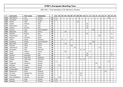| P   | Last name       | First name  | Federation      | T. | 01  | 02 |   |    | 03   04   05   06   07   08   09 |    |    |    |    | 10 | 11 | 12 |    |    | 13 14 15 16 17 |    | 18 | $19$ 20        |  |
|-----|-----------------|-------------|-----------------|----|-----|----|---|----|----------------------------------|----|----|----|----|----|----|----|----|----|----------------|----|----|----------------|--|
| 133 | Kämäräinen      | Iina        | Finland         | 33 | $9$ |    |   |    |                                  |    |    |    |    |    |    |    |    |    |                |    | 24 |                |  |
| 134 | Tuomisalo       | Laura       | Finland         | 33 | 33  |    |   |    |                                  |    |    |    |    |    |    |    |    |    |                |    |    |                |  |
| 135 | Mizrahi         | Sarit       | Israel          | 33 |     |    |   |    |                                  |    |    | 33 |    |    |    |    |    |    |                |    |    |                |  |
| 136 | Cataoli         | Simona      | Italy           | 33 |     |    |   |    |                                  |    |    |    |    |    | 33 |    |    |    |                |    |    |                |  |
| 137 | Santamaria      | Lara        | Italy           | 33 |     |    |   |    |                                  |    |    |    |    |    | 33 |    |    |    |                |    |    |                |  |
| 138 | Ciattoni        | Simona      | Italy           | 31 |     |    |   |    |                                  |    |    |    |    |    | 18 |    |    |    |                |    |    | 13             |  |
| 139 | Lebrova         | Jana        | Czech Republic  | 30 |     |    |   |    |                                  |    |    |    |    |    |    |    | 30 |    |                |    |    |                |  |
| 140 | Bretteville     | Elise       | France          | 30 |     |    |   | 30 |                                  |    |    |    |    |    |    |    |    |    |                |    |    |                |  |
| 141 | Mattalini       | Monica      | Italy           | 30 |     |    |   |    |                                  |    |    |    |    |    | 24 |    |    |    |                |    |    | 6              |  |
| 142 | Polyanskaya     | Julia       | Russia          | 30 |     |    |   |    |                                  |    |    |    |    |    |    |    |    |    | 30             |    |    |                |  |
| 143 | Balzano         | Annalisa    | Spain           | 30 |     |    |   |    |                                  |    |    |    |    |    |    |    |    |    |                |    |    | 30             |  |
| 144 | Uhlich          | Sonja       | Germany         | 29 |     |    | 8 | 5  |                                  | 16 |    |    |    |    |    |    |    |    |                |    |    |                |  |
| 145 | Navakova        | Miluse      | Czech Republic  | 28 |     |    |   |    |                                  |    |    |    |    |    |    |    | 28 |    |                |    |    |                |  |
| 146 | Saint Marc      | Aude        | France          | 28 |     |    |   | 10 |                                  |    |    |    |    |    |    | 18 |    |    |                |    |    |                |  |
| 147 | Kindzule        | Adina       | Latvia          | 28 |     |    |   |    |                                  | 28 |    |    |    |    |    |    |    |    |                |    |    |                |  |
| 148 | Tabachkova      | Olga        | Russia          | 28 |     |    |   |    |                                  |    | 16 |    |    |    |    |    |    |    | 12             |    |    |                |  |
| 149 | Skovgaard       | Else        | Denmark         | 26 |     |    |   |    |                                  |    |    |    | 12 | 14 |    |    |    |    |                |    |    |                |  |
| 150 | Murat           | Valérie     | France          | 26 |     |    |   | 20 |                                  |    |    |    |    |    |    | 6  |    |    |                |    |    |                |  |
| 151 | Cafaro          | Luciana     | Italy           | 26 |     |    |   |    |                                  |    |    |    |    |    | 18 |    |    |    |                |    |    | 8              |  |
| 152 | Taschini        | Antonella   | Italy           | 26 |     |    |   |    |                                  |    |    |    |    |    | 24 |    |    |    |                |    |    | $\overline{2}$ |  |
| 153 | Puigros         | Rosa Mas    | Catalonia       | 25 |     |    |   |    | 16                               |    |    |    |    |    |    | 9  |    |    |                |    |    |                |  |
| 154 | Dressel         | Katia Iben  | Denmark         | 25 |     |    |   |    |                                  |    |    |    | 12 | 13 |    |    |    |    |                |    |    |                |  |
| 155 | Ratia           | Riikka      | Finland         | 25 | 9   |    |   |    |                                  |    |    |    |    |    |    |    |    |    |                |    | 16 |                |  |
| 156 | Torgersen       | Patcharin   | Norway          | 25 |     |    |   |    |                                  |    |    |    |    |    |    |    |    | 25 |                |    |    |                |  |
| 157 | Merklejn        | Joasia      | Poland          | 25 |     | 25 |   |    |                                  |    |    |    |    |    |    |    |    |    |                |    |    |                |  |
| 158 | Smirnova        | Evgenia     | Russia          | 25 |     |    |   |    |                                  |    |    |    |    |    |    |    |    |    | 25             |    |    |                |  |
| 159 | Di Benedetto    | Helga       | Spain           | 25 |     |    |   |    |                                  |    |    |    |    |    |    |    |    |    |                |    |    | 25             |  |
| 160 | Bogdanova       | Elena       | <b>Bulgaria</b> | 24 |     |    |   |    |                                  |    |    |    |    |    |    |    |    |    |                | 24 |    |                |  |
| 161 | De Lisser       | Natalia Ann | Denmark         | 24 |     |    |   |    |                                  | 6  |    |    | 18 |    |    |    |    |    |                |    |    |                |  |
| 162 | Kristensen      | Pernille    | Denmark         | 24 |     |    |   |    |                                  |    |    |    | 24 |    |    |    |    |    |                |    |    |                |  |
| 163 | Cheri Guldbrand | Camilla     | Denmark         | 24 |     | 24 |   |    |                                  |    |    |    |    |    |    |    |    |    |                |    |    |                |  |
| 164 | Hilpinen        | Anja        | Finland         | 24 | 24  |    |   |    |                                  |    |    |    |    |    |    |    |    |    |                |    |    |                |  |
| 165 | Mäkipää         | Helvi       | Finland         | 24 | 24  |    |   |    |                                  |    |    |    |    |    |    |    |    |    |                |    |    |                |  |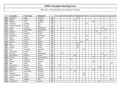| P   | Last name        | First name | Federation     | T. | 01 | 02 |    |  |    | 03   04   05   06   07   08   09 |    |    | 10 <sup>1</sup> | 11 | 12 |    |    | 13   14   15   16   17 |    |    | 18 <sup>1</sup> | $19$ 20 |  |
|-----|------------------|------------|----------------|----|----|----|----|--|----|----------------------------------|----|----|-----------------|----|----|----|----|------------------------|----|----|-----------------|---------|--|
| 166 | Michajlow        | Adile      | Germany        | 24 |    |    |    |  |    |                                  | 24 |    |                 |    |    |    |    |                        |    |    |                 |         |  |
| 167 | Beatrix          | Pesek      | Hungary        | 24 |    |    |    |  |    | 24                               |    |    |                 |    |    |    |    |                        |    |    |                 |         |  |
| 168 | Hegedus          | Eva        | Hungary        | 24 |    |    |    |  |    |                                  |    |    |                 |    |    | 24 |    |                        |    |    |                 |         |  |
| 169 | Frassineti       | Daniela    | Italy          | 24 |    |    |    |  |    |                                  |    |    |                 | 24 |    |    |    |                        |    |    |                 |         |  |
| 170 | Jimenez Gonzalez | Monica     | Italy          | 24 |    |    |    |  |    |                                  |    |    |                 |    |    |    |    |                        |    |    |                 | 24      |  |
| 171 | Jacobs           | Chantal    | Netherlands    | 24 |    |    | 12 |  |    |                                  |    |    |                 |    |    |    |    |                        | 12 |    |                 |         |  |
| 172 | Schijf           | Bernadette | Netherlands    | 24 |    |    |    |  |    |                                  |    |    |                 |    |    |    |    |                        |    | 24 |                 |         |  |
| 173 | Fosseide         | Tove       | Norway         | 24 |    |    |    |  |    |                                  |    |    |                 |    |    |    | 24 |                        |    |    |                 |         |  |
| 174 | Efimova          | Zaryana    | Russia         | 24 |    |    |    |  |    |                                  |    |    |                 |    |    |    |    | 24                     |    |    |                 |         |  |
| 175 | Barthelemy       | Aline      | San Marino     | 24 |    |    |    |  |    |                                  |    |    |                 | 24 |    |    |    |                        |    |    |                 |         |  |
| 176 | Klima            | Bettina    | Slovenia       | 24 |    |    |    |  |    | 12                               |    |    |                 |    |    |    |    |                        |    | 12 |                 |         |  |
| 177 | Segura           | Asuncion   | Spain          | 24 |    |    |    |  |    |                                  |    |    |                 | 24 |    |    |    |                        |    |    |                 |         |  |
| 178 | Karlsson         | Frida      | Sweden         | 24 |    |    |    |  |    |                                  |    | 24 |                 |    |    |    |    |                        |    |    |                 |         |  |
| 179 | Erol             | Hicran     | Turkey         | 24 |    |    |    |  |    |                                  | 24 |    |                 |    |    |    |    |                        |    |    |                 |         |  |
| 180 | Gürkan           | Duygu      | Turkey         | 24 |    |    |    |  |    |                                  | 24 |    |                 |    |    |    |    |                        |    |    |                 |         |  |
| 181 | Senturk          | Tulin      | Turkey         | 24 |    |    |    |  |    |                                  | 24 |    |                 |    |    |    |    |                        |    |    |                 |         |  |
| 182 | Leen             | Charlotte  | Denmark        | 23 |    |    |    |  |    |                                  |    |    | 23              |    |    |    |    |                        |    |    |                 |         |  |
| 183 | Carannante       | Tiziana    | Malta          | 23 |    |    |    |  |    |                                  |    |    |                 |    |    |    |    |                        |    |    |                 | 23      |  |
| 184 | Plummen          | Kelly      | Netherlands    | 23 |    |    | 12 |  |    |                                  |    |    |                 |    |    |    |    |                        | 11 |    |                 |         |  |
| 185 | Speckbacher      | Ricarda    | Austria        | 22 |    |    |    |  |    | 16                               |    |    |                 |    |    |    |    |                        |    | 6  |                 |         |  |
| 186 | Frysova          | Vera       | Czech Republic | 22 |    |    |    |  |    |                                  |    |    |                 |    |    | 22 |    |                        |    |    |                 |         |  |
| 187 | Laub             | Sabrina    | Germany        | 22 |    |    |    |  | 22 |                                  |    |    |                 |    |    |    |    |                        |    |    |                 |         |  |
| 188 | Bodolai          | Dorottya   | Hungary        | 22 |    |    |    |  |    |                                  |    |    |                 |    |    | 22 |    |                        |    |    |                 |         |  |
| 189 | Sala             | Alba       | Italy          | 22 |    |    |    |  |    |                                  |    |    |                 |    |    |    |    |                        |    |    |                 | 22      |  |
| 190 | Grzybowska       | Felinda    | Poland         | 22 |    | 22 |    |  |    |                                  |    |    |                 |    |    |    |    |                        |    |    |                 |         |  |
| 191 | Bulanova         | Maria      | Russia         | 22 |    |    |    |  |    |                                  |    |    |                 |    |    |    |    | 22                     |    |    |                 |         |  |
| 192 | Pospisilova      | Veronika   | Slovakia       | 22 |    |    |    |  | 6  |                                  |    |    |                 |    |    | 16 |    |                        |    |    |                 |         |  |
| 193 | Musar            | Anja Kalan | Slovenia       | 22 |    |    |    |  |    | 22                               |    |    |                 |    |    |    |    |                        |    |    |                 |         |  |
| 194 | Jeppesen         | Lotte      | Denmark        | 21 |    |    |    |  |    |                                  |    |    | 21              |    |    |    |    |                        |    |    |                 |         |  |
| 195 | Schmidt Eriksen  | Cecilie    | Denmark        | 21 |    |    |    |  |    |                                  |    |    | 13              |    |    |    |    |                        | 8  |    |                 |         |  |
| 196 | Hansen           | Tanja      | Denmark        | 21 |    | 21 |    |  |    |                                  |    |    |                 |    |    |    |    |                        |    |    |                 |         |  |
| 197 | Ferina           | Roberta    | Italy          | 21 |    |    |    |  |    |                                  |    |    |                 |    |    |    |    |                        |    |    |                 | 21      |  |
| 198 | Gorbacheva       | Julia      | Russia         | 21 |    |    |    |  |    |                                  |    |    |                 |    |    |    |    | 21                     |    |    |                 |         |  |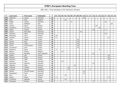| $\mathsf{P}$ | Last name  | First name       | Federation     | T  | 01 | 02 |    |    |    |   | 03   04   05   06   07   08   09 |    |    | 10 | 11 | $12$ |    | 13 14 |    | 15 16 17 |              | 18 <sup>1</sup> | $19$ 20 |  |
|--------------|------------|------------------|----------------|----|----|----|----|----|----|---|----------------------------------|----|----|----|----|------|----|-------|----|----------|--------------|-----------------|---------|--|
| 199          | Andersen   | Louise           | Denmark        | 20 |    |    |    |    |    |   |                                  |    |    | 20 |    |      |    |       |    |          |              |                 |         |  |
| 200          | Giles      | Zara             | England        | 20 |    |    |    | 20 |    |   |                                  |    |    |    |    |      |    |       |    |          |              |                 |         |  |
| 201          | Rieger     | Juliane          | Germany        | 20 |    |    |    |    |    | 8 |                                  |    |    |    |    |      |    |       |    |          | 12           |                 |         |  |
| 202          | Fusco      | Raffaella        | Italy          | 20 |    |    |    |    |    |   |                                  |    |    |    |    |      |    |       |    |          |              |                 | 20      |  |
| 203          | Hansen     | Randi            | Norway         | 20 |    |    |    |    |    |   |                                  |    |    |    |    |      |    | 20    |    |          |              |                 |         |  |
| 204          | Korobkova  | Varvara          | Russia         | 20 |    |    |    |    |    |   |                                  |    |    |    |    |      |    |       | 20 |          |              |                 |         |  |
| 205          | Weber      | Andrea           | Austria        | 19 |    |    |    |    |    |   |                                  |    |    |    |    |      | 16 |       |    |          | 3            |                 |         |  |
| 206          | Jensen     | Maria Bak        | Denmark        | 18 |    |    |    |    |    |   |                                  |    | 18 |    |    |      |    |       |    |          |              |                 |         |  |
| 207          | Johansen   | Rikke            | Denmark        | 18 |    |    |    |    |    |   |                                  |    |    |    |    |      |    |       |    |          | 18           |                 |         |  |
| 208          | Blomberg   | Jenni            | Finland        | 18 | 18 |    |    |    |    |   |                                  |    |    |    |    |      |    |       |    |          |              |                 |         |  |
| 209          | Rantala    | Henna            | Finland        | 18 | 6  |    |    |    |    |   |                                  |    |    |    |    |      |    |       |    |          |              | 12              |         |  |
| 210          | Cinar      | Gökçe            | Turkey         | 18 |    |    |    |    |    |   |                                  | 18 |    |    |    |      |    |       |    |          |              |                 |         |  |
| 211          | Gümüs      | Ezgi             | Turkey         | 18 |    |    |    |    |    |   |                                  | 18 |    |    |    |      |    |       |    |          |              |                 |         |  |
| 212          | Kanbur     | Hulya            | Turkey         | 18 |    |    |    |    |    |   |                                  | 18 |    |    |    |      |    |       |    |          |              |                 |         |  |
| 213          | Kayim      | Ferah Sohret     | Turkey         | 18 |    |    |    |    |    |   |                                  | 18 |    |    |    |      |    |       |    |          |              |                 |         |  |
| 214          | Kucukbulut | Irem             | Turkey         | 18 |    |    |    |    |    |   |                                  | 18 |    |    |    |      |    |       |    |          |              |                 |         |  |
| 215          | Sazonova   | Elena            | Russia         | 17 | 9  |    |    |    |    |   |                                  |    |    |    |    |      |    |       | 8  |          |              |                 |         |  |
| 216          | Bergen     | Wendy            | Belgium        | 16 |    |    | 16 |    |    |   |                                  |    |    |    |    |      |    |       |    |          |              |                 |         |  |
| 217          | Stysova    | Bohdana          | Czech Republic | 16 |    |    |    |    |    |   |                                  |    |    |    |    |      | 16 |       |    |          |              |                 |         |  |
| 218          | Gylden     | Iida             | Finland        | 16 |    |    |    |    |    |   |                                  |    |    |    |    |      |    |       |    |          |              | 16              |         |  |
| 219          | Hiltunen   | Eliisa           | Finland        | 16 |    |    |    |    |    |   |                                  |    |    |    |    |      |    |       |    |          |              | 16              |         |  |
| 220          | Poikonen   | Heidi            | Finland        | 16 |    |    |    |    |    |   |                                  |    |    |    |    |      |    |       |    |          |              | 16              |         |  |
| 221          | Stolting   | Julia            | Germany        | 16 |    |    | 16 |    |    |   |                                  |    |    |    |    |      |    |       |    |          |              |                 |         |  |
| 222          | Slamkova   | Katarina         | Slovakia       | 16 |    |    |    |    |    |   |                                  |    |    |    |    |      | 16 |       |    |          |              |                 |         |  |
| 223          | Debenec    | Maja             | Slovenia       | 16 |    |    |    |    |    |   | 16                               |    |    |    |    |      |    |       |    |          |              |                 |         |  |
| 224          | Lindqvist  | Camilla          | Sweden         | 16 |    |    |    |    | 16 |   |                                  |    |    |    |    |      |    |       |    |          |              |                 |         |  |
| 225          | Torrents   | Sandra           | Catalonia      | 15 |    |    |    |    | 12 |   |                                  |    |    |    |    | 3    |    |       |    |          |              |                 |         |  |
| 226          | Nielsen    | Pernille Fischer | Denmark        | 15 |    |    |    |    |    |   |                                  |    |    | 15 |    |      |    |       |    |          |              |                 |         |  |
| 227          | Nörregaard | Marie            | Denmark        | 15 |    |    |    |    |    |   |                                  |    |    | 15 |    |      |    |       |    |          |              |                 |         |  |
| 228          | John       | Lisa             | England        | 15 |    |    |    | 15 |    |   |                                  |    |    |    |    |      |    |       |    |          |              |                 |         |  |
| 229          | Alanko     | Noora            | Finland        | 15 | 3  |    |    |    |    |   |                                  |    |    |    |    |      |    |       |    |          |              | 12              |         |  |
| 230          | Di Martino | Nathalie         | France         | 15 |    |    |    | 15 |    |   |                                  |    |    |    |    |      |    |       |    |          |              |                 |         |  |
| 231          | Wustinger  | Monika           | Germany        | 15 |    |    |    |    |    | 4 |                                  |    |    |    |    |      | 8  |       |    |          | $\mathsf{3}$ |                 |         |  |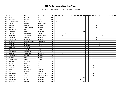| P   | Last name     | First name           | Federation     | T    | 01 | 02 | 03          |   |    | 04   05   06   07   08   09 |    | 10 <sup>1</sup> | 11 |   | $12$ 13 14 |    |    | $15$ 16 17 |    | 18 | 19 | 20 |
|-----|---------------|----------------------|----------------|------|----|----|-------------|---|----|-----------------------------|----|-----------------|----|---|------------|----|----|------------|----|----|----|----|
| 232 | Matrullo      | Maria Rosaria        | Italy          | 15   |    |    |             |   |    |                             |    |                 |    |   |            |    |    |            |    |    | 15 |    |
| 233 | Provenzi      | Pamela               | Italy          | 15   |    |    |             |   |    |                             |    |                 |    |   |            |    |    |            |    |    | 15 |    |
| 234 | Tumileviciute | Ruta                 | Lithuania      | 15   | 3  |    |             |   | 12 |                             |    |                 |    |   |            |    |    |            |    |    |    |    |
| 235 | de Jong       | Marieke              | Netherlands    | 15   |    |    |             |   |    |                             |    |                 |    |   |            |    |    | 15         |    |    |    |    |
| 236 | Bakken        | Sandra               | Norway         | 15   |    |    |             |   |    |                             |    |                 |    |   |            | 15 |    |            |    |    |    |    |
| 237 | Smevik        | Trine Horgen         | Norway         | 15   |    |    |             |   |    |                             |    |                 |    |   |            | 15 |    |            |    |    |    |    |
| 238 | Smotrova      | Ksenia               | Russia         | 15   |    |    |             |   |    |                             |    |                 |    |   |            |    | 15 |            |    |    |    |    |
| 239 | Andersen      | Helle O.             | Denmark        | 14   |    |    |             |   |    |                             |    | 14              |    |   |            |    |    |            |    |    |    |    |
| 240 | Jacques       | Amandine             | France         | 14   |    |    |             | 5 |    |                             |    |                 |    | 9 |            |    |    |            |    |    |    |    |
| 241 | van Ojik      | Tessa van            | Netherlands    | 14   |    |    | 6           |   |    |                             |    |                 |    |   |            |    |    | 8          |    |    |    |    |
| 242 | Andersen      | Grethe               | Norway         | 14   |    |    |             |   |    |                             |    |                 |    |   |            | 14 |    |            |    |    |    |    |
| 243 | Aureliusson   | Ann-Louise           | Norway         | 14   |    |    |             |   |    |                             |    |                 |    |   |            | 14 |    |            |    |    |    |    |
| 244 | Figueroa      | Maria Rafaelita      | Philippines    | 14   |    |    |             |   |    |                             |    |                 |    |   |            |    |    |            |    |    | 14 |    |
| 245 | Belenko       | Viktoria             | Russia         | 14   |    |    |             |   |    |                             |    |                 |    |   |            |    | 14 |            |    |    |    |    |
| 246 | Tikhonova     | Anastasia            | Russia         | 14   |    |    |             |   |    |                             |    |                 |    |   |            |    | 14 |            |    |    |    |    |
| 247 | Urbistazu     | Gabriela             | Spain          | 14   |    |    |             |   |    |                             |    |                 |    |   |            |    |    |            |    |    | 14 |    |
| 248 | Lin           | Xiaoyun              | China          | 13   |    |    |             |   |    |                             |    |                 |    |   |            |    | 13 |            |    |    |    |    |
| 249 | Arcidiacono   | Giuseppina           | Italy          | 13   |    |    |             |   |    |                             |    |                 |    |   |            |    |    |            |    |    | 13 |    |
| 250 | Greiner       | Samantha             | Netherlands    | 13   |    |    | $\mathbf 2$ |   |    |                             |    |                 |    |   |            |    |    | 11         |    |    |    |    |
| 251 | Ingvoldstad   | Mariann              | Norway         | 13   |    |    |             |   |    |                             |    |                 |    |   |            | 13 |    |            |    |    |    |    |
| 252 | Lillelien     | Lene                 | Norway         | 13   |    |    |             |   |    |                             |    |                 |    |   |            | 13 |    |            |    |    |    |    |
| 253 | Sukhanova     | Galina               | Russia         | 13   |    |    |             |   |    |                             |    |                 |    |   |            |    | 13 |            |    |    |    |    |
| 254 | Gablek        | Christine            | Austria        | 12   |    |    |             |   |    |                             |    |                 |    |   |            |    |    |            | 12 |    |    |    |
| 255 | Požar         | Eva                  | Austria        | 12   |    |    |             |   |    | 12                          |    |                 |    |   |            |    |    |            |    |    |    |    |
| 256 | Rohrmoser     | Christine            | Austria        | 12   |    |    |             |   |    |                             |    |                 |    |   | 12         |    |    |            |    |    |    |    |
| 257 | Werner        | Monika               | Austria        | 12   |    |    |             |   |    |                             |    |                 |    |   | 12         |    |    |            |    |    |    |    |
| 258 | Alcacer       | <b>Pilar Perales</b> | Catalonia      | 12   |    |    |             |   | 12 |                             |    |                 |    |   |            |    |    |            |    |    |    |    |
| 259 | Sanz          | Cristina             | Catalonia      | 12   |    |    |             |   | 12 |                             |    |                 |    |   |            |    |    |            |    |    |    |    |
| 260 | Hustovova     | Jana                 | Czech Republic | 12   |    |    |             |   |    |                             |    |                 |    |   | 12         |    |    |            |    |    |    |    |
| 261 | Krnakova      | Sarka                | Czech Republic | 12   |    |    |             |   |    |                             |    |                 |    |   | 12         |    |    |            |    |    |    |    |
| 262 | Johansen      | Anny                 | Denmark        | $12$ |    |    |             |   |    |                             |    | 12              |    |   |            |    |    |            |    |    |    |    |
| 263 | Kristensen    | Karina               | Denmark        | 12   |    |    |             |   |    |                             | 12 |                 |    |   |            |    |    |            |    |    |    |    |
| 264 | Petersen      | Majbrit              | Denmark        | $12$ |    |    |             |   |    |                             |    | 12              |    |   |            |    |    |            |    |    |    |    |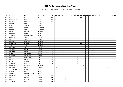| $\mathsf{P}$ | Last name     | First name        | Federation | T    | 01 | 02 |    |    | 03   04   05   06   07   08 |    | 09 | 10 <sup>1</sup> | 11 | $12$ |    | 13 14 |    | 15 16 17 |    | 18 | 19 | 20 |
|--------------|---------------|-------------------|------------|------|----|----|----|----|-----------------------------|----|----|-----------------|----|------|----|-------|----|----------|----|----|----|----|
| 265          | Rasmussen     | Pernille          | Denmark    | 12   |    |    |    |    |                             |    | 12 |                 |    |      |    |       |    |          |    |    |    |    |
| 266          | Korkiamäki    | Petra             | Finland    | 12   | 12 |    |    |    |                             |    |    |                 |    |      |    |       |    |          |    |    |    |    |
| 267          | Koukkari      | Petra             | Finland    | 12   |    |    |    |    |                             |    |    |                 |    |      |    |       |    |          |    | 12 |    |    |
| 268          | Nurmilo       | Reija             | Finland    | 12   | 12 |    |    |    |                             |    |    |                 |    |      |    |       |    |          |    |    |    |    |
| 269          | Puska         | Jasmin            | Finland    | 12   |    |    |    |    |                             |    |    |                 |    |      |    |       |    |          |    | 12 |    |    |
| 270          | Facius        | Monic             | Germany    | 12   |    |    |    | 12 |                             |    |    |                 |    |      |    |       |    |          |    |    |    |    |
| 271          | Sarcan        | Adile             | Germany    | 12   |    |    |    |    |                             |    |    |                 |    |      |    |       |    |          | 12 |    |    |    |
| 272          | Vajda         | Katalin           | Hungary    | 12   |    |    |    |    |                             |    |    |                 |    |      | 12 |       |    |          |    |    |    |    |
| 273          | Castagna      | Marzia            | Italy      | $12$ |    |    |    |    |                             |    |    |                 |    |      |    |       |    |          |    |    | 12 |    |
| 274          | Tiragallo     | Maria Vittoria    | Italy      | 12   |    |    |    |    |                             |    |    |                 |    |      |    |       |    |          |    |    | 12 |    |
| 275          | Celiseva      | Jelena            | Latvia     | 12   |    |    |    | 12 |                             |    |    |                 |    |      |    |       |    |          |    |    |    |    |
| 276          | Sin Li        | Jane              | Malaysia   | 12   |    |    |    |    |                             |    |    |                 |    | 12   |    |       |    |          |    |    |    |    |
| 277          | Frøshaug      | Ragnhild          | Norway     | 12   |    |    |    |    |                             |    |    |                 |    |      |    | 12    |    |          |    |    |    |    |
| 278          | Mortensen     | Vibeke            | Norway     | 12   |    |    |    |    |                             |    | 12 |                 |    |      |    |       |    |          |    |    |    |    |
| 279          | Tvedt         | Torill            | Norway     | 12   |    |    |    |    |                             |    |    |                 |    |      |    | 12    |    |          |    |    |    |    |
| 280          | Ruseeva       | Julia             | Russia     | 12   | 12 |    |    |    |                             |    |    |                 |    |      |    |       |    |          |    |    |    |    |
| 281          | Voronkova     | Daria             | Russia     | 12   |    |    |    |    |                             |    |    |                 |    |      |    |       | 12 |          |    |    |    |    |
| 282          | Dolinsek      | Mojca             | Slovenia   | 12   |    |    |    |    | 12                          |    |    |                 |    |      |    |       |    |          |    |    |    |    |
| 283          | Musar         | Nataša Pirc       | Slovenia   | 12   |    |    |    |    | 12                          |    |    |                 |    |      |    |       |    |          |    |    |    |    |
| 284          | Lindström     | Catherine         | Sweden     | 12   | 12 |    |    |    |                             |    |    |                 |    |      |    |       |    |          |    |    |    |    |
| 285          | <b>Binici</b> | Elhan Sevgi       | Turkey     | $12$ |    |    |    |    |                             | 12 |    |                 |    |      |    |       |    |          |    |    |    |    |
| 286          | Küçük         | Meryem            | Turkey     | 12   |    |    |    |    |                             | 12 |    |                 |    |      |    |       |    |          |    |    |    |    |
| 287          | Oznur         | Cigdem            | Turkey     | 12   |    |    |    |    |                             | 12 |    |                 |    |      |    |       |    |          |    |    |    |    |
| 288          | Taspolat      | Ezgi              | Turkey     | 12   |    |    |    |    |                             | 12 |    |                 |    |      |    |       |    |          |    |    |    |    |
| 289          | Brodersen     | Christina         | Denmark    | 11   |    |    |    |    |                             |    |    | 11              |    |      |    |       |    |          |    |    |    |    |
| 290          | Hongisto      | Marja             | Finland    | 11   | 3  |    |    |    |                             |    |    |                 |    |      |    |       |    |          |    | 8  |    |    |
| 291          | Torregrossa   | Letizia           | Italy      | 11   |    |    |    |    |                             |    |    |                 |    |      |    |       |    |          |    |    | 11 |    |
| 292          | Fosseide      | Grethe            | Norway     | 11   |    |    |    |    |                             |    |    |                 |    |      |    | 11    |    |          |    |    |    |    |
| 293          | Stivang       | Miriam Lindegaard | Norway     | 11   |    |    |    |    |                             |    |    |                 |    |      |    | 11    |    |          |    |    |    |    |
| 294          | Stepanova     | Tatyana           | Russia     | 11   |    |    |    |    |                             |    |    |                 |    |      |    |       | 11 |          |    |    |    |    |
| 294          | Cardi         | Laetitia          | France     | 10   |    |    | 10 |    |                             |    |    |                 |    |      |    |       |    |          |    |    |    |    |
| 296          | Maitre        | Nadège            | France     | 10   |    |    | 10 |    |                             |    |    |                 |    |      |    |       |    |          |    |    |    |    |
| 297          | Trouniac      | Elise             | France     | 10   |    |    | 10 |    |                             |    |    |                 |    |      |    |       |    |          |    |    |    |    |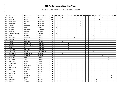| P   | Last name      | First name      | Federation     | T. | 01 | 02 |                |   |   |   |   | 03   04   05   06   07   08   09 |   | 10 <sup>1</sup> | 11 | 12 | 13 14 15 |   |   |   | $16$   17 |   | $18$   19   20 |  |
|-----|----------------|-----------------|----------------|----|----|----|----------------|---|---|---|---|----------------------------------|---|-----------------|----|----|----------|---|---|---|-----------|---|----------------|--|
| 298 | <b>Borst</b>   | Lisanne         | Netherlands    | 10 |    |    | $\overline{4}$ |   |   |   |   |                                  |   |                 |    |    |          |   |   | 6 |           |   |                |  |
| 299 | Koshel         | Maria           | Russia         | 10 | 6  |    |                |   |   |   |   |                                  |   |                 |    |    |          |   | 4 |   |           |   |                |  |
| 300 | Kristensen     | Grethe          | Denmark        | 9  |    |    |                |   |   |   |   |                                  | 9 |                 |    |    |          |   |   |   |           |   |                |  |
| 301 | Overgaard      | Ida             | Denmark        | 9  |    |    |                |   |   |   |   |                                  | 9 |                 |    |    |          |   |   |   |           |   |                |  |
| 302 | Taylor         | Michaela        | Denmark        | 9  |    |    |                |   |   |   |   |                                  | 9 |                 |    |    |          |   |   |   |           |   |                |  |
| 303 | Mäkelä         | Salla           | Finland        | 9  | 9  |    |                |   |   |   |   |                                  |   |                 |    |    |          |   |   |   |           |   |                |  |
| 304 | Lippek         | Katharina       | Germany        | 9  |    |    |                |   |   |   |   |                                  |   |                 |    |    |          |   |   |   | 9         |   |                |  |
| 305 | Dosztaly       | Sarolta         | Hungary        | 9  |    |    |                |   |   |   |   |                                  |   |                 |    |    |          |   |   |   | 9         |   |                |  |
| 306 | Jatko-Lundberg | Elaine          | Sweden         | 9  | 9  |    |                |   |   |   |   |                                  |   |                 |    |    |          |   |   |   |           |   |                |  |
| 307 | Lenz           | Eveline         | Austria        | 8  |    |    |                |   |   |   |   |                                  |   |                 |    |    | 8        |   |   |   |           |   |                |  |
| 308 | Rauscher       | Christine       | Austria        | 8  |    |    |                |   |   |   | 8 |                                  |   |                 |    |    |          |   |   |   |           |   |                |  |
| 309 | Spacal         | Rita            | Austria        | 8  |    |    |                |   |   |   |   |                                  |   |                 |    |    | 8        |   |   |   |           |   |                |  |
| 310 | Abras          | Florence        | Belgium        | 8  |    |    | 8              |   |   |   |   |                                  |   |                 |    |    |          |   |   |   |           |   |                |  |
| 311 | Inglés         | Ingrid Julià    | Catalonia      | 8  |    |    |                |   | 8 |   |   |                                  |   |                 |    |    |          |   |   |   |           |   |                |  |
| 312 | Medina         | Noelia Rastrero | Catalonia      | 8  |    |    |                |   | 8 |   |   |                                  |   |                 |    |    |          |   |   |   |           |   |                |  |
| 313 | Mojarro        | Lia             | Catalonia      | 8  |    |    |                |   | 8 |   |   |                                  |   |                 |    |    |          |   |   |   |           |   |                |  |
| 314 | Sanchez        | Meritxell       | Catalonia      | 8  |    |    |                |   | 8 |   |   |                                  |   |                 |    |    |          |   |   |   |           |   |                |  |
| 315 | Zabkova        | Lucie           | Czech Republic | 8  |    |    |                |   |   |   |   |                                  |   |                 |    |    | 8        |   |   |   |           |   |                |  |
| 316 | Bogeskov       | Nickie Marie    | Denmark        | 8  |    |    | 8              |   |   |   |   |                                  |   |                 |    |    |          |   |   |   |           |   |                |  |
| 317 | Wrisberg       | Charmaine       | Denmark        | 8  |    |    |                |   |   |   |   |                                  |   |                 |    |    |          |   |   | 8 |           |   |                |  |
| 318 | Mähönen        | Heli            | Finland        | 8  |    |    |                |   |   |   |   |                                  |   |                 |    |    |          |   |   |   |           | 8 |                |  |
| 319 | Putkisto       | Tiia            | Finland        | 8  |    |    |                |   |   |   |   |                                  |   |                 |    |    |          |   |   |   |           | 8 |                |  |
| 320 | Derynck        | Isabelle        | France         | 8  |    |    |                | 5 |   |   |   |                                  |   |                 |    | 3  |          |   |   |   |           |   |                |  |
| 321 | Wisniewski     | Fely            | France         | 8  |    |    |                |   |   |   |   |                                  |   |                 |    |    |          |   |   | 8 |           |   |                |  |
| 322 | Filor          | Alexandra       | Germany        | 8  |    |    |                |   |   | 8 |   |                                  |   |                 |    |    |          |   |   |   |           |   |                |  |
| 323 | Gerbracht      | Melanie         | Germany        | 8  |    |    |                |   |   | 8 |   |                                  |   |                 |    |    |          |   |   |   |           |   |                |  |
| 324 | Glasl          | Cornelia        | Germany        | 8  |    |    |                |   |   | 8 |   |                                  |   |                 |    |    |          |   |   |   |           |   |                |  |
| 325 | Weschke        | Nina            | Germany        | 8  |    |    |                |   |   | 8 |   |                                  |   |                 |    |    |          |   |   |   |           |   |                |  |
| 326 | Andreello      | Paola           | Italy          | 8  |    |    |                |   |   |   |   |                                  |   |                 |    |    |          |   |   | 8 |           |   |                |  |
| 327 | Carta          | Stefania        | Italy          | 8  |    |    |                |   |   |   |   |                                  |   |                 |    |    |          |   |   |   |           |   | 8              |  |
| 328 | Elena          | Grazia          | Italy          | 8  |    |    |                |   |   |   |   |                                  |   |                 |    |    |          |   |   |   |           |   | 8              |  |
| 329 | Jacobsen       | Åse             | Norway         | 8  |    |    |                |   |   |   |   |                                  |   |                 |    |    |          | 8 |   |   |           |   |                |  |
| 330 | Krogh          | Therese         | Norway         | 8  |    |    |                |   |   |   |   |                                  |   |                 |    |    |          | 8 |   |   |           |   |                |  |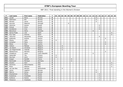| P   | Last name       | First name    | Federation      | T. | 01 | 02 |                  |   |   | 03   04   05   06   07   08   09 |  | 10 <sup>1</sup> | 11 | 12 | 13 | 14 |   | 15 16 17 |   | 18 | 19 | 20 |
|-----|-----------------|---------------|-----------------|----|----|----|------------------|---|---|----------------------------------|--|-----------------|----|----|----|----|---|----------|---|----|----|----|
| 331 | Løvdal          | Mona          | Norway          | 8  |    |    |                  |   |   |                                  |  |                 |    |    |    | 8  |   |          |   |    |    |    |
| 332 | Mathiesen       | Elin          | Norway          | 8  |    |    |                  |   |   |                                  |  |                 |    |    |    | 8  |   |          |   |    |    |    |
| 333 | Monsen          | Janne         | Norway          | 8  |    |    |                  |   |   |                                  |  |                 |    |    |    | 8  |   |          |   |    |    |    |
| 334 | Gouveia         | Natercia      | Portugal        | 8  |    |    |                  | 8 |   |                                  |  |                 |    |    |    |    |   |          |   |    |    |    |
| 335 | Istomina        | Ksenia        | Russia          | 8  |    |    |                  |   |   |                                  |  |                 |    |    |    |    | 8 |          |   |    |    |    |
| 336 | Kislyak         | Anna          | Russia          | 8  |    |    |                  |   |   |                                  |  |                 |    |    |    |    | 8 |          |   |    |    |    |
| 337 | Korobkova       | Inna          | Russia          | 8  |    |    |                  |   |   |                                  |  |                 |    |    |    |    | 8 |          |   |    |    |    |
| 338 | Baluchova       | Alena         | Slovakia        | 8  |    |    |                  |   |   |                                  |  |                 |    |    | 8  |    |   |          |   |    |    |    |
| 339 | Garcia Prado    | Lola          | Spain           | 8  |    |    |                  |   |   |                                  |  |                 |    |    |    |    |   |          |   |    | 8  |    |
| 340 | Rius Sala       | Antonia       | Spain           | 8  |    |    |                  |   |   |                                  |  |                 |    |    |    |    |   |          |   |    | 8  |    |
| 341 | Yakunina        | Alexandra     | Ukraine         | 8  |    |    |                  |   |   |                                  |  |                 |    |    |    |    | 8 |          |   |    |    |    |
| 342 | Kadensky        | Andrea        | Austria         | 6  |    |    |                  |   |   |                                  |  |                 |    |    |    |    |   |          | 6 |    |    |    |
| 343 | Pilecky         | Jutta         | Austria         | 6  | 6  |    |                  |   |   |                                  |  |                 |    |    |    |    |   |          |   |    |    |    |
| 344 | Schadner        | Petra         | Austria         | 6  |    |    |                  |   |   |                                  |  |                 |    |    |    |    |   |          | 6 |    |    |    |
| 345 | Weiss           | Nina          | Austria         | 6  |    |    |                  |   |   |                                  |  |                 |    |    |    |    |   |          | 6 |    |    |    |
| 346 | Vallons         | Melissa       | Belgium         | 6  |    |    | 6                |   |   |                                  |  |                 |    |    |    |    |   |          |   |    |    |    |
| 347 | van Boom        | Christine     | Belgium         | 6  |    |    | $\boldsymbol{6}$ |   |   |                                  |  |                 |    |    |    |    |   |          |   |    |    |    |
| 348 | van Regenmortel | Yolanda       | Belgium         | 6  |    |    | 6                |   |   |                                  |  |                 |    |    |    |    |   |          |   |    |    |    |
| 349 | Meteksinova     | Mariana       | <b>Bulgaria</b> | 6  |    |    |                  |   |   |                                  |  |                 |    |    |    |    |   |          | 6 |    |    |    |
| 350 | Chladkova       | Hana          | Czech Republic  | 6  |    |    |                  |   |   |                                  |  |                 |    |    | 6  |    |   |          |   |    |    |    |
| 351 | Hakamäki        | Tiia          | Finland         | 6  | 6  |    |                  |   |   |                                  |  |                 |    |    |    |    |   |          |   |    |    |    |
| 352 | Styrman         | Jenni         | Finland         | 6  | 6  |    |                  |   |   |                                  |  |                 |    |    |    |    |   |          |   |    |    |    |
| 353 | Guigon          | Danièle       | France          | 6  |    |    |                  |   | 6 |                                  |  |                 |    |    |    |    |   |          |   |    |    |    |
| 354 | Reichwald       | Monique       | Germany         | 6  |    |    |                  |   | 6 |                                  |  |                 |    |    |    |    |   |          |   |    |    |    |
| 355 | Giustini        | Sara          | Italy           | 6  |    |    |                  |   |   |                                  |  |                 |    |    |    |    |   |          |   |    | 6  |    |
| 356 | Iacomino        | Maria Rosaria | Italy           | 6  |    |    |                  |   |   |                                  |  |                 |    |    |    |    |   |          |   |    | 6  |    |
| 357 | Rossi           | Melania       | Italy           | 6  |    |    |                  |   |   |                                  |  |                 |    |    |    |    |   |          |   |    | 6  |    |
| 358 | van den Bos     | Mariska       | Netherlands     | 6  |    |    | 6                |   |   |                                  |  |                 |    |    |    |    |   |          |   |    |    |    |
| 359 | Lønne           | Ingelinn      | Norway          | 6  |    |    |                  |   |   |                                  |  |                 |    |    |    | 6  |   |          |   |    |    |    |
| 360 | Mahrra          | Sonya         | Norway          | 6  |    |    |                  |   |   |                                  |  |                 |    |    |    | 6  |   |          |   |    |    |    |
| 361 | Kharlamova      | Polina        | Russia          | 6  |    |    |                  |   |   |                                  |  |                 |    |    |    |    | 6 |          |   |    |    |    |
| 362 | Kuleshova       | Anastasia     | Russia          | 6  |    |    |                  |   |   |                                  |  |                 |    |    |    |    | 6 |          |   |    |    |    |
| 363 | Kulikova        | Ksenia        | Russia          | 6  |    |    |                  |   |   |                                  |  |                 |    |    |    |    | 6 |          |   |    |    |    |
| 364 | Pokasova        | Anastasia     | Russia          | 6  |    |    |                  |   |   |                                  |  |                 |    |    |    |    | 6 |          |   |    |    |    |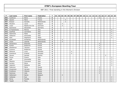| P   | Last name      | First name     | Federation  | T.                      | 01 | 02 |                |   |                | 03 04 05 06 07 08 09 | 10 | 11 | $12$ | $13$ 14 |                | 15 16 17 |   | $18$   19   20 |  |
|-----|----------------|----------------|-------------|-------------------------|----|----|----------------|---|----------------|----------------------|----|----|------|---------|----------------|----------|---|----------------|--|
| 365 | Suslikova      | Elena          | Russia      | 6                       |    |    |                |   |                |                      |    |    |      |         | 6              |          |   |                |  |
| 366 | Gauton         | Marie          | France      | 5                       |    |    |                | 5 |                |                      |    |    |      |         |                |          |   |                |  |
| 367 | <b>Brasser</b> | Danielle       | Netherlands | 5                       |    |    |                | 5 |                |                      |    |    |      |         |                |          |   |                |  |
| 368 | Wouters        | Laura          | Belgium     | 4                       |    |    | $\overline{4}$ |   |                |                      |    |    |      |         |                |          |   |                |  |
| 369 | Lisser         | Natalia Ann De | Denmark     | 4                       |    |    | $\overline{4}$ |   |                |                      |    |    |      |         |                |          |   |                |  |
| 370 | Kammerer       | Alexandra      | Germany     | 4                       |    |    |                |   | $\overline{4}$ |                      |    |    |      |         |                |          |   |                |  |
| 371 | Di Paolantonio | Monica         | Italy       | 4                       |    |    |                |   |                |                      |    |    |      |         |                |          |   | 4              |  |
| 372 | Giuffrida      | Carmelina      | Italy       | 4                       |    |    |                |   |                |                      |    |    |      |         |                |          |   | 4              |  |
| 373 | Salomone       | Paola          | Italy       | 4                       |    |    |                |   |                |                      |    |    |      |         |                |          |   | 4              |  |
| 374 | Vatteroni      | Simonetta      | Italy       | 4                       |    |    |                |   |                |                      |    |    |      |         |                |          |   | $\overline{4}$ |  |
| 375 | Said           | Stephanie      | Malta       | 4                       |    |    |                |   |                |                      |    |    |      |         |                |          |   | $\overline{4}$ |  |
| 376 | Koudstaal      | Kimberley      | Netherlands | 4                       |    |    | $\overline{4}$ |   |                |                      |    |    |      |         |                |          |   |                |  |
| 377 | Visser         | Jolanda        | Netherlands | $\overline{\mathbf{4}}$ |    |    | 4              |   |                |                      |    |    |      |         |                |          |   |                |  |
| 378 | Danacheva      | Elizaveta      | Russia      | 4                       |    |    |                |   |                |                      |    |    |      |         | 4              |          |   |                |  |
| 379 | Koshel         | Ekaterina      | Russia      | 4                       |    |    |                |   |                |                      |    |    |      |         | $\overline{4}$ |          |   |                |  |
| 380 | Sheshenya      | Tatyana        | Russia      | 4                       |    |    |                |   |                |                      |    |    |      |         | 4              |          |   |                |  |
| 381 | Zvereva        | Ekaterina      | Russia      | 4                       |    |    |                |   |                |                      |    |    |      |         | 4              |          |   |                |  |
| 382 | Kleinova       | Lucia          | Slovakia    | 4                       |    |    |                |   | $\overline{4}$ |                      |    |    |      |         |                |          |   |                |  |
| 383 | Sramkova       | Kristina       | Slovakia    | 4                       |    |    |                |   | $\overline{4}$ |                      |    |    |      |         |                |          |   |                |  |
| 384 | Zauner         | Daniela        | Austria     | $\mathbf{3}$            |    |    |                |   |                |                      |    |    |      |         |                |          | 3 |                |  |
| 385 | Fonzo          | Franca         | Italy       | 3                       |    |    |                |   |                |                      |    |    |      |         |                |          |   | 3              |  |
| 386 | Galli          | Simonetta      | Italy       | 3                       |    |    |                |   |                |                      |    |    |      |         |                |          |   | 3              |  |
| 387 | Messina        | Francesca      | Italy       | 3                       |    |    |                |   |                |                      |    |    |      |         |                |          |   | 3              |  |
| 388 | Suriano        | Elena          | Italy       | $\mathbf{3}$            |    |    |                |   |                |                      |    |    |      |         |                |          |   | 3              |  |
| 389 | Valentini      | Stefania       | Italy       | 3                       |    |    |                |   |                |                      |    |    |      |         |                |          |   | 3              |  |
| 390 | Fedorova       | Maria          | Russia      | 3                       |    |    |                |   |                |                      |    |    |      |         | 3              |          |   |                |  |
| 391 | Gryaznova      | Varvara        | Russia      | 3                       |    |    |                |   |                |                      |    |    |      |         | 3              |          |   |                |  |
| 392 | Krutikova      | Viktoria       | Russia      | 3                       |    |    |                |   |                |                      |    |    |      |         | 3              |          |   |                |  |
| 393 | Sozinova       | Julia          | Russia      | 3                       |    |    |                |   |                |                      |    |    |      |         | 3              |          |   |                |  |
| 394 | Hellemann      | Sanne          | Belgium     | $\overline{\mathbf{2}}$ |    |    | $\overline{2}$ |   |                |                      |    |    |      |         |                |          |   |                |  |
| 395 | Cattaneo       | Susi           | Italy       | $\overline{2}$          |    |    |                |   |                |                      |    |    |      |         |                |          |   | 2              |  |
| 396 | Perna          | Fiorella       | Italy       | $\mathbf{2}$            |    |    |                |   |                |                      |    |    |      |         |                |          |   | $\overline{2}$ |  |
| 397 | Tipaldi        | Piera          | Italy       | $\overline{2}$          |    |    |                |   |                |                      |    |    |      |         |                |          |   | $\overline{2}$ |  |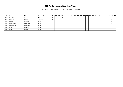|     | Last name       | First name | <b>Federation</b> |   | 01 |  |  | 02   03   04   05   06   07   08   09   10   11   12 |  |  | 13 <sup>1</sup> |  | 14   15   16 | 17 | 18 <sup>1</sup> | 19   20 |
|-----|-----------------|------------|-------------------|---|----|--|--|------------------------------------------------------|--|--|-----------------|--|--------------|----|-----------------|---------|
| 398 | <b>Hendriks</b> | Amy        | Netherlands       | ◠ |    |  |  |                                                      |  |  |                 |  |              |    |                 |         |
| 399 | Lenuta          | Petrut     | Romania           | ◠ |    |  |  |                                                      |  |  |                 |  |              |    |                 |         |
| 400 | Carini          | Viviana    | Italy             |   |    |  |  |                                                      |  |  |                 |  |              |    |                 |         |
| 401 | Dantuono        | Concetta   | Italy             |   |    |  |  |                                                      |  |  |                 |  |              |    |                 |         |
| 402 | Di Martino      | Angelina   | Italy             |   |    |  |  |                                                      |  |  |                 |  |              |    |                 |         |
| 403 | Fine            | Patrizia   | Italy             |   |    |  |  |                                                      |  |  |                 |  |              |    |                 |         |
| 404 | Leone           | Paola      | Italy             |   |    |  |  |                                                      |  |  |                 |  |              |    |                 |         |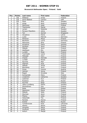#### **Brunswick Ballmaster Open / Finland / Gold**

| Pos.                     | <b>Points</b>   | Last name         | <b>First name</b> | Federation |
|--------------------------|-----------------|-------------------|-------------------|------------|
| $\mathbf{1}$             | 150             | Pöllänen          | Krista            | Finland    |
| $\overline{2}$           | 120             | Dorin-Ballard     | Carolyn           | <b>USA</b> |
| 3                        | 105             | Flack             | Nina              | Sweden     |
| $\overline{\mathcal{L}}$ | 90              | Ainge             | Nicki             | England    |
| $\overline{5}$           | 75              | Manninen          | Heidi             | Finland    |
| $\overline{6}$           | 72              | Tkachenko         | Marija            | Latvia     |
| $\overline{7}$           | 69              | Larsen            | Rebecka           | Sweden     |
| 8                        | 66              | Persson Planefors | Joline            | Sweden     |
| $\overline{9}$           | 63              | Tan               | Jazreel           | Singapore  |
| 10                       | 60              | Zavjalova         | Diana             | Latvia     |
| 11                       | 45              | Luoto             | Patricia          | Germany    |
| 12                       | 45              | Pöntinen          | Marjo             | Finland    |
| 13                       | 42              | Beuhtner          | Laura             | Germany    |
| 14                       | 42              | Manninen          | Nina              | Finland    |
| 15                       | 39              | Kovalova          | Daria             | Ukraine    |
| 16                       | 39              | Keränen           | Jenni             | Finland    |
| 17                       | 36              | Mäkelä            | Jenni             | Finland    |
| 18                       | $\overline{36}$ | Adolfsson         | Elin              | Sweden     |
| 19                       | 33              | Lundén            | Reija             | Finland    |
| $\overline{20}$          | $\overline{33}$ | Tuomisalo         | Laura             | Finland    |
| 21                       | 24              | Mäkipää           | Helvi             | Finland    |
| 22                       | 24              | Impola            | Hannele           | Finland    |
| 23                       | 24              | Lundén            | Roosa             | Finland    |
| 24                       | 24              | Nurmilo           | Mari              | Finland    |
| 25                       | 24              | Hilpinen          | Anja              | Finland    |
| 26                       | 18              | Mäkelä            | Sonja             | Finland    |
| 27                       | 18              | Blomberg          | Jenni             | Finland    |
| 28                       | 18              | Gross             | Ivonne            | Austria    |
| $\overline{29}$          | 18              | Jokinen           | Jonna             | Finland    |
| 30                       | 18              | Regoli            | Annalisa          | Italy      |
| $\overline{31}$          | 12              | Korkiamäki        | Petra             | Finland    |
| 32                       | 12              | Lindström         | Catherine         | Sweden     |
| 33                       | 12              | Leskinen          | Suvi              | Finland    |
| 34                       | 12              | Ruseeva           | Julia             | Russia     |
| $\overline{35}$          | 12              | Nurmilo           | Reija             | Finland    |
| 36                       | 9               | Jatko-Lundberg    | Elaine            | Sweden     |
| 37                       | 9               | Kämäräinen        | Iina              | Finland    |
| 38                       | $\overline{9}$  | Ratia             | Riikka            | Finland    |
| 39                       | $\overline{9}$  | Sazonova          | Elena             | Russia     |
| 40                       | 9               | Mäkelä            | Salla             | Finland    |
| 41                       | 6               | Styrman           | Jenni             | Finland    |
| 42                       | $\overline{6}$  | Pilecky           | Jutta             | Austria    |
| 43                       | 6               | Hakamäki          | Tiia              | Finland    |
| 44                       | 6               | Rantala           | Henna             | Finland    |
| 45                       | 6               | Koshel            | Maria             | Russia     |
| 46                       | 3               | Tumileviciute     | Ruta              | Lithuania  |
| 47                       | $\overline{3}$  | Alanko            | Noora             | Finland    |
| 48                       | $\overline{3}$  | Hongisto          | Marja             | Finland    |
| 49                       | $\overline{3}$  | Forslund          | Sonja             | Finland    |
| 50                       | $\overline{3}$  | Keituri           | Margit            | Finland    |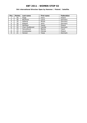#### **5th International Wroclaw Open by Hammer / Poland / Satellite**

| Pos. | <b>Points</b> | Last name       | First name | Federation |
|------|---------------|-----------------|------------|------------|
|      | 50            | Pająk           | Daria      | Poland     |
| 2    | 40            | Beuthner        | Laura      | Germany    |
| 3    | 35            | Heberle         | Nicole     | Germany    |
| 4    | 30            | Ribguth         | Janin      | Germany    |
| 5    | 25            | Merklejn        | Joasia     | Poland     |
| 6    | 24            | Cheri Guldbrand | Camilla    | Denmark    |
|      | 23            | Hanusíková      | Blanka     | Czech      |
| 8    | 22            | Grzybowska      | Felinda    | Poland     |
| 9    | 21            | Hansen          | Tanja      | Denmark    |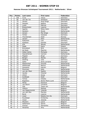#### **Hammer Bronzen Schietspoel Tournament 2011 / Netherlands / Silver**

| Pos.            | <b>Points</b>           | Last name        | First name        | Federation  |
|-----------------|-------------------------|------------------|-------------------|-------------|
| $\mathbf{1}$    | 100                     | Cuva             | Tanya             | Germany     |
| $\overline{2}$  | 80                      | van der Tol      | Ghislaine         | Netherlands |
| $\overline{3}$  | 70                      | Jensen           | Anja Ginge        | Denmark     |
| 4               | 60                      | Geissler         | Nadine            | Germany     |
| $\overline{5}$  | 50                      | Luoto            | Patricia          | Germany     |
| $\overline{6}$  | 48                      | Breeschoten      | Lisanne           | Netherlands |
| $\overline{7}$  | 46                      | Agerbo           | Rikke Holm        | Denmark     |
| $\overline{8}$  | 44                      | Sanders          | Nicole            | Netherlands |
| $\overline{9}$  | 42                      | Jensen           | Mai Ginge         | Denmark     |
| 10              | 40                      | Timter           | Vanessa           | Germany     |
| 11              | 30                      | Thorstensen      | Heidi             | Norway      |
| 12              | 30                      | Jansen           | Ellen             | Netherlands |
| 13              | 28                      | Kabowski         | Lisa              | Germany     |
| 14              | 28                      | Kjeldsen         | Kamilla           | Denmark     |
| 15              | 26                      | Kok              | Wendy             | Netherlands |
| 16              | $\overline{26}$         | Pajak            | Daria             | Poland      |
| 17              | 24                      | <b>Brondsted</b> | <b>Britt</b>      | Denmark     |
| 18              | 24                      | de Rooij         | Maxime            | Netherlands |
| 19              | $\overline{22}$         | Göbel-Janka      | Michaela          | Germany     |
| 20              | 22                      | Haandrikman      | Carmen            | Netherlands |
| 21              | 16                      | Pöppler          | <b>Birgit</b>     | Germany     |
| 22              | 16                      | Bergen           | Wendy             | Belgium     |
| $\overline{23}$ | 16                      | Stolting         | Julia             | Germany     |
| 24              | 16                      | Gales            | Anne Lorraine     | Denmark     |
| $\overline{25}$ | 16                      | Maaswinkel       | Priscilla         | Netherlands |
| 26              | 12                      | Wiekeraad        | <b>Bianca</b>     | Netherlands |
| 27              | 12                      | Goossens         | Katrien           | Belgium     |
| 28              | 12                      | Plummen          | Kelly             | Netherlands |
| 29              | 12                      | van der Meer     | Sophie            | Netherlands |
| $\overline{30}$ | 12                      | <b>Jacobs</b>    | Chantal           | Netherlands |
| 31              | 8                       | Uhlich           | Sonja             | Germany     |
| $\overline{32}$ | $\overline{8}$          | Guldbaek         | Heidi             | Denmark     |
| $\overline{33}$ | $\overline{8}$          | Tomas            | Cheska            | Netherlands |
| 34              | 8                       | Bogeskov         | Nickie Marie Lund | Denmark     |
| 35              | 8                       | Abras            | Florence          | Belgium     |
| 36              | 6                       | van Boom         | Christine         | Belgium     |
| 37              | 6                       | Ojik             | Tessa van         | Netherlands |
| 38              | 6                       | Vallons          | Melissa           | Belgium     |
| 39              | 6                       | van Regenmortel  | Yolanda           | Belgium     |
| 40              | 6                       | van den Bos      | Mariska           | Netherlands |
| 41              | $\overline{\mathbf{4}}$ | <b>Borst</b>     | Lisanne           | Netherlands |
| 42              | 4                       | Lisser           | Natalia Ann De    | Denmark     |
| 43              | 4                       | Koudstaal        | Kimberley         | Netherlands |
| 44              | 4                       | Visser           | Jolanda           | Netherlands |
| 45              | $\overline{\mathbf{4}}$ | Wouters          | Laura             | Belgium     |
| 46              | $\overline{2}$          | Hellemann        | Sanne             | Belgium     |
| 47              | $\overline{2}$          | Greiner          | Samantha          | Netherlands |
| 48              | $\overline{2}$          | Hendriks         | Amy               | Netherlands |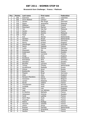#### **Brunswick Euro Challenge / France / Platinum**

| Pos.                     | <b>Points</b>   | Last name          | First name    | Federation  |
|--------------------------|-----------------|--------------------|---------------|-------------|
| $\mathbf{1}$             | 250             | Guerrero           | Clara         | Colombia    |
| $\overline{2}$           | 200             | Dorin-Ballard      | Carolyn       | <b>USA</b>  |
| 3                        | 175             | Jensen             | Mai Ginge     | Denmark     |
| $\overline{\mathcal{L}}$ | 150             | Sijore             | Jacqueline    | Malaysia    |
| $\overline{5}$           | 125             | Pöllänen           | Krista        | Finland     |
| $\overline{6}$           | 120             | Planchard          | Marilyn       | France      |
| $\overline{7}$           | 115             | Yen                | Hee Kar       | Malaysia    |
| 8                        | 110             | Herbin             | Sophie        | France      |
| $\overline{9}$           | 105             | Aziela             | Zandra        | Malaysia    |
| 10                       | 100             | Flack              | Nina          | Sweden      |
| 11                       | 75              | Kok                | Wendy         | Netherlands |
| 12                       | $\overline{75}$ | Sanders            | Nicole        | Netherlands |
| 13                       | 70              | Geissler           | Nadine        | Germany     |
| 14                       | 70              | Penny              | Kirsten       | England     |
| 15                       | 65              | Staudinger         | Cassie        | Australia   |
| 16                       | 65              | Sacco              | Isabelle      | France      |
| 17                       | 60              | Luoto              | Patricia      | Germany     |
| 18                       | 60              | Shazwani           | Siti          | Malaysia    |
| 19                       | 55              | Andersson          | Sandra        | Sweden      |
| $\overline{20}$          | 55              | Célié              | Lauriane      | France      |
| 21                       | 40              | Ainge              | Nicki         | England     |
| 22                       | 40              | Kovalova           | Daria         | Ukraine     |
| 23                       | 40              | <b>Bröndsted</b>   | <b>Britt</b>  | Denmark     |
| $\overline{24}$          | 40              | Glendert           | Malin         | Sweden      |
| 25                       | 40              | <b>Bouillier</b>   | Laurene       | France      |
| 26                       | 30              | <b>Tomas</b>       | Cheska        | Netherlands |
| 27                       | 30              | Korablinova        | Nadejda       | Russia      |
| 28                       | 30              | Orlova             | Anna          | Russia      |
| $\overline{29}$          | $\overline{30}$ | <b>Bretteville</b> | Elise         | France      |
| 30                       | 30              | Pöppler            | <b>Birgit</b> | Germany     |
| $\overline{31}$          | 20              | Giles              | Zara          | England     |
| 32                       | 20              | Persson-Planefors  | Joline        | Sweden      |
| $\overline{33}$          | 20              | Goossens           | Katrien       | Belgium     |
| 34                       | 20              | Larsen             | Rebecka       | Sweden      |
| $\overline{35}$          | 20              | Murat              | Valérie       | France      |
| 36                       | 15              | Thorstensen        | Heidi         | Norway      |
| 37                       | 15              | Guldbäk            | Heidi         | Denmark     |
| 38                       | 15              | John               | Lisa          | England     |
| 39                       | 15              | Leal               | Luz Adriana   | Colimbia    |
| 40                       | 15              | Di Martino         | Nathalie      | France      |
| 41                       | 10              | Johansson          | Victoria      | Sweden      |
| 42                       | 10              | Cardi              | Laetitia      | France      |
| 43                       | 10              | Saint Marc         | Aude          | France      |
| 44                       | 10              | Trouniac           | Elise         | France      |
| 45                       | 10              | Maitre             | Nadège        | France      |
| 46                       | 5               | Derynck            | Isabelle      | France      |
| 47                       | 5               | Uhlich             | Sonja         | Germany     |
| 48                       | 5               | <b>Brasser</b>     | Danielle      | Netherlands |
| 49                       | $\overline{5}$  | Jacques            | Amandine      | France      |
| 50                       | $\overline{5}$  | Gauton             | Marie         | France      |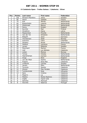#### **IX Catalonia Open - Trofeu Galasa / Catalonia / Silver**

| Pos.                    | <b>Points</b>   | Last name         | First name                  | <b>Federation</b> |
|-------------------------|-----------------|-------------------|-----------------------------|-------------------|
| $\mathbf{1}$            | 100             | Persson-Planefors | Joline                      | Sweden            |
| $\overline{2}$          | 80              | Sacco             | Isabelle                    | France            |
| $\overline{3}$          | 70              | <b>Kok</b>        | Wendy                       | Netherlands       |
| $\overline{\mathbf{4}}$ | 60              | Breeschoten       | Lisanne                     | Netherlands       |
| $\overline{5}$          | 50              | Wiekeraad         | <b>Bianca</b>               | Netherlands       |
| $\overline{6}$          | 48              | Penny             | <b>Kirsten</b>              | England           |
| $\overline{7}$          | 46              | Nurmilo           | Mari                        | Finland           |
| 8                       | 44              | Zavjalova         | <b>Diana</b>                | Latvia            |
| $\overline{9}$          | 42              | Maaswinkel        | Priscilla                   | Netherlands       |
| 10                      | 40              | Van der Tol       | Ghislaine                   | Netherlands       |
| $\overline{11}$         | $\overline{30}$ | Ribguth           | Janin                       | Germany           |
| 12                      | $\overline{30}$ | Thorstensen       | Heidi                       | Norway            |
| 13                      | $\overline{28}$ | Guerrero          | Clara                       | Colombia          |
| 14                      | 28              | Sanders           | <b>Nicole</b>               | Netherlands       |
| $\overline{15}$         | 26              | Gaillard          | Laurence                    | France            |
| 16                      | 26              | Larsen            | Rebecka                     | Sweden            |
| 17                      | 24              | Planchard         | Marilyn                     | France            |
| 18                      | 24              | Leal              | Luz Adriana                 | Catalonia         |
| 19                      | 22              | Lislien           | Monica                      | Norway            |
| 20                      | 22              | <b>Tomas</b>      | Cheska                      | Netherlands       |
| $\overline{21}$         | 16              | Haandrikman       | Carmen                      | Netherlands       |
| $\overline{22}$         | 16              | Ainge             | <b>Nicki</b>                | England           |
| $\overline{23}$         | 16              | van der Meer      | Sophie                      | Netherlands       |
| 24                      | 16              | Puigros           | Rosa Mas                    | Catalonia         |
| $\overline{25}$         | 16              | Lindqvist         | $\overline{\text{Camilla}}$ | Sweden            |
| 26                      | 12              | Jansen            | Ellen                       | Netherlands       |
| 27                      | 12              | Torrents          | Sandra                      | Catalonia         |
| 28                      | 12              | Alcacer           | Pilar Perales               | Catalonia         |
| 29                      | 12              | Tumileviciute     | Ruta                        | Lithuania         |
| 30                      | 12              | Sanz              | Cristina                    | Catalonia         |
| $\overline{31}$         | 8               | Mojarro           | Lia                         | Catalonia         |
| 32                      | 8               | Medina            | Noelia Rastrero             | Catalonia         |
| 33                      | $\overline{8}$  | Inglés            | Ingrid Julià                | Catalonia         |
| 34                      | $\,8\,$         | Sanchez           | Meritxell                   | Catalonia         |
| $\overline{35}$         | $\overline{8}$  | Gouveia           | Natercia                    | Portugal          |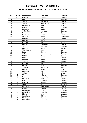#### **2nd Track Dream-Bowl Palace Open 2011 / Germany / Silver**

| Pos.            | <b>Points</b>           | Last name   | <b>First name</b> | <b>Federation</b> |
|-----------------|-------------------------|-------------|-------------------|-------------------|
| $\mathbf{1}$    | 100                     | Kjeldsen    | Kamilla           | Denmark           |
| $\overline{2}$  | 80                      | Ribguth     | Janin             | Germany           |
| $\overline{3}$  | 70                      | Jensen      | Mai Ginge         | Denmark           |
| 4               | 60                      | Jensen      | Anja Ginge        | Denmark           |
| $\overline{5}$  | 50                      | Bröndsted   | <b>Britt</b>      | Denmark           |
| $\overline{6}$  | 48                      | Geissler    | Nadine            | Germany           |
| $\overline{7}$  | 46                      | Kovalova    | Daria             | Ukraine           |
| 8               | 44                      | Göbel-Janka | Michaela          | <b>Germany</b>    |
| 9               | 42                      | Lindner     | Eva               | Germany           |
| 10              | 40                      | Beuthner    | Laura             | Germany           |
| 11              | 30                      | de Rooij    | Maxime            | Netherlands       |
| 12              | 30                      | Forslund    | Sonja             | Finland           |
| 13              | 28                      | Kindzule    | Adina             | Latvia            |
| 14              | 28                      | Lundén      | Roosa             | Finland           |
| 15              | 26                      | Agerbo      | Rikke Holm        | Denmark           |
| 16              | 26                      | Timter      | Vanessa           | Germany           |
| 17              | 24                      | Andersson   | Sandra            | Sweden            |
| 18              | 24                      | Thorstensen | Heidi             | Norway            |
| 19              | 22                      | Laub        | Sabrina           | Germany           |
| 20              | 22                      | Gales       | Anne Lorraine     | Denmark           |
| $\overline{21}$ | 16                      | Uhlich      | Sonja             | Germany           |
| $\overline{22}$ | 16                      | Pasanen     | Sanna             | Finland           |
| 23              | 16                      | Pöppler     | <b>Birgit</b>     | Germany           |
| 24              | 16                      | Jokinen     | Jonna             | Finland           |
| 25              | 16                      | Lundén      | Reija             | Finland           |
| 26              | 12                      | Facius      | Monic             | Germany           |
| 27              | 12                      | Johansen    | Jeanett H.        | Norway            |
| 28              | 12                      | Bögeskov    | Nickie            | Denmark           |
| 29              | 12                      | Kabowski    | Lisa              | Germany           |
| $\overline{30}$ | 12                      | Celiseva    | Jelena            | Latvia            |
| 31              | 8                       | Rieger      | Juliane           | Germany           |
| 32              | 8                       | Filor       | Alexandra         | Germany           |
| $\overline{33}$ | $\overline{8}$          | Weschke     | Nina              | Germany           |
| 34              | 8                       | Glasl       | Cornelia          | Germany           |
| 35              | $\overline{8}$          | Gerbracht   | Melanie           | Germany           |
| 36              | 6                       | Stankova    | Petra             | Slovakia          |
| 37              | 6                       | De Lisser   | Natalia Ann       | Denmark           |
| 38              | 6                       | Guigon      | Danièle           | France            |
| 39              | 6                       | Reichwald   | Monique           | Germany           |
| 40              | 6                       | Pospisilova | Veronika          | Slovakia          |
| 41              | 4                       | Kleinova    | Lucia             | Slovakia          |
| 42              | $\overline{\mathbf{4}}$ | Sramkova    | Kristina          | Slovakia          |
| 43              | 4                       | Wustinger   | Monika            | Germany           |
| 44              | 4                       | Kammerer    | Alexandra         | Germany           |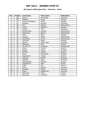#### **5th Qubica/AMF Open 2011 / Slovenia / Silver**

| Pos.            | <b>Points</b>  | Last name         | First name     | Federation  |
|-----------------|----------------|-------------------|----------------|-------------|
| 1               | 100            | Jensen            | Mai Ginge      | Denmark     |
| $\overline{2}$  | 80             | Pöllänen          | Krista         | Finland     |
| 3               | 70             | Persson-Planefors | Joline         | Sweden      |
| $\overline{4}$  | 60             | Kjeldsen          | Kamilla        | Denmark     |
| $\overline{5}$  | 50             | Kok               | Wendy          | Netherlands |
| 6               | 48             | Larsen            | Rebecka        | Sweden      |
| $\overline{7}$  | 46             | Hulsch            | Tina           | Germany     |
| 8               | 44             | Breeschoten       | Lisanne        | Netherlands |
| $\overline{9}$  | 42             | Wiekeraad         | <b>Bianca</b>  | Netherlands |
| 10              | 40             | Flack             | Nina           | Sweden      |
| 11              | 30             | Sanders           | Nicole         | Netherlands |
| 12              | 30             | Johansson         | Jenny          | Netherlands |
| 13              | 28             | Johnsson          | Helén          | Sweden      |
| 14              | 28             | Agerbo            | Rikke Holm     | Denmark     |
| 15              | 26             | Manninen          | <b>Nina</b>    | Finland     |
| 16              | 26             | van der Tol       | Ghislaine      | Netherlands |
| 17              | 24             | Gross             | Ivonne         | Austria     |
| 18              | 24             | <b>Beatrix</b>    | Pesek          | Hungary     |
| 19              | 22             | Korherr           | Sandra         | Austria     |
| 20              | 22             | Musar             | Anja Kalan     | Slovenia    |
| 21              | 16             | Oberkersch        | Teresa         | Austria     |
| 22              | 16             | Križman           | Mihela         | Slovenia    |
| 23              | 16             | Debenec           | Maja           | Slovenia    |
| 24              | 16             | Speckbacher       | Ricarda        | Austria     |
| 25              | 16             | Tabachkova        | Olga           | Russia      |
| 26              | 12             | Požar             | Eva            | Austria     |
| 27              | 12             | Klima             | <b>Bettina</b> | Slovenia    |
| 28              | 12             | Dolinsek          | Mojca          | Slovenia    |
| 29              | 12             | Musar             | Nataša Pirc    | Slovenia    |
| 30              | 12             | Milkovich         | Elena          | Russia      |
| $\overline{31}$ | $\overline{8}$ | Rauscher          | Christine      | Austria     |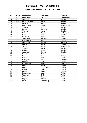#### **8th Istanbul Bowling Open / Turkey / Gold**

| Pos.            | <b>Points</b>   | Last name         | <b>First name</b> | Federation      |
|-----------------|-----------------|-------------------|-------------------|-----------------|
| 1               | 150             | Breeschoten       | Lisanne           | Netherlands     |
| $\overline{2}$  | 120             | Adolfsson         | Elin              | Sweden          |
| $\overline{3}$  | 105             | Persson-Planefors | Joline            | Sweden          |
| $\overline{4}$  | 90              | Andersson         | Ida               | Sweden          |
| $\overline{5}$  | $\overline{75}$ | Haandrikman       | Carmen            | Netherlands     |
| $\overline{6}$  | $\overline{72}$ | Johnson           | Helén             | Sweden          |
| $\overline{7}$  | 69              | Larsen            | Rebecka           | Sweden          |
| 8               | 66              | Wegner            | Jenny             | Sweden          |
| 9               | 63              | <b>Kok</b>        | Wendy             | Netherlands     |
| 10              | 60              | <b>Flack</b>      | Nina              | Sweden          |
| $\overline{11}$ | 45              | Kovalova          | Daria             | Ukraine         |
| 12              | 45              | Johansson         | Victoria          | Sweden          |
| $\overline{13}$ | $\overline{42}$ | Özogluuntur       | Ebru              | Turkey          |
| 14              | 42              | Stefanova         | Marina            | <b>Bulgaria</b> |
| $\overline{15}$ | 39              | Aksular           | Gulhan            | Turkey          |
| 16              | 39              | <b>Sanders</b>    | Nicole            | Netherlands     |
| 17              | 36              | Johansson         | Jenny             | Sweden          |
| 18              | 36              | Hultin            | Isabelle          | Sweden          |
| 19              | $\overline{33}$ | Andersson         | Sandra            | Sweden          |
| 20              | $\overline{33}$ | Mizrahi           | Sarit             | Israel          |
| $\overline{21}$ | $\overline{24}$ | Erol              | Hicran            | Turkey          |
| 22              | 24              | Gürkan            | Duygu             | Turkey          |
| $\overline{23}$ | 24              | Michajlow         | Adile             | Germany         |
| 24              | 24              | Senturk           | Tulin             | Turkey          |
| $\overline{25}$ | 24              | Maaswinkel        | Priscilla         | Netherlands     |
| 26              | 18              | Cinar             | Gökçe             | <b>Turkey</b>   |
| $\overline{27}$ | 18              | Kayim             | Ferah Sohret      | Turkey          |
| 28              | 18              | Gümüs             | Ezgi              | Turkey          |
| $\overline{29}$ | 18              | Kanbur            | Hulya             | Turkey          |
| $\overline{30}$ | 18              | Kucukbulut        | Irem              | Turkey          |
| $\overline{31}$ | 12              | Taspolat          | Ezgi              | Turkey          |
| 32              | 12              | Oznur             | Cigdem            | Turkey          |
| $\overline{33}$ | 12              | Küçük             | Meryem            | Turkey          |
| $\overline{34}$ | 12              | <b>Binici</b>     | Elhan Sevgi       | Turkey          |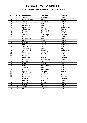#### **Bowltech Aalborg International 2011 / Denmark / Gold**

| Pos.                      | Points          | Last name         | First name        | Federation     |
|---------------------------|-----------------|-------------------|-------------------|----------------|
| $\mathbf{1}$              | 150             | Agerbo            | Rikke Holm        | <b>Denmark</b> |
| $\overline{2}$            | 120             | Persson-Planefors | Joline            | Sweden         |
| $\overline{\overline{3}}$ | 105             | Jensen            | Mai Ginge         | Denmark        |
| $\overline{4}$            | 90              | Wedel             | Sascha            | Denmark        |
| $\overline{5}$            | $\overline{75}$ | Bröndsted         | <b>Britt</b>      | Denmark        |
| 6                         | $\overline{72}$ | Breeschoten       | Lisanne           | Netherlands    |
| $\overline{7}$            | 69              | Christensen       | Randi B.          | Denmark        |
| 8                         | 66              | Madsen            | Charlotte B.      | <b>Denmark</b> |
| 9                         | 63              | Larsen            | Rebecka           | Sweden         |
| 10                        | 60              | Jensen            | Anja Ginge        | <b>Denmark</b> |
| 11                        | 45              | Flack             | Nina              | Sweden         |
| $\overline{12}$           | $\overline{45}$ | Maaswinkel        | Priscilla         | Netherlands    |
| $\overline{13}$           | 42              | Bögeskov          | Nickie            | Denmark        |
| 14                        | $\overline{42}$ | Kjeldsen          | Kamilla           | <b>Denmark</b> |
| $\overline{15}$           | 39              | Kok               | Wendy             | Netherlands    |
| 16                        | $\overline{39}$ | Simonsen          | Trine             | <b>Denmark</b> |
| 17                        | $\overline{36}$ | Thorstensen       | Heidi             | Norway         |
| 18                        | $\overline{36}$ | Van der Tol       | Ghislaine         | Netherlands    |
| 19                        | $\overline{33}$ | Johansen          | Jeanett H.        | Norway         |
| $\overline{20}$           | $\overline{33}$ | van der Meer      | Danielle          | Netherlands    |
| 21                        | 24              | Karlsson          | Frida             | Sweden         |
| $\overline{22}$           | $\overline{24}$ | Kristensen        | Pernille          | <b>Denmark</b> |
| 23                        | 24              | Pedersen          | Randi Kryger      | Denmark        |
| $\overline{24}$           | $\overline{24}$ | Lundën            | Rosa              | Finland        |
| $\overline{25}$           | $\overline{24}$ | Lislien           | Monica            | Norway         |
| 26                        | 18              | Gales             | Anne Lorraine     | Denmark        |
| $\overline{27}$           | 18              | Johansen          | <b>Stine</b>      | Denmark        |
| 28                        | 18              | De Lisser         | Natalia Ann       | Denmark        |
| 29                        | 18              | Jensen            | Maria Bak         | Denmark        |
| $\overline{30}$           | 18              | Almestrand        | Line Berg         | Norway         |
| $\overline{31}$           | 12              | Rasmussen         | Pernille          | <b>Denmark</b> |
| 32                        | 12              | Kristensen        | Karina            | Denmark        |
| $\overline{33}$           | 12              | Dressel           | Katia Iben        | Denmark        |
| $\overline{34}$           | $\overline{12}$ | Skovgaard         | $\overline{Else}$ | <b>Denmark</b> |
| $\overline{35}$           | 12              | Mortensen         | Vibeke            | Norway         |
| $\overline{36}$           | $\overline{9}$  | Overgaard         | Ida               | Denmark        |
| 37                        | 9               | Taylor            | Michaela          | Denmark        |
| 38                        | $\overline{9}$  | Kristensen        | Grethe            | Denmark        |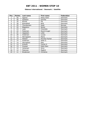#### **Odense International / Denmark / Satellite**

| Pos. | <b>Points</b> | Last name        | <b>First name</b> | Federation |
|------|---------------|------------------|-------------------|------------|
|      | 50            | Agerbo           | Rikke Holm        | Denmark    |
| 2    | 40            | Kjeldsen         | Kamilla           | Denmark    |
| 3    | 35            | <b>Burkal</b>    | Pia               | Denmark    |
| 4    | 30            | Bröndsted        | <b>Britt</b>      | Denmark    |
| 5    | 25            | Thorstensen      | Heidi             | Norway     |
| 6    | 24            | Bögeskov         | Nickie            | Denmark    |
| 7    | 23            | Leen             | Charlotte         | Denmark    |
| 8    | 22            | Pedersen         | Randi Kryger      | Denmark    |
| 9    | 21            | Jeppesen         | Lotte             | Denmark    |
| 10   | 20            | Andersen         | Louise            | Denmark    |
| 11   | 15            | Nörregaard       | Marie             | Denmark    |
| 12   | 15            | Nielsen          | Pernille Fischer  | Denmark    |
| 13   | 14            | Andersen         | Helle O.          | Denmark    |
| 14   | 14            | Skovgaard        | Else              | Denmark    |
| 15   | 13            | Eriksen          | Cecilie S.        | Denmark    |
| 16   | 13            | Dressel          | Katia Iben        | Denmark    |
| 17   | 12            | Johansen         | Anny              | Denmark    |
| 18   | 12            | Petersen         | Majbrit           | Denmark    |
| 19   | 11            | <b>Brodersen</b> | Christina         | Denmark    |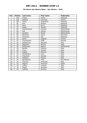#### **7th Storm San Marino Open / San Marino / Gold**

| Pos.            | <b>Points</b> | Last name      | <b>First name</b> | Federation   |
|-----------------|---------------|----------------|-------------------|--------------|
| $\mathbf{1}$    | 150           | Cheah          | Esther            | Malaysia     |
| $\overline{2}$  | 120           | Gaillard       | Laurence          | France       |
| 3               | 105           | Sijore         | Jacqueline        | Malaysia     |
| $\overline{4}$  | 90            | Koh            | Sharon            | Malaysia     |
| $\overline{5}$  | 75            | Jane           | Sin Li            | Malaysia     |
| 6               | 72            | Aziela         | Zandra            | Malaysia     |
| $\overline{7}$  | 69            | Haandrikman    | Carmen            | Netherlands  |
| 8               | 66            | <b>Kok</b>     | Wendy             | Netherlands  |
| $\overline{9}$  | 63            | <b>Sanders</b> | Nicole            | Netherlands  |
| 10              | 60            | Beuthner       | Laura             | Germany      |
| 11              | 45            | Shazwani       | Siti              | Malaysia     |
| 12              | 45            | Sacco          | Isabelle          | France       |
| 13              | 42            | Thorstensen    | Heidi             | Norway       |
| 14              | 42            | Dallelucche    | Manuela           | Italy        |
| 15              | 39            | Bagnolini      | Monica            | Italy        |
| 16              | 39            | Wiekeraad      | <b>Bianca</b>     | Netherlands  |
| 17              | 36            | Baraldi        | Fabiana           | <b>Italy</b> |
| 18              | 36            | Frioni         | Pamela            | Italy        |
| 19              | 33            | Cataoli        | Simona            | Italy        |
| 20              | 33            | Santamaria     | Lara              | Italy        |
| 21              | 24            | Frassineti     | Daniela           | Italy        |
| 22              | 24            | Mattalini      | Monica            | Italy        |
| 23              | 24            | Barthelemy     | Aline             | San Marino   |
| 24              | 24            | Taschini       | Antonella         | Italy        |
| $\overline{25}$ | 24            | Segura         | Asuncion          | Spain        |
| 26              | 18            | Cafaro         | Luciana           | Italy        |
| 27              | 18            | Regoli         | Annalisa          | Italy        |
| 28              | 18            | Ciattoni       | Simona            | Italy        |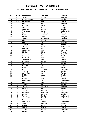#### **33 Trofeu Internacional Ciutat de Barcelona / Catalonia / Gold**

| Pos.                     | <b>Points</b>  | Last name         | <b>First name</b> | Federation  |
|--------------------------|----------------|-------------------|-------------------|-------------|
| 1                        | 150            | Aziela            | Zandra            | Malaysia    |
| $\overline{2}$           | 120            | Persson-Planefors | Joline            | Sweden      |
| $\overline{3}$           | 105            | <b>Bröndsted</b>  | <b>Britt</b>      | Denmark     |
| $\overline{\mathcal{L}}$ | 90             | Koh               | Sharon            | Malaysia    |
| $\overline{5}$           | 75             | Lundén            | Roosa             | Finland     |
| 6                        | 72             | Shazwani          | Siti              | Malaysia    |
| $\overline{7}$           | 69             | Andersson         | Sandra            | Sweden      |
| 8                        | 66             | Wiekeraad         | <b>Bianca</b>     | Netherlands |
| 9                        | 63             | Jensen            | Mai Ginge         | Denmark     |
| 10                       | 60             | Celie             | Lauriane          | France      |
| 11                       | 45             | Cheah             | Esther            | Malaysia    |
| 12                       | 45             | Agerbo            | Rikke Holm        | Denmark     |
| 13                       | 42             | Kok               | Wendy             | Netherlands |
| 14                       | 42             | Ribguth           | Janin             | Germany     |
| 15                       | 39             | Johansson         | Jenny             | Sweden      |
| 16                       | 39             | Sanders           | Nicole            | Netherlands |
| 17                       | 36             | Zavjalova         | Diana             | Latvia      |
| 18                       | 36             | Staudinger        | Cassie            | Australia   |
| 19                       | 33             | Pöllänen          | Krista            | Finland     |
| 20                       | 33             | Guerrero          | Clara             | Colombia    |
| 21                       | 24             | Johansson         | Victoria          | Sweden      |
| 22                       | 24             | Kovalova          | Daria             | Ukraine     |
| $\overline{23}$          | 24             | Thorstensen       | Heidi             | Norway      |
| 24                       | 24             | Planchard         | Marilyn           | France      |
| $\overline{25}$          | 24             | Adolfsson         | Elin              | Sweden      |
| 26                       | 18             | Lunden            | Reija             | Finland     |
| 27                       | 18             | Flack             | Nina              | Sweden      |
| 28                       | 18             | Leal              | Luz Adriana       | Catalonia   |
| 29                       | 18             | Wegner            | Jenny             | Sweden      |
| 30                       | 18             | Saint Marc        | Aude              | France      |
| 31                       | 12             | Hultin            | Isabelle          | Sweden      |
| $\overline{32}$          | 12             | Pöntinen          | Marjo             | Finland     |
| $\overline{33}$          | 12             | Manninen          | Nina              | Finland     |
| 34                       | 12             | Breeschoten       | Lisanne           | Netherlands |
| 35                       | 12             | Sin Li            | Jane              | Malaysia    |
| 36                       | 9              | Johnsson          | Helen             | Sweden      |
| 37                       | 9              | Sijore            | Jacqueline        | Malaysia    |
| 38                       | $\overline{9}$ | Andersson         | Ida               | Sweden      |
| 39                       | $\overline{9}$ | Jacques           | Amandine          | France      |
| 40                       | 9              | Puiggros          | Rosa Mas          | Catalonia   |
| 41                       | $\overline{6}$ | Larsen            | Rebecka           | Sweden      |
| 42                       | $\overline{6}$ | <b>Tomas</b>      | Cheska            | Netherlands |
| 43                       | 6              | van der Mer       | Danielle          | Netherlands |
| 44                       | 6              | Murat             | Valerie           | France      |
| 45                       | 6              | van der Tol       | Ghislaine         | Netherlands |
| 46                       | $\overline{3}$ | Impola            | Hannele           | Finland     |
| 47                       | $\overline{3}$ | Derynck           | Isabelle          | France      |
| 48                       | $\overline{3}$ | Wedel             | Sascha            | Denmark     |
| 49                       | $\overline{3}$ | Torrents          | Sandra            | Catalonia   |
| 50                       | $\overline{3}$ | Keränen           | Jenni             | Finland     |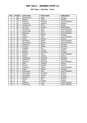#### **BNC Open / Slovakia / Silver**

| Pos.            | <b>Points</b>  | Last name   | <b>First name</b> | <b>Federation</b>     |
|-----------------|----------------|-------------|-------------------|-----------------------|
| 1               | 100            | Thorstensen | Heidi             | Norway                |
| $\overline{2}$  | 80             | Wegner      | Jenny             | Sweden                |
| $\overline{3}$  | 70             | Bestova     | Katerina          | Czech Republic        |
| $\overline{4}$  | 60             | Linderoth   | Josefine          | Sweden                |
| $\overline{5}$  | 50             | Kuznetcova  | Yana              | Russia                |
| $\overline{6}$  | 48             | de Rooij    | Maxime            | Netherlands           |
| $\overline{7}$  | 46             | Hanusova    | Dana              | Czech Republic        |
| 8               | 44             | Hanzlovska  | Petra             | Czech Republic        |
| 9               | 42             | Padarova    | Ivana             | Czech Republic        |
| 10              | 40             | Pesek       | <b>Beatrix</b>    | Hungary               |
| 11              | 30             | Lebrova     | Jana              | Czech Republic        |
| 12              | 30             | Gross       | Ivonne            | Austria               |
| 13              | 28             | Navakova    | Miluse            | Czech Republic        |
| 14              | 28             | Hanusikova  | Blanka            | Czech Republic        |
| 15              | 26             | Stankova    | Petra             | Slovakia              |
| 16              | 26             | Krizman     | Mihela            | Slovenia              |
| 17              | 24             | Hegedus     | Eva               | Hungary               |
| 18              | 24             | Korherr     | Sandra            | Austria               |
| 19              | 22             | Bodolai     | Dorottya          | Hungary               |
| 20              | 22             | Frysova     | Vera              | <b>Czech Republic</b> |
| 21              | 16             | Weber       | Andrea            | Austria               |
| 22              | 16             | Pospisilova | Veronika          | Slovakia              |
| 23              | 16             | Slamkova    | Katarina          | Slovakia              |
| 24              | 16             | Stysova     | Bohdana           | Czech Republic        |
| $\overline{25}$ | 16             | Adler       | Tamara            | Austria               |
| 26              | 12             | Werner      | Monika            | Austria               |
| 27              | 12             | Krnakova    | Sarka             | Czech Republic        |
| 28              | 12             | Vajda       | Katalin           | Hungary               |
| 29              | 12             | Hustovova   | Jana              | Czech Republic        |
| 30              | 12             | Rohrmoser   | Christine         | Austria               |
| 31              | 8              | Wustinger   | Monika            | Austria               |
| $\overline{32}$ | 8              | Baluchova   | Alena             | Slovakia              |
| $\overline{33}$ | 8              | Spacal      | Rita              | Austria               |
| 34              | 8              | Lenz        | Eveline           | Austria               |
| $\overline{35}$ | $\overline{8}$ | Zabkova     | Lucie             | Czech Republic        |
| $\overline{36}$ | $\overline{6}$ | Chladkova   | Hana              | Czech Republic        |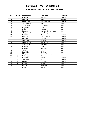### **Linne Norwegian Open 2011 / Norway / Satellite**

| Pos.            | <b>Points</b>   | Last name   | <b>First name</b>  | <b>Federation</b> |
|-----------------|-----------------|-------------|--------------------|-------------------|
| 1               | 50              | Hansen      | Andrea             | Norway            |
| $\overline{2}$  | 40              | Wegner      | Jenny              | Sweden            |
| $\overline{3}$  | $\overline{35}$ | Christensen | Randi Brogaard     | Denmark           |
| 4               | 30              | Thorstensen | Heidi              | Norway            |
| 5               | 25              | Torgersen   | Patcharin          | Norway            |
| $\overline{6}$  | 24              | Fosseide    | Tove               | Norway            |
| 7               | 23              | Lislien     | Monica             | Norway            |
| 8               | 22              | Johansen    | Jeanett Haavelmoen | Norway            |
| 9               | 21              | Almestrand  | Line Berg          | Norway            |
| 10              | 20              | Hansen      | Randi              | Norway            |
| 11              | 15              | Smevik      | Trine Horgen       | Norway            |
| 12              | 15              | Bakken      | Sandra             | Norway            |
| 13              | 14              | Andersen    | Grethe             | Norway            |
| 14              | 14              | Aureliusson | Ann-Louise         | Norway            |
| $\overline{15}$ | 13              | Ingvoldstad | Mariann            | Norway            |
| $\overline{16}$ | 13              | Lillelien   | Lene               | Norway            |
| 17              | 12              | Frøshaug    | Ragnhild           | Norway            |
| 18              | 12              | Tvedt       | Torill             | Norway            |
| 19              | 11              | Fosseide    | Grethe             | Norway            |
| 20              | 11              | Stivang     | Miriam Lindegaard  | Norway            |
| 21              | 8               | Mathiesen   | Elin               | Norway            |
| 22              | $\overline{8}$  | Monsen      | Janne              | Norway            |
| 23              | $\overline{8}$  | Jacobsen    | Åse                | Norway            |
| 24              | 8               | Krogh       | Therese            | Norway            |
| 25              | 8               | Løvdal      | Mona               | Norway            |
| 26              | 6               | Lønne       | Ingelinn           | Norway            |
| 27              | 6               | Mahrra      | Sonya              | Norway            |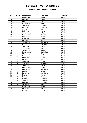#### **Russian Open / Russia / Satellite**

| Pos.                    | <b>Points</b>            | Last name   | First name | Federation |
|-------------------------|--------------------------|-------------|------------|------------|
| 1                       | 50                       | Korobkova   | Alena      | Russia     |
| $\overline{2}$          | 40                       | Kovalova    | Daria      | Ukraine    |
| $\overline{3}$          | 35                       | Kryl        | Kristina   | Russia     |
| $\overline{\mathbf{4}}$ | 30                       | Polyanskaya | Julia      | Russia     |
| $\overline{5}$          | 25                       | Smirnova    | Evgenia    | Russia     |
| 6                       | 24                       | Efimova     | Zaryana    | Russia     |
| $\overline{7}$          | 23                       | Orlova      | Anna       | Russia     |
| 8                       | 22                       | Bulanova    | Maria      | Russia     |
| 9                       | 21                       | Gorbacheva  | Julia      | Russia     |
| 10                      | 20                       | Korobkova   | Varvara    | Russia     |
| 11                      | 15                       | Smotrova    | Ksenia     | Russia     |
| 12                      | 15                       | Milkovich   | Elena      | Russia     |
| 13                      | 14                       | Belenko     | Viktoria   | Russia     |
| 14                      | 14                       | Tikhonova   | Anastasia  | Russia     |
| 15                      | 13                       | Lin         | Xiaoyun    | China      |
| 16                      | 13                       | Sukhanova   | Galina     | Russia     |
| 17                      | 12                       | Tabachkova  | Olga       | Russia     |
| 18                      | 12                       | Voronkova   | Daria      | Russia     |
| 19                      | $11\,$                   | Korablinova | Nadezhda   | Russia     |
| 20                      | 11                       | Stepanova   | Tatyana    | Russia     |
| 21                      | 8                        | Korobkova   | Inna       | Russia     |
| 22                      | 8                        | Shatalova   | Elvira     | Russia     |
| 23                      | 8                        | Kislyak     | Anna       | Russia     |
| 24                      | 8                        | Istomina    | Ksenia     | Russia     |
| $\overline{25}$         | 8                        | Yakunina    | Alexandra  | Ukraine    |
| 26                      | 6                        | Suslikova   | Elena      | Russia     |
| 27                      | 6                        | Kharlamova  | Polina     | Russia     |
| 28                      | 6                        | Kuleshova   | Anastasia  | Russia     |
| 29                      | 6                        | Kulikova    | Ksenia     | Russia     |
| 30                      | 6                        | Pokasova    | Anastasia  | Russia     |
| 31                      | 4                        | Koshel      | Maria      | Russia     |
| $\overline{32}$         | $\overline{\mathbf{4}}$  | Danacheva   | Elizaveta  | Russia     |
| 33                      | 4                        | Koshel      | Ekaterina  | Russia     |
| 34                      | 4                        | Zvereva     | Ekaterina  | Russia     |
| 35                      | $\overline{\mathcal{L}}$ | Sheshenya   | Tatyana    | Russia     |
| 36                      | 3                        | Sozinova    | Julia      | Russia     |
| 37                      | $\overline{3}$           | Gryaznova   | Varvara    | Russia     |
| 38                      | $\overline{3}$           | Krutikova   | Viktoria   | Russia     |
| 39                      | $\overline{3}$           | Fedorova    | Maria      | Russia     |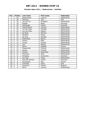#### **Chandra Open 2011 / Netherlands / Satellite**

| Pos.            | <b>Points</b>  | Last name       | <b>First name</b> | <b>Federation</b>  |
|-----------------|----------------|-----------------|-------------------|--------------------|
| 1               | 50             | Breeschoten     | Lisanne           | Netherlands        |
| $\overline{2}$  | 40             | Stickney        | Tina              | <b>USA</b>         |
| $\overline{3}$  | 35             | van der Tol     | Ghislaine         | Netherlands        |
| 4               | 30             | Poppler         | <b>Birgit</b>     | Germany            |
| 5               | 25             | Staudinger      | Cassie            | Australia          |
| $\overline{6}$  | 24             | Haandrikman     | Carmen            | Netherlands        |
| $\overline{7}$  | 23             | van der Meer    | Danielle          | <b>Netherlands</b> |
| 8               | 22             | van der Meer    | Sophie            | Netherlands        |
| 9               | 21             | de Rooij        | Maxime            | Netherlands        |
| 10              | 20             | <b>Sanders</b>  | Nicole            | Netherlands        |
| 11              | 15             | de Jong         | Marieke           | Netherlands        |
| 12              | 15             | Wiekeraad       | <b>Bianca</b>     | Netherlands        |
| 13              | 14             | Jansen          | Ellen             | Netherlands        |
| 14              | 14             | <b>Tomas</b>    | Cheska            | Netherlands        |
| 15              | 13             | <b>Kok</b>      | Wendy             | Netherlands        |
| 16              | 13             | Sacco           | Isabelle          | France             |
| 17              | 12             | Maaswinkel      | Priscilla         | Netherlands        |
| 18              | 12             | Jacobs          | Chantal           | Netherlands        |
| 19              | 11             | Greiner         | Samantha          | Netherlands        |
| 20              | 11             | Plummen         | Kelly             | Netherlands        |
| 21              | 8              | Wrisberg        | Charmaine         | Denmark            |
| 22              | $\overline{8}$ | van Ojik        | Tessa             | Netherlands        |
| 23              | 8              | Schmidt Eriksen | Cecilie           | Denmark            |
| 24              | $\overline{8}$ | Wisniewski      | Fely              | France             |
| $\overline{25}$ | $\overline{8}$ | Andreello       | Paola             | Italy              |
| 26              | 6              | Goossens        | Katrien           | Belgium            |
| 27              | $\overline{6}$ | <b>Borst</b>    | Lisanne           | Netherlands        |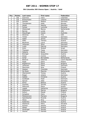#### **9th Columbia 300 Vienna Open / Austria / Gold**

| Pos.                     | <b>Points</b>           | Last name       | First name     | Federation      |
|--------------------------|-------------------------|-----------------|----------------|-----------------|
| $\mathbf{1}$             | 150                     | Guerrero        | Clara          | Colombia        |
| $\overline{2}$           | 120                     | Breeschoten     | Lisanne        | Netherlands     |
| 3                        | 105                     | Geissler        | Nadine         | Germany         |
| $\overline{\mathcal{L}}$ | 90                      | Thorstensen     | Heidi          | Norway          |
| $\overline{5}$           | 75                      | Wedel           | Sascha         | Denmark         |
| $\overline{6}$           | $\overline{72}$         | Farkas          | Luminita       | Romania         |
| $\overline{7}$           | 69                      | Wiekeraad       | <b>Bianca</b>  | Netherlands     |
| 8                        | 66                      | <b>Barnes</b>   | Lynda          | <b>USA</b>      |
| $\overline{9}$           | 63                      | Staudinger      | Cassie         | Australia       |
| 10                       | 60                      | Stickney        | Tina           | <b>USA</b>      |
| 11                       | 45                      | Timter          | Vanessa        | Germany         |
| 12                       | 45                      | Gabel           | Janine         | Germany         |
| 13                       | 42                      | Adler           | Tamara         | Austria         |
| 14                       | 42                      | Beuthner        | Laura          | Germany         |
| $\overline{1}5$          | 39                      | Johansen        | Stine          | Denmark         |
| 16                       | 39                      | Luoto           | Patricia       | Germany         |
| 17                       | 36                      | Antin           | Shahaf         | Israel          |
| 18                       | 36                      | Theissen        | Tanja          | Germany         |
| 19                       | 33                      | Heberle         | Nicole         | Germany         |
| $\overline{20}$          | 33                      | <b>Broinger</b> | Jacqueline     | Austria         |
| 21                       | 24                      | Gross           | Ivonne         | Austria         |
| 22                       | 24                      | Schijf          | Bernadette     | Netherlands     |
| 23                       | 24                      | Bestova         | Katerina       | Czech Republic  |
| $\overline{24}$          | 24                      | Pajak           | Daria          | Poland          |
| 25                       | 24                      | Bogdanova       | Elena          | <b>Bulgaria</b> |
| 26                       | 18                      | Johansen        | Rikke          | Denmark         |
| 27                       | 18                      | Manninen        | Nina           | Finland         |
| 28                       | 18                      | Madsen          | Charlotte      | Denmark         |
| $\overline{29}$          | 18                      | De Rooij        | Maxime         | Netherlands     |
| 30                       | 18                      | Oberkersch      | Teresa         | Austria         |
| $\overline{31}$          | 12                      | Rieger          | Juliane        | Germany         |
| 32                       | 12                      | Gablek          | Christine      | Austria         |
| $\overline{33}$          | 12                      | Guldbaek        | Heidi          | Denmark         |
| 34                       | 12                      | Sarcan          | Adile          | Germany         |
| $\overline{35}$          | 12                      | Klima           | <b>Bettina</b> | Austria         |
| 36                       | 9                       | Dosztaly        | Sarolta        | Hungary         |
| 37                       | $\overline{9}$          | Milkovich       | Elena          | Russia          |
| 38                       | $\overline{9}$          | Lippek          | Katharina      | Germany         |
| 39                       | $\overline{9}$          | Stefanova       | Marina         | <b>Bulgaria</b> |
| 40                       | $\overline{9}$          | Keituri         | Margit         | Finland         |
| 41                       | 6                       | Schadner        | Petra          | Austria         |
| 42                       | $\overline{6}$          | Meteksinova     | Mariana        | <b>Bulgaria</b> |
| 43                       | $\overline{6}$          | Speckbacher     | Ricarda        | Austria         |
| 44                       | 6                       | Weiss           | Nina           | Austria         |
| 45                       | 6                       | Kadensky        | Andrea         | Austria         |
| 46                       | $\overline{\mathbf{3}}$ | Stankova        | Petra          | Slovakia        |
| 47                       | $\overline{3}$          | Korherr         | Sandra         | Austria         |
| 48                       | $\overline{3}$          | Weber           | Andrea         | Austria         |
| 49                       | $\overline{3}$          | Wustinger       | Monika         | Austria         |
| 50                       | $\overline{3}$          | Zauner          | Daniela        | Austria         |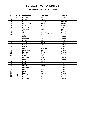#### **Ebonite Lahti Open / Finland / Silver**

| Pos.            | <b>Points</b>   | Last name                | First name     | Federation |
|-----------------|-----------------|--------------------------|----------------|------------|
| $\mathbf{1}$    | 100             | Lundén                   | Roosa          | Finland    |
| $\overline{2}$  | 80              | Pöllänen                 | Krista         | Finland    |
| $\overline{3}$  | 70              | Luoto                    | Patricia       | Germany    |
| $\overline{4}$  | 60              | <b>Persson Planefors</b> | Joline         | Sweden     |
| $\overline{5}$  | 50              | Wedel                    | Sascha         | Denmark    |
| $\overline{6}$  | 48              | Pöntinen                 | Marjo          | Finland    |
| $\overline{7}$  | 46              | Thorstensen              | Heidi          | Norway     |
| 8               | 44              | Lundén                   | Reija          | Finland    |
| $\overline{9}$  | 42              | Christensen              | Randi Brogaard | Denmark    |
| 10              | 40              | Impola                   | Hannele        | Finland    |
| 11              | 30              | Pasanen                  | Sanna          | Finland    |
| 12              | 30              | Leskinen                 | Suvi           | Finland    |
| 13              | 28              | Manninen                 | Nina           | Finland    |
| 14              | 28              | Jokinen                  | Jonna          | Finland    |
| 15              | 26              | Madsen                   | Charlotte      | Denmark    |
| 16              | 26              | Nurmilo                  | Mari           | Finland    |
| 17              | 24              | Agerbo                   | Rikke Holm     | Denmark    |
| 18              | 24              | Kämäräinen               | Iina           | Finland    |
| 19              | 22              | Forslund                 | Sonja          | Finland    |
| $\overline{20}$ | $\overline{2}2$ | Manninen                 | Heidi          | Finland    |
| $\overline{21}$ | 16              | Gylden                   | Iida           | Finland    |
| 22              | 16              | Poikonen                 | Heidi          | Finland    |
| $\overline{23}$ | 16              | Ratia                    | Riikka         | Finland    |
| 24              | 16              | Mäkelä                   | Sonja          | Finland    |
| $\overline{25}$ | 16              | Hiltunen                 | <b>Eliisa</b>  | Finland    |
| 26              | 12              | Alanko                   | Noora          | Finland    |
| 27              | 12              | Koukkari                 | Petra          | Finland    |
| 28              | 12              | Rantala                  | Henna          | Finland    |
| 29              | 12              | Keränen                  | Jenni          | Finland    |
| 30              | 12              | Puska                    | Jasmin         | Finland    |
| 31              | $\,8\,$         | Hongisto                 | Marja          | Finland    |
| $\overline{32}$ | $\overline{8}$  | Putkisto                 | Tiia           | Finland    |
| 33              | $\overline{8}$  | Mähönen                  | Heli           | Finland    |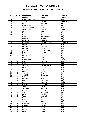#### **2nd Ebonite Roma International / Italy / Satellite**

| Pos.                    | <b>Points</b>           | Last name             | First name      | Federation  |
|-------------------------|-------------------------|-----------------------|-----------------|-------------|
| $\mathbf{1}$            | 50                      | Sanders               | Nicole          | Netherlands |
| $\overline{2}$          | 40                      | Del olmo de la Fuente | Sara            | Italy       |
| 3                       | 35                      | <b>Tomas</b>          | Cheska          | Netherlands |
| $\overline{\mathbf{4}}$ | 30                      | Balzano               | Annalisa        | Spain       |
| $\overline{5}$          | 25                      | Di Benedetto          | Helga           | Spain       |
| $\overline{6}$          | 24                      | Jimenez Gonzalez      | Monica          | Italy       |
| $\overline{7}$          | 23                      | Carannante            | Tiziana         | Malta       |
| 8                       | 22                      | Sala                  | Alba            | Italy       |
| $\overline{9}$          | 21                      | Ferina                | Roberta         | Italy       |
| 10                      | 20                      | Fusco                 | Raffaella       | Italy       |
| 11                      | 15                      | Matrullo              | Maria Rosaria   | Italy       |
| 12                      | 15                      | Provenzi              | Pamela          | Italy       |
| 13                      | 14                      | Urbistazu             | Gabriela        | Spain       |
| 14                      | 14                      | Figueroa              | Maria Rafaelita | Philippines |
| 15                      | 13                      | Ciattoni              | Simona          | Italy       |
| 16                      | 13                      | Arcidiacono           | Giuseppina      | Italy       |
| 17                      | 12                      | Castagna              | Marzia          | Italy       |
| 18                      | 12                      | Tiragallo             | Maria Vittoria  | Italy       |
| 19                      | 11                      | Frioni                | Pamela          | Italy       |
| 20                      | 11                      | Torregrossa           | Letizia         | Italy       |
| 21                      | 8                       | Rius Sala             | Antonia         | Spain       |
| 22                      | 8                       | Elena                 | Grazia          | Italy       |
| 23                      | 8                       | Garcia Prado          | Lola            | Spain       |
| 24                      | 8                       | Carta                 | Stefania        | Italy       |
| 25                      | 8                       | Cafaro                | Luciana         | Italy       |
| 26                      | $\overline{6}$          | Iacomino              | Maria Rosaria   | Italy       |
| 27                      | 6                       | Rossi                 | Melania         | Italy       |
| 28                      | 6                       | Mattalini             | Monica          | Italy       |
| 29                      | 6                       | Keituri               | Margit          | Finland     |
| 30                      | 6                       | Giustini              | Sara            | Italy       |
| $\overline{31}$         | $\overline{4}$          | Giuffrida             | Carmelina       | Italy       |
| 32                      | 4                       | Di Paolantonio        | Monica          | Italy       |
| $\overline{33}$         | 4                       | Salomone              | Paola           | Italy       |
| 34                      | 4                       | Vatteroni             | Simonetta       | Italy       |
| $\overline{35}$         | $\overline{\mathbf{4}}$ | Said                  | Stephanie       | Malta       |
| 36                      | $\overline{3}$          | Messina               | Francesca       | Italy       |
| 37                      | $\overline{3}$          | Suriano               | Elena           | Italy       |
| 38                      | $\overline{3}$          | Valentini             | Stefania        | Italy       |
| 39                      | $\overline{3}$          | Fonzo                 | Franca          | Italy       |
| 40                      | $\overline{3}$          | Galli                 | Simonetta       | Italy       |
| 41                      | $\overline{2}$          | Perna                 | Fiorella        | Italy       |
| 42                      | $\overline{2}$          | Taschini              | Antonella       | Italy       |
| 43                      | $\overline{2}$          | Lenuta                | Petrut          | Romania     |
| 44                      | $\overline{2}$          | Cattaneo              | Susi            | Italy       |
| 45                      | $\overline{2}$          | Tipaldi               | Piera           | Italy       |
| 46                      | $\mathbf{1}$            | Di martino            | Angelina        | Italy       |
| 47                      | $\mathbf{1}$            | Dantuono              | Concetta        | Italy       |
| 48                      | $\mathbf{1}$            | Fine                  | Patrizia        | Italy       |
| 49                      | $\mathbf{1}$            | Leone                 | Paola           | Italy       |
| 50                      | $\mathbf{1}$            | Carini                | Viviana         | Italy       |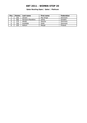#### **Qatar Bowling Open / Qatar / Platinum**

| Pos. | <b>Points</b> | Last name         | First name | Federation     |
|------|---------------|-------------------|------------|----------------|
|      | 250           | Jensen            | Mai Ginge  | Denmark        |
|      | 200           | Persson-Planefors | Joline     | Sweden         |
|      | 175           | Wedel             | Sascha     | <b>Denmark</b> |
| 4    | 150           | Gukdbäk           | Heidi      | Denmark        |
|      | 125           | Keituri           | Margit     | Finland        |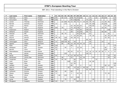| P              | Last name     | First name     | Federation | T.  | 01           | 02 | 03 |            | 04 05           | 06             | 07         | 08  | 09     | 10 | 11  | 12  | 13  | 14 | 15 | 16 | 17  | 18  | 19 | 20  |
|----------------|---------------|----------------|------------|-----|--------------|----|----|------------|-----------------|----------------|------------|-----|--------|----|-----|-----|-----|----|----|----|-----|-----|----|-----|
| 1              | Palermaa      | Osku           | Finland    | 946 | 69           |    | 50 | 115        |                 | 100            | 70         |     | 36 150 |    |     | 24  |     | 22 |    | 35 | 150 |     |    | 125 |
| $\overline{2}$ | Koivuniemi    | Mika           | Finland    | 798 | 150          |    |    |            |                 |                | 48 100 105 |     |        |    | 75  | 120 |     |    |    |    |     |     |    | 200 |
| 3              | Larsen        | <b>Thomas</b>  | Denmark    | 786 |              |    | 22 | 200        | 70              | 16             | 48         | 75  | 9      | 35 | 66  | 39  | 70  |    |    | 11 | 39  | 46  |    | 40  |
| 4              | Barrett       | Dominic        | England    | 770 | 12           |    |    | 175        |                 |                |            |     |        |    | 69  | 39  | 100 |    |    | 20 | 105 |     |    | 250 |
| 5              | Larsen        | Martin         | Sweden     | 666 |              |    |    |            |                 | 42             | 46         | 60  | 63     |    |     | 150 | 60  |    |    |    | 75  | 60  |    | 110 |
| 6              | Moor          | Paul           | England    | 651 | 105          |    | 70 |            |                 | 70             | 30         | 120 | 6      |    | 24  | 36  |     |    |    | 25 | 45  |     |    | 120 |
| $\overline{7}$ | Andersson     | Robert         | Sweden     | 540 |              |    |    | 55         |                 | 50             |            | 45  | 60     |    | 105 | 105 |     |    |    |    |     | 100 |    | 20  |
| 8              | Williams      | Stuart         | England    | 495 |              |    |    |            |                 | 28             |            | 36  | 105    |    | 90  | 72  |     |    |    | 40 | 69  |     |    | 55  |
| 9              | Stampe        | Mik            | Denmark    | 445 |              |    | 46 | 70         |                 |                |            | 66  | 120    | 50 |     | 63  |     |    |    |    |     | 30  |    |     |
| 10             | Jussila       | Perttu         | Finland    | 415 | 6            |    |    |            |                 | $\overline{4}$ | 24         | 90  | 66     |    |     | 18  | 26  |    |    |    | 36  | 26  | 14 | 105 |
| 11             | Eklund        | Dennis         | Sweden     | 384 | 36           | 35 |    | 100        |                 | 30             | 28         | 72  |        |    |     |     |     |    |    |    | 33  | 50  |    |     |
| 12             | Ridhwan       | Syafiq         | Malaysia   | 370 |              |    |    | 250        |                 |                |            |     |        |    | 60  | 60  |     |    |    |    |     |     |    |     |
| 13             | Verbruggen    | Gery           | Belgium    | 365 | 12           |    |    | 100 120 30 |                 |                | 44         |     |        |    |     | 45  |     |    |    | 14 |     |     |    |     |
| 14             | Agerbo        | Jesper         | Denmark    | 363 |              |    | 80 |            | 80              | 16             | 26         | 39  | 45     | 25 |     | 24  |     |    |    |    |     | 28  |    |     |
| 15             | Rash          | Sean           | <b>USA</b> | 335 | 120          |    |    |            |                 | 40             |            |     |        |    |     |     |     |    |    |    |     |     |    | 175 |
| 16             | Wahlgren      | Karl           | Sweden     | 333 | 63           |    |    | 40         |                 | $\overline{2}$ |            | 33  | 39     |    |     |     | 46  |    |    |    | 90  |     |    | 20  |
| 17             | <b>Barnes</b> | Chris          | <b>USA</b> | 310 | 75           |    |    |            |                 |                |            |     |        |    |     |     |     |    |    |    | 120 |     |    | 115 |
| 18             | Medveditskov  | Alexander      | Russia     | 265 |              |    |    |            | 30 <sup>1</sup> | 24             |            | 33  | 9      |    | 24  | 18  | 12  | 35 | 25 | 30 | 3   | 6   | 1  | 15  |
| 19             | Ang           | Adrian         | Malaysia   | 258 |              |    |    | 105        |                 |                |            |     |        |    | 120 | 33  |     |    |    |    |     |     |    |     |
| 20             | Aarup         | Matias         | Sweden     | 251 | 42           |    |    |            | 8               | 12             | 26         | 42  | 75     |    |     |     |     |    |    |    |     | 16  |    | 30  |
| 21             | Mortensen     | Jimmy Dan      | Denmark    | 250 |              |    | 48 |            |                 | 22             |            |     | 42     | 30 |     |     | 44  |    |    |    |     | 24  |    | 40  |
| 22             | Torgersen     | Tore           | Norway     | 250 | 24           |    | 44 | 65         |                 |                | 60         |     | 42     |    |     |     |     | 15 |    |    |     |     |    |     |
| 23             | Voss          | <b>Brian</b>   | <b>USA</b> | 246 |              |    |    |            | 100             |                | 30         |     |        |    |     | 36  | 80  |    |    |    |     |     |    |     |
| 24             | Fagan         | Mike           | <b>USA</b> | 222 |              |    |    |            |                 | 22             | 50         |     |        |    |     |     |     |    |    |    |     |     |    | 150 |
| 25             | Helldén       | Johan          | Sweden     | 216 |              |    |    |            |                 | 80             |            |     | 6      |    |     | 24  |     |    |    |    | 60  | 16  |    | 30  |
| 26             | Stott Jr.     | Paul           | Ireland    | 213 |              |    |    |            | 42              |                | 12         | 18  | 3      | 40 | 39  |     |     |    |    | 24 |     |     | 35 |     |
| 27             | Racpan        | Christian      | Germany    | 210 |              |    |    |            |                 |                |            | 63  |        |    | 42  | 69  | 30  |    |    | 6  |     |     |    |     |
| 28             | Lehtonen      | Kimmo          | Finland    | 190 | 90           |    |    | 40         |                 | 60             |            |     |        |    |     |     |     |    |    |    |     |     |    |     |
| 29             | Olsson        | <b>Mattias</b> | Sweden     | 181 | $\mathsf{q}$ |    |    |            |                 | $\overline{2}$ |            | 42  | 18     |    |     | 12  |     |    |    |    | 72  | 26  |    |     |
| 30             | <b>Blase</b>  | Oliver         | Germany    | 165 |              | 40 |    | 125        |                 |                |            |     |        |    |     |     |     |    |    |    |     |     |    |     |
| 31             | Thurlby       | Rob            | England    | 162 |              |    |    |            |                 | 12             |            | 150 |        |    |     |     |     |    |    |    |     |     |    |     |
| 32             | Ljung         | Peter          | Sweden     | 161 |              |    |    | 70         |                 |                | 42         |     | 3      |    |     |     | 24  |    |    |    |     | 22  |    |     |
| 33             | Öhrgaard      | Frederik       | Denmark    | 159 | 45           |    | 12 |            |                 |                |            | 69  | 24     | 3  |     | 6   |     |    |    |    |     |     |    |     |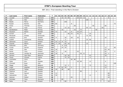| P  | Last name  | First name    | Federation | T.  | 01 | 02 |    |                 |                |                | 03   04   05   06   07   08 |    | 09 | 10 | 11  | 12 |    |    | 13 14 15 16 17 |                  | 18             | 19 | 20  |
|----|------------|---------------|------------|-----|----|----|----|-----------------|----------------|----------------|-----------------------------|----|----|----|-----|----|----|----|----------------|------------------|----------------|----|-----|
| 34 | Lousdal    | Anders        | Denmark    | 153 |    |    | 16 | 10              | 50             |                |                             | 24 | 33 | 12 |     |    |    |    |                |                  | 8              |    |     |
| 35 | Liew       | Alex          | Malaysia   | 153 |    |    |    |                 |                |                |                             |    |    |    | 150 | 3  |    |    |                |                  |                |    |     |
| 36 | Baade      | Marco         | Germany    | 150 |    |    |    | 150             |                |                |                             |    |    |    |     |    |    |    |                |                  |                |    |     |
| 37 | Russel     | Ronnie        | <b>USA</b> | 149 | 66 |    |    |                 |                | 8              |                             |    |    |    |     |    |    |    |                |                  |                |    | 75  |
| 38 | Gross      | Thomas        | Austria    | 144 |    |    |    |                 |                |                | 28                          |    |    |    |     |    | 50 |    |                | 66               |                |    |     |
| 39 | Alix       | Yoan          | France     | 144 |    |    |    | 15 <sup>1</sup> | 22             |                |                             |    |    |    | 45  | 12 |    |    | 50             |                  |                |    |     |
| 40 | Sandbakken | Mads          | Norway     | 144 |    |    | 16 |                 |                |                | 16                          |    | 72 |    |     |    |    | 40 |                |                  |                |    |     |
| 41 | Paulsson   | Martin        | Sweden     | 143 | 72 |    |    | 15              |                | 8              |                             | 24 | 24 |    |     |    |    |    |                |                  |                |    |     |
| 42 | Aviram     | 0r            | Israel     | 140 |    |    |    |                 | 46             | 16             |                             | 45 | 9  |    |     | 24 |    |    |                |                  |                |    |     |
| 43 | Monacelli  | Amleto        | Venezuela  | 138 |    |    |    |                 |                |                |                             |    |    |    | 72  | 66 |    |    |                |                  |                |    |     |
| 44 | Andersin   | Erik          | Sweden     | 130 | 9  |    |    | 30              |                | 28             |                             | 39 |    |    |     |    |    |    |                | 24               |                |    |     |
| 45 | Zulkifli   | Zulmazran     | Malaysia   | 128 |    |    |    | 5               |                |                |                             |    |    |    | 33  | 90 |    |    |                |                  |                |    |     |
| 46 | Helminen   | Jouni         | Finland    | 127 | 33 | 11 | 8  | 75              |                |                |                             |    |    |    |     |    |    |    |                |                  |                |    |     |
| 47 | Ocando     | Melvin        | Spain      | 120 | 3  | 24 |    | 65              | 16             |                |                             |    |    |    | 12  |    |    |    |                |                  |                |    |     |
| 48 | Kabowski   | Eike          | Germany    | 118 |    |    | 8  | 110             |                |                |                             |    |    |    |     |    |    |    |                |                  |                |    |     |
| 49 | Cundy      | Darren        | England    | 116 |    |    | 24 | 20              |                |                |                             |    |    |    |     |    |    |    |                | 12               |                |    | 60  |
| 50 | Uotila     | Pasi          | Finland    | 111 | 18 |    |    |                 |                |                |                             |    |    |    |     |    |    |    |                | 63               | 30             |    |     |
| 51 | Ranta      | Tony          | Finland    | 110 | 9  |    |    | 30              |                |                |                             | 24 |    |    |     |    |    |    |                | 42               |                |    | 5   |
| 52 | Hansen     | Carsten W.    | Denmark    | 107 | 18 |    | 6  |                 |                |                |                             |    | 36 | 21 |     |    |    |    |                | 24               | $\overline{2}$ |    |     |
| 53 | Samain     | Jean-Marc     | Belgium    | 106 |    |    |    | 20              | 26             |                |                             |    |    |    |     | 42 |    |    |                | 18               |                |    |     |
| 54 | Cayez      | Vincent       | France     | 106 |    |    |    | 75              | 22             |                |                             |    |    |    |     | 9  |    |    |                |                  |                |    |     |
| 55 | Loschetter | Chris         | <b>USA</b> | 106 |    |    |    |                 |                | 26             | 80                          |    |    |    |     |    |    |    |                |                  |                |    |     |
| 56 | Ojala      | Kim           | Sweden     | 105 |    |    |    |                 |                |                |                             | 18 | 69 |    |     | 12 |    |    |                | $\boldsymbol{6}$ |                |    |     |
| 57 | Ciminelli  | Ryan          | <b>USA</b> | 100 |    |    |    |                 |                |                |                             |    |    |    |     |    |    |    |                |                  |                |    | 100 |
| 58 | Maggi      | Mats          | Belgium    | 99  |    |    |    | 10              | $\overline{2}$ |                |                             |    |    |    |     | 75 |    |    |                | 12               |                |    |     |
| 59 | Unger      | Stephan       | Germany    | 98  |    | 8  | 42 | 30              |                | $\overline{2}$ |                             |    |    | 4  |     |    |    |    |                | 12               |                |    |     |
| 60 | Karlsson   | <b>Tobias</b> | Sweden     | 94  | 18 |    | 28 |                 | 48             |                |                             |    |    |    |     |    |    |    |                |                  |                |    |     |
| 61 | Pejstrup   | Lars          | Sweden     | 94  |    |    |    |                 |                |                |                             |    | 90 |    |     |    |    | 4  |                |                  |                |    |     |
| 62 | Tiainen    | Samuli        | Finland    | 92  | 12 |    |    |                 |                |                |                             |    |    |    |     |    |    |    |                |                  | 80             |    |     |
| 63 | Holmström  | Ville         | Finland    | 91  | 39 |    |    |                 |                |                |                             |    |    |    |     | 12 |    |    |                |                  | 40             |    |     |
| 64 | Salonen    | Petteri       | Finland    | 88  |    |    |    |                 |                | 44             |                             |    |    |    |     |    |    |    |                |                  | 44             |    |     |
| 65 | Schröder   | Timo          | Germany    | 85  |    |    | 60 |                 |                |                |                             |    |    | 14 |     |    |    |    | 11             |                  |                |    |     |
| 66 | Ratia      | Jari          | Finland    | 76  |    |    |    | 60              |                |                |                             |    |    |    |     |    |    |    |                |                  | 16             |    |     |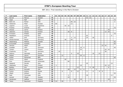| P  | Last name     | First name | Federation | T  | 01 |    |    | 02 03 04 05 06 07 08 |    |                |    |    | 09 | 10 | 11 | 12 |    |                |    | $13 \mid 14 \mid 15 \mid 16 \mid 17$ |    | 18 | 19 | 20              |
|----|---------------|------------|------------|----|----|----|----|----------------------|----|----------------|----|----|----|----|----|----|----|----------------|----|--------------------------------------|----|----|----|-----------------|
| 67 | Berndt        | Marcus     | Sweden     | 75 |    |    |    |                      |    |                |    |    |    |    | 42 | 33 |    |                |    |                                      |    |    |    |                 |
| 68 | Oqab          | Naif       | <b>UAE</b> | 75 |    |    |    |                      |    |                |    |    |    |    |    |    |    |                |    |                                      |    |    |    | 75              |
| 69 | Bohn III      | Parker     | <b>USA</b> | 73 |    |    |    |                      |    | 46             | 22 |    |    |    |    |    |    |                |    |                                      |    |    |    | $5\phantom{.0}$ |
| 70 | Hellström     | Peter      | Sweden     | 72 | 60 |    |    |                      |    | 12             |    |    |    |    |    |    |    |                |    |                                      |    |    |    |                 |
| 71 | Legnani       | Lucas      | Argentina  | 71 |    |    |    | 55                   | 16 |                |    |    |    |    |    |    |    |                |    |                                      |    |    |    |                 |
| 72 | Frawley       | Andrew     | <b>AUS</b> | 70 |    |    |    |                      |    |                |    |    |    |    |    |    |    |                |    |                                      |    |    |    | 70              |
| 73 | Ahokas        | Jarmo      | Finland    | 70 |    |    |    |                      |    |                |    |    |    |    |    |    |    |                |    |                                      |    | 70 |    |                 |
| 74 | Jehkinen      | Joonas     | Finland    | 70 |    |    |    |                      | 26 | 8              |    |    |    |    |    |    |    |                |    |                                      | 12 | 24 |    |                 |
| 75 | Al-Doseri     | Khaled     | Qatar      | 70 |    |    |    |                      |    |                |    |    |    |    |    |    |    |                |    |                                      |    |    |    | 70              |
| 76 | Maddaloni     | Antonio    | Italy      | 69 |    |    |    |                      |    |                |    |    |    |    | 63 |    |    |                |    |                                      |    |    | 6  |                 |
| 77 | Völkel        | Dirk       | Germany    | 66 |    |    |    |                      |    | $\overline{4}$ | 12 |    |    |    | 24 |    | 26 |                |    |                                      |    |    |    |                 |
| 78 | Winternheimer | Pascal     | Germany    | 66 |    |    |    | 40                   |    | 26             |    |    |    |    |    |    |    |                |    |                                      |    |    |    |                 |
| 79 | Wetterberg    | Mattias    | Sweden     | 65 |    |    |    |                      |    |                |    |    |    |    |    |    |    |                |    |                                      |    |    |    | 65              |
| 80 | Al-Suwaidi    | Hussain    | <b>UAE</b> | 65 |    |    |    |                      |    |                |    |    |    |    |    |    |    |                |    |                                      |    |    |    | 65              |
| 81 | Ishman        | Adam       | <b>USA</b> | 65 |    |    |    |                      |    |                |    |    |    |    |    |    |    |                |    | 23                                   | 42 |    |    |                 |
| 82 | Guldbäk       | John       | Denmark    | 64 |    |    |    |                      |    |                |    |    | 18 | 6  |    |    |    |                |    |                                      |    |    |    | 40              |
| 83 | Tonteri       | Juhani     | Finland    | 64 |    |    |    |                      |    |                |    |    | 24 |    |    |    |    |                |    |                                      | 24 | 16 |    |                 |
| 84 | Friedrichs    | Tim        | Germany    | 64 |    | 25 |    |                      |    |                |    |    |    |    |    |    |    |                |    |                                      | 39 |    |    |                 |
| 85 | Sidorov       | Gennady    | Russia     | 63 |    |    |    |                      |    | 6              |    | 18 |    |    |    |    | 16 |                | 23 |                                      |    |    |    |                 |
| 86 | Adsbol        | Johnni     | Denmark    | 62 |    |    | 12 |                      |    |                |    |    | 39 | 11 |    |    |    |                |    |                                      |    |    |    |                 |
| 87 | Sultan        | Mohamed    | <b>BRN</b> | 60 |    |    |    |                      |    |                |    |    |    |    |    |    |    |                |    |                                      |    |    |    | 60              |
| 88 | Cairns        | Adam       | England    | 60 |    |    |    | 60                   |    |                |    |    |    |    |    |    |    |                |    |                                      |    |    |    |                 |
| 89 | Ruiz          | Ildemaro   | Venezuela  | 60 |    |    |    |                      | 60 |                |    |    |    |    |    |    |    |                |    |                                      |    |    |    |                 |
| 90 | Spagnoli      | Davide     | Italy      | 59 |    |    |    |                      |    |                |    |    |    |    | 45 |    |    |                |    |                                      |    |    | 14 |                 |
| 91 | Valaranta     | Samu       | Finland    | 57 | 3  |    |    |                      |    |                |    |    | 18 |    |    |    |    |                |    |                                      | 24 | 12 |    |                 |
| 92 | Bolleby       | Kim        | Sweden     | 57 |    |    |    |                      |    |                |    | 12 |    |    |    | 9  | 28 |                |    |                                      |    | 8  |    |                 |
| 93 | Bland Jr.     | Kenneth    | <b>USA</b> | 56 |    |    |    |                      | 28 |                | 12 |    | 6  | 6  |    |    |    | $\overline{4}$ |    |                                      |    |    |    |                 |
| 94 | Suslov        | Andrey     | Russia     | 55 |    |    | 6  |                      |    | 8              |    | 12 |    |    | 9  |    | 6  |                | 8  | 6                                    |    |    |    |                 |
| 95 | ONeill        | William    | <b>USA</b> | 55 |    |    |    |                      |    |                |    |    |    |    |    |    |    |                |    |                                      |    |    |    | 55              |
| 96 | Radi          | Tommaso    | Italy      | 54 |    |    |    |                      | 4  |                |    |    |    |    | 39 |    |    |                |    |                                      |    |    | 11 |                 |
| 97 | Kanold        | Mikael     | Sweden     | 54 |    |    |    |                      | 24 |                |    |    |    |    |    |    |    |                |    |                                      |    |    |    | 30              |
| 98 | Hardarson     | Hafthor    | Iceland    | 53 |    |    |    |                      |    |                | 16 |    | 18 |    |    | 3  |    |                |    |                                      |    | 16 |    |                 |
| 99 | Teece         | Raymond    | England    | 50 | 24 |    | 26 |                      |    |                |    |    |    |    |    |    |    |                |    |                                      |    |    |    |                 |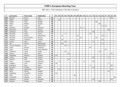| P     | Last name       | First name   | Federation     | T  | 01 |    |    |    |    | 02   03   04   05   06   07   08   09 |    |    | 10 <sup>1</sup> | $11$ |    | $12$ 13 14 15 16 |    |    |    | 17 | 18             | 19 | 20 |
|-------|-----------------|--------------|----------------|----|----|----|----|----|----|---------------------------------------|----|----|-----------------|------|----|------------------|----|----|----|----|----------------|----|----|
| 100   | <b>Boccato</b>  | Marco        | Italy          | 50 |    |    |    |    |    |                                       |    |    |                 |      |    |                  |    |    |    |    |                | 50 |    |
| 101   | Bielski         | Paweł        | Poland         | 50 |    | 50 |    |    |    |                                       |    |    |                 |      |    |                  |    |    |    |    |                |    |    |
| 102   | Westin          | Peter        | Sweden         | 50 |    |    |    |    |    |                                       |    |    |                 |      |    |                  | 50 |    |    |    |                |    |    |
| 103   | Kalika          | Mikhail      | Ukraine        | 50 |    |    |    |    |    |                                       |    |    |                 |      |    |                  |    | 50 |    |    |                |    |    |
| 104   | Klerk           | Chris        | <b>USA</b>     | 49 |    |    |    |    |    |                                       |    |    |                 |      |    |                  |    |    | 13 | 36 |                |    |    |
| 105   | Ankerdal        | Michael      | Denmark        | 48 |    |    |    |    |    |                                       |    | 45 | 3               |      |    |                  |    |    |    |    |                |    |    |
| 106   | Mannonen        | Petri        | Finland        | 48 |    |    |    |    |    |                                       |    |    |                 |      |    |                  |    |    |    |    | 48             |    |    |
| 107   | Grabrijan       | Anze         | Slovenia       | 48 |    |    |    |    |    |                                       |    |    |                 |      |    | 48               |    |    |    |    |                |    |    |
| 108   | Sermand         | Julien       | France         | 47 |    |    |    | 5  |    |                                       |    |    |                 |      | 42 |                  |    |    |    |    |                |    |    |
| 109   | Stinissen       | Michell      | Netherlands    | 47 |    |    | 8  |    |    |                                       | 24 |    |                 |      |    |                  |    |    | 12 | 3  |                |    |    |
| 110   | Pedersen        | Glenn Morten | Norway         | 47 |    |    |    |    |    |                                       |    | 24 |                 |      |    |                  | 23 |    |    |    |                |    |    |
| 111   | Karlsson        | Christian    | Sweden         | 47 |    |    | 16 |    |    |                                       | 9  |    |                 |      |    |                  |    |    | 22 |    |                |    |    |
| 112   | Levikin         | Artur        | Latvia         | 46 |    |    |    | 40 |    |                                       |    |    |                 |      |    | 6                |    |    |    |    |                |    |    |
| 113   | Spil            | Johnny       | Netherlands    | 46 |    |    | 40 |    |    |                                       |    |    |                 |      |    |                  |    |    | 6  |    |                |    |    |
| 114   | van den Bogaard | Ron          | Netherlands    | 46 |    |    |    | 40 | 6  |                                       |    |    |                 |      |    |                  |    |    |    |    |                |    |    |
| 115   | Ovide           | Marcial      | Catalonia      | 45 |    |    |    |    |    |                                       |    |    |                 |      | 45 |                  |    |    |    |    |                |    |    |
| 116   | Talpa           | Marek        | Czech Republic | 45 |    |    |    |    |    |                                       |    |    |                 |      |    |                  |    |    |    | 45 |                |    |    |
| 117   | Krasavkin       | Victor       | Russia         | 45 |    |    |    | 30 |    |                                       |    |    |                 |      |    |                  |    | 15 |    |    |                |    |    |
| 118   | Moreno          | Javier       | Spain          | 45 |    |    |    |    | 24 |                                       |    |    |                 |      |    |                  |    |    |    |    |                | 21 |    |
| 119   | Hagelberg       | Rasmus       | Sweden         | 45 | 45 |    |    |    |    |                                       |    |    |                 |      |    |                  |    |    |    |    |                |    |    |
| 120   | Lampo           | Sami         | Finland        | 44 |    |    |    |    |    |                                       |    |    |                 |      |    | 40               |    |    |    |    | $\overline{4}$ |    |    |
| $121$ | Nurmilo         | Panu         | Finland        | 44 |    |    |    |    | 44 |                                       |    |    |                 |      |    |                  |    |    |    |    |                |    |    |
| 122   | Gykis           | Vytautas     | Lithuania      | 44 |    | 6  |    |    |    | 6                                     |    |    | 8               |      |    | 24               |    |    |    |    |                |    |    |
| 123   | Lindgren        | Jussi        | Finland        | 43 | 39 |    |    |    |    |                                       |    |    |                 |      |    |                  |    |    |    |    | 4              |    |    |
| 124   | Rodriguez       | Paco         | Spain          | 43 |    |    |    |    |    |                                       |    |    |                 |      | 3  |                  |    |    |    |    |                | 40 |    |
| 125   | Rauscher        | Michael      | Austria        | 42 |    |    |    |    |    |                                       |    |    |                 |      |    | 42               |    |    |    |    |                |    |    |
| 126   | Silletti        | Alessandro   | Italy          | 42 |    | 30 |    |    |    |                                       |    |    |                 |      |    |                  |    |    |    |    |                | 12 |    |
| 127   | <b>Bohm</b>     | Patrick      | Sweden         | 42 |    |    |    |    |    |                                       |    |    |                 |      |    |                  |    |    |    |    | 42             |    |    |
| 128   | Hagelberg       | Kristoffer   | Sweden         | 42 | 42 |    |    |    |    |                                       |    |    |                 |      |    |                  |    |    |    |    |                |    |    |
| 129   | Hahn            | Daniel       | Austria        | 40 |    |    |    |    |    | 40                                    |    |    |                 |      |    |                  |    |    |    |    |                |    |    |
| 130   | Al-Merekhi      | Hazeem       | Qatar          | 40 |    |    |    |    |    |                                       |    |    |                 |      |    |                  |    |    |    |    |                |    | 40 |
| 131   | Gagenoiu        | Romeo        | Romania        | 40 |    |    |    |    |    |                                       |    |    |                 |      |    | 16               |    |    |    |    |                | 24 |    |
| 132   | Andreev         | Sergey       | Russia         | 40 |    |    |    |    |    |                                       |    |    |                 |      |    |                  |    | 40 |    |    |                |    |    |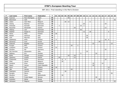| P   | Last name    | <b>First name</b> | Federation     | T  | 01 | 02             |    |    |    |    |    | $\vert$ 03 $\vert$ 04 $\vert$ 05 $\vert$ 06 $\vert$ 07 $\vert$ 08 $\vert$ 09 $\vert$ |    | 10             | 11 |    |    | $12$   13   14   15   16 |    |    | 17 | 18 | 19 | 20 |
|-----|--------------|-------------------|----------------|----|----|----------------|----|----|----|----|----|--------------------------------------------------------------------------------------|----|----------------|----|----|----|--------------------------|----|----|----|----|----|----|
| 133 | Suances      | Paco Rodriguez    | Spain          | 40 |    |                |    |    | 40 |    |    |                                                                                      |    |                |    |    |    |                          |    |    |    |    |    |    |
| 134 | Blanchard    | Josh              | <b>USA</b>     | 40 |    |                |    |    |    |    |    |                                                                                      |    |                |    |    |    |                          |    |    |    |    |    | 40 |
| 135 | Lebon        | Jean Marc         | Belgium        | 38 |    |                |    | 20 | 12 |    |    |                                                                                      |    |                |    | 6  |    |                          |    |    |    |    |    |    |
| 136 | Ussing       | Rasmus            | Denmark        | 38 |    |                |    |    |    |    |    |                                                                                      |    | 20             |    |    |    |                          |    |    | 18 |    |    |    |
| 137 | Ankerdal     | Kenneth           | Denmark        | 37 |    | $\overline{2}$ |    |    |    |    |    |                                                                                      | 33 | $\overline{2}$ |    |    |    |                          |    |    |    |    |    |    |
| 138 | Rauscher     | Alexander         | Austria        | 36 |    |                |    |    |    |    | 24 |                                                                                      |    |                |    |    |    |                          |    |    | 12 |    |    |    |
| 139 | Höberg       | Lars              | Denmark        | 36 |    |                |    |    |    |    |    |                                                                                      | 36 |                |    |    |    |                          |    |    |    |    |    |    |
| 140 | Walther      | Kasper S.         | Denmark        | 36 |    |                |    |    |    |    |    |                                                                                      |    | 12             |    | 18 |    |                          |    |    |    | 6  |    |    |
| 141 | Heino        | Mika              | Finland        | 36 | 36 |                |    |    |    |    |    |                                                                                      |    |                |    |    |    |                          |    |    |    |    |    |    |
| 142 | Badiali      | Gianluca          | Italy          | 36 |    |                |    |    |    |    |    |                                                                                      |    |                | 36 |    |    |                          |    |    |    |    |    |    |
| 143 | Celli        | Maurizio          | Italy          | 36 |    |                |    |    |    |    |    |                                                                                      |    |                | 36 |    |    |                          |    |    |    |    |    |    |
| 144 | Sadeharju    | Arttu             | Finland        | 35 | 9  |                |    |    |    |    |    |                                                                                      |    |                |    |    |    |                          |    |    | 18 | 8  |    |    |
| 145 | Semenov      | Ivan              | Russia         | 35 |    |                |    |    |    |    |    |                                                                                      |    |                |    |    |    |                          | 35 |    |    |    |    |    |
| 146 | Dobondi      | Bogdan            | Romania        | 34 |    |                |    |    |    |    |    |                                                                                      |    |                |    |    | 22 |                          |    |    |    |    | 12 |    |
| 147 | Kurppa       | Niko              | Finland        | 33 |    |                |    |    |    | 30 |    | 3                                                                                    |    |                |    |    |    |                          |    |    |    |    |    |    |
| 148 | Lindholm     | Jesse             | Finland        | 33 | 33 |                |    |    |    |    |    |                                                                                      |    |                |    |    |    |                          |    |    |    |    |    |    |
| 149 | Günther      | Kai               | Germany        | 33 |    |                |    |    |    |    |    |                                                                                      |    |                |    |    |    |                          |    |    | 33 |    |    |    |
| 150 | Del Carmine  | Alessandro        | Italy          | 33 |    |                |    |    |    |    |    |                                                                                      |    |                | 33 |    |    |                          |    |    |    |    |    |    |
| 151 | Sjöberg      | Eric              | Sweden         | 33 |    |                |    |    |    |    |    |                                                                                      | 9  |                |    |    |    | 24                       |    |    |    |    |    |    |
| 152 | <b>Bodis</b> | Giorgio           | Hungary        | 32 |    |                |    |    | 16 |    | 16 |                                                                                      |    |                |    |    |    |                          |    |    |    |    |    |    |
| 153 | Zjawiony     | Łukasz            | Poland         | 32 |    | 20             |    |    |    |    | 12 |                                                                                      |    |                |    |    |    |                          |    |    |    |    |    |    |
| 154 | Grabowski    | Achim             | Germany        | 31 |    |                | 8  | 5  |    |    |    |                                                                                      |    |                |    |    |    |                          |    |    | 18 |    |    |    |
| 155 | Milet        | Xavier            | Belgium        | 30 |    |                | 30 |    |    |    |    |                                                                                      |    |                |    |    |    |                          |    |    |    |    |    |    |
| 156 | Cardona      | Alvar             | Catalonia      | 30 |    |                |    |    |    |    |    |                                                                                      |    |                |    |    | 16 |                          |    | 14 |    |    |    |    |
| 157 | Spacil       | Janusz            | Czech Republic | 30 |    |                |    |    |    |    |    |                                                                                      |    |                |    |    | 30 |                          |    |    |    |    |    |    |
| 158 | Hurri        | Kari              | Finland        | 30 | 18 |                |    |    |    |    |    |                                                                                      |    |                |    |    |    |                          |    |    |    | 12 |    |    |
| 159 | Jähi         | Joonas            | Finland        | 30 |    |                |    |    |    | 24 |    |                                                                                      |    |                |    |    |    |                          |    |    |    | 6  |    |    |
| 160 | Stathatos    | Ioannis           | Greece         | 30 |    |                |    | 30 |    |    |    |                                                                                      |    |                |    |    |    |                          |    |    |    |    |    |    |
| 161 | Reviglio     | Marco             | Italy          | 30 |    |                |    |    |    |    |    |                                                                                      |    |                |    |    |    |                          |    |    |    |    | 30 |    |
| 162 | Wouters      | Dave              | Netherlands    | 30 |    |                | 30 |    |    |    |    |                                                                                      |    |                |    |    |    |                          |    |    |    |    |    |    |
| 163 | Aaneby       | Frode Jørgen      | Norway         | 30 |    |                |    |    |    |    |    |                                                                                      |    |                |    |    |    | 30                       |    |    |    |    |    |    |
| 164 | Koshelev     | Nikita            | Russia         | 30 |    |                |    |    |    |    |    |                                                                                      |    |                |    |    |    |                          | 30 |    |    |    |    |    |
| 165 | Johnsson     | Magnus            | Sweden         | 30 |    |                |    |    |    |    |    |                                                                                      |    |                |    |    |    |                          |    |    |    |    |    | 30 |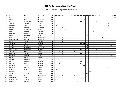| P   | Last name    | <b>First name</b> | Federation  | T  | 01 | 02 |                |    |    |                |   | 03   04   05   06   07   08   09 |    | 10 <sup>1</sup> | 11 |    |    |    | $12$ 13 14 15 16 |    | 17 | 18 | 19 | 20 |
|-----|--------------|-------------------|-------------|----|----|----|----------------|----|----|----------------|---|----------------------------------|----|-----------------|----|----|----|----|------------------|----|----|----|----|----|
| 166 | Pepe         | Anthony           | <b>USA</b>  | 30 |    |    |                |    |    |                |   |                                  |    |                 |    |    |    |    |                  |    |    |    |    | 30 |
| 167 | Klitte       | Martin            | Denmark     | 29 |    |    | 6              |    |    |                |   |                                  |    | 23              |    |    |    |    |                  |    |    |    |    |    |
| 168 | Ek           | Svein-Ake         | Norway      | 29 |    |    | 6              |    |    |                |   |                                  | 12 |                 |    |    |    | 11 |                  |    |    |    |    |    |
| 169 | Asplund      | Teemu             | Finland     | 28 |    |    |                |    |    |                |   |                                  |    |                 |    |    |    |    |                  |    |    | 28 |    |    |
| 170 | Palermaa     | Toni              | Finland     | 28 | 24 |    |                |    |    |                |   |                                  |    |                 |    |    |    |    |                  |    |    | 4  |    |    |
| 171 | Krämer       | Michael           | Germany     | 28 |    |    | 28             |    |    |                |   |                                  |    |                 |    |    |    |    |                  |    |    |    |    |    |
| 172 | Vahidi       | Alexandre         | Ireland     | 28 |    |    |                | 20 | 8  |                |   |                                  |    |                 |    |    |    |    |                  |    |    |    |    |    |
| 173 | Backe        | Patrick           | Sweden      | 28 |    |    |                |    |    |                |   |                                  |    |                 |    |    | 28 |    |                  |    |    |    |    |    |
| 174 | Grimsen      | Peder             | Sweden      | 28 |    |    |                |    | 28 |                |   |                                  |    |                 |    |    |    |    |                  |    |    |    |    |    |
| 175 | Rossi        | Federico          | Italy       | 27 |    |    |                |    |    |                |   |                                  |    |                 | 24 |    |    |    |                  |    |    |    | 3  |    |
| 176 | Mol          | Roel              | Netherlands | 27 |    |    | 24             |    |    |                |   |                                  |    |                 |    |    |    |    |                  | 3  |    |    |    |    |
| 177 | van Zandwijk | Dwayne            | Netherlands | 27 |    |    | $\overline{4}$ |    |    | $\overline{2}$ |   |                                  |    |                 |    |    |    |    |                  | 21 |    |    |    |    |
| 178 | Ravez        | Jimmy             | Belgium     | 26 |    |    | 26             |    |    |                |   |                                  |    |                 |    |    |    |    |                  |    |    |    |    |    |
| 179 | Andersen     | Jan               | Denmark     | 26 |    |    |                |    |    |                |   |                                  | 12 | 14              |    |    |    |    |                  |    |    |    |    |    |
| 180 | Frouvelle    | Serge             | France      | 26 |    |    |                |    |    |                |   |                                  |    |                 | 18 |    |    |    |                  |    |    |    | 8  |    |
| 181 | Fischer      | Alexander         | Germany     | 26 |    |    |                |    |    |                |   |                                  |    |                 | 18 |    | 8  |    |                  |    |    |    |    |    |
| 182 | Rudshagen    | Björn Einer       | Norway      | 26 |    |    |                |    |    |                |   |                                  | 12 |                 |    |    |    | 14 |                  |    |    |    |    |    |
| 183 | Zjawiony     | Piotr             | Poland      | 26 |    | 14 | $\overline{4}$ |    |    |                | 8 |                                  |    |                 |    |    |    |    |                  |    |    |    |    |    |
| 184 | Gruffman     | James             | Sweden      | 26 |    |    | 8              |    |    |                |   |                                  | 18 |                 |    |    |    |    |                  |    |    |    |    |    |
| 185 | Coppola      | Gianpiero         | Italy       | 25 |    |    |                |    |    |                |   |                                  |    |                 |    |    |    |    |                  |    |    |    | 25 |    |
| 186 | Carle        | Linus             | Sweden      | 25 |    |    |                |    |    |                |   |                                  |    |                 |    |    |    | 25 |                  |    |    |    |    |    |
| 187 | Kubalek      | Benjamin          | Austria     | 24 |    |    |                |    |    |                |   |                                  |    |                 |    |    |    |    |                  |    | 24 |    |    |    |
| 188 | Bai          | Michael           | Denmark     | 24 |    |    |                |    |    |                |   |                                  | 24 |                 |    |    |    |    |                  |    |    |    |    |    |
| 189 | Nielsen      | Lars              | Denmark     | 24 |    | 4  |                |    |    |                |   |                                  | 12 | 8               |    |    |    |    |                  |    |    |    |    |    |
| 190 | Aahman       | Sören             | Denmark     | 24 |    |    |                |    |    |                |   |                                  |    | 24              |    |    |    |    |                  |    |    |    |    |    |
| 191 | Heinonen     | Markus            | Finland     | 24 |    |    |                |    |    |                |   |                                  |    |                 |    | 18 |    |    |                  |    |    | 6  |    |    |
| 192 | Lehtonen     | Petri             | Finland     | 24 | 24 |    |                |    |    |                |   |                                  |    |                 |    |    |    |    |                  |    |    |    |    |    |
| 193 | Oksanen      | Jere              | Finland     | 24 |    |    |                |    |    |                |   |                                  |    |                 |    | 24 |    |    |                  |    |    |    |    |    |
| 194 | Sacco        | Thierry           | France      | 24 |    |    |                |    |    |                |   |                                  |    |                 | 24 |    |    |    |                  |    |    |    |    |    |
| 195 | Kok          | Eric              | Netherlands | 24 |    |    | 16             |    |    |                | 8 |                                  |    |                 |    |    |    |    |                  |    |    |    |    |    |
| 196 | Kalacutok    | Vadim             | Russia      | 24 |    |    |                |    |    |                |   |                                  |    |                 |    |    |    |    | 24               |    |    |    |    |    |
| 197 | Leandersson  | Tomas             | Sweden      | 24 | 24 |    |                |    |    |                |   |                                  |    |                 |    |    |    |    |                  |    |    |    |    |    |
| 198 | Kaya         | Mehmet            | Turkey      | 24 |    |    |                |    |    |                |   | 24                               |    |                 |    |    |    |    |                  |    |    |    |    |    |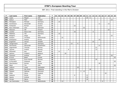| $\mathsf{P}$ | Last name     | First name  | Federation  | T. | 01 | 02 |    |    |   |    | 03 04 05 06 07 08 09 |    |   | 10 | 11 | 12 |    |    | 13 14 15 16 |   | 17 | 18 | $19$ 20 |    |
|--------------|---------------|-------------|-------------|----|----|----|----|----|---|----|----------------------|----|---|----|----|----|----|----|-------------|---|----|----|---------|----|
| 199          | Lopez         | Miguel      | <b>USA</b>  | 24 |    |    |    |    |   |    |                      |    |   |    | 18 | 6  |    |    |             |   |    |    |         |    |
| 200          | Keituri       | Petri       | Finland     | 23 |    |    |    |    |   |    |                      |    |   |    |    |    |    |    |             |   |    |    | 23      |    |
| 201          | Michajlow     | Michael     | Germany     | 23 |    | 23 |    |    |   |    |                      |    |   |    |    |    |    |    |             |   |    |    |         |    |
| 202          | Kondratyev    | Alexander   | Ukraine     | 23 |    |    |    |    |   |    |                      |    |   |    |    |    |    |    | 11          |   |    | 12 |         |    |
| 203          | Fürbacher     | Roman       | Austria     | 22 |    |    |    |    |   |    | 22                   |    |   |    |    |    |    |    |             |   |    |    |         |    |
| 204          | Ravn Sörensen | Jens        | Denmark     | 22 |    |    |    |    |   |    |                      |    |   | 22 |    |    |    |    |             |   |    |    |         |    |
| 205          | Pakonen       | Olli        | Finland     | 22 |    |    |    |    |   |    |                      |    |   |    |    |    |    |    |             |   |    | 22 |         |    |
| 206          | Lischka       | Klaus-Uwe   | Germany     | 22 |    |    |    |    |   |    | 16                   |    |   |    |    |    | 6  |    |             |   |    |    |         |    |
| 207          | Matthies      | Tilo        | Germany     | 22 |    | 22 |    |    |   |    |                      |    |   |    |    |    |    |    |             |   |    |    |         |    |
| 208          | Biolghini     | Diego       | Italy       | 22 |    |    |    |    |   |    |                      |    |   |    |    |    |    |    |             |   |    |    | 22      |    |
| 209          | Kweens        | Christian   | Netherlands | 22 |    |    | 22 |    |   |    |                      |    |   |    |    |    |    |    |             |   |    |    |         |    |
| 210          | Emelyanov     | Andrey      | Russia      | 22 |    |    |    |    |   |    |                      |    |   |    |    |    |    |    | 22          |   |    |    |         |    |
| 211          | Engström      | Janusz      | Sweden      | 22 |    |    |    |    |   |    |                      |    |   |    |    |    | 22 |    |             |   |    |    |         |    |
| 212          | Tangermann    | Lars        | Germany     | 21 |    |    |    |    |   | 12 |                      | 9  |   |    |    |    |    |    |             |   |    |    |         |    |
| 213          | Panchenko     | Alexander   | Kazakhstan  | 21 |    |    |    |    |   |    |                      |    |   |    |    |    |    |    | 21          |   |    |    |         |    |
| 214          | Fagerstrøm    | Thomas      | Norway      | 21 |    |    |    |    |   |    |                      |    |   |    |    |    |    | 21 |             |   |    |    |         |    |
| 215          | Tjernes       | Fredrik     | Norway      | 21 |    |    |    |    | 8 |    |                      |    |   |    |    |    |    | 13 |             |   |    |    |         |    |
| 216          | McDowell      | Ray         | Poland      | 21 |    | 21 |    |    |   |    |                      |    |   |    |    |    |    |    |             |   |    |    |         |    |
| 217          | Salmon        | Frederic    | Belgium     | 20 |    |    |    | 20 |   |    |                      |    |   |    |    |    |    |    |             |   |    |    |         |    |
| 218          | Canevari      | Andrea      | Italy       | 20 |    |    |    |    |   |    |                      |    |   |    |    |    |    |    |             |   |    |    | 20      |    |
| 219          | Al-Anzi       | Basel       | Kuwait      | 20 |    |    |    |    |   |    |                      |    |   |    |    |    |    |    |             |   |    |    |         | 20 |
| 220          | Andersen      | Rune Herold | Norway      | 20 |    |    |    |    |   |    |                      |    |   |    |    |    |    | 20 |             |   |    |    |         |    |
| 221          | Al-Muraikhi   | Mubarak     | Qatar       | 20 |    |    |    |    |   |    |                      |    |   |    |    |    |    |    |             |   |    |    |         | 20 |
| 222          | Starchenkov   | Roman       | Russia      | 20 |    |    |    |    |   |    |                      |    |   |    |    |    |    |    | 20          |   |    |    |         |    |
| 223          | Mack          | Tim         | <b>USA</b>  | 20 |    |    |    |    |   |    |                      |    |   |    |    |    |    |    |             |   |    |    |         | 20 |
| 224          | Caferov       | Vusal       | Azerbaijan  | 18 |    |    |    |    |   |    |                      | 18 |   |    |    |    |    |    |             |   |    |    |         |    |
| 225          | Ibañez        | Moi Perez   | Catalonia   | 18 |    |    |    |    |   |    |                      |    |   |    |    | 18 |    |    |             |   |    |    |         |    |
| 226          | Madsen        | Mathias     | Denmark     | 18 |    |    |    |    |   |    |                      |    | 3 | 15 |    |    |    |    |             |   |    |    |         |    |
| 227          | Miller        | Steve       | England     | 18 |    |    |    |    |   |    |                      |    |   |    |    |    |    |    |             |   | 18 |    |         |    |
| 228          | Galeone       | Nicola      | Italy       | 18 |    |    |    |    |   |    | 6                    |    |   |    | 12 |    |    |    |             |   |    |    |         |    |
| 229          | Spezia        | Andrea      | Italy       | 18 |    |    |    |    |   |    |                      |    |   |    | 18 |    |    |    |             |   |    |    |         |    |
| 230          | Zorzan        | Marco       | Italy       | 18 |    |    |    |    |   |    |                      |    |   |    | 18 |    |    |    |             |   |    |    |         |    |
| 231          | van Dommelen  | Remco       | Netherlands | 18 |    |    | 12 |    |   |    |                      |    |   |    |    |    |    |    |             | 6 |    |    |         |    |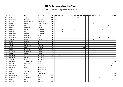| P   | Last name   | First name    | Federation     | T. | 01 | 02 |                |    |    |    | 03 04 05 06 07 | 08 <sup>1</sup> | 09 | 10 | 11 | 12 | 13             | 14   15   16 |    |    | 17 | 18             | 19 | 20 |
|-----|-------------|---------------|----------------|----|----|----|----------------|----|----|----|----------------|-----------------|----|----|----|----|----------------|--------------|----|----|----|----------------|----|----|
| 232 | Biehl       | Joakim        | Sweden         | 18 |    |    |                |    |    |    |                | 18              |    |    |    |    |                |              |    |    |    |                |    |    |
| 233 | Henriksson  | Marcus        | Sweden         | 18 | 18 |    |                |    |    |    |                |                 |    |    |    |    |                |              |    |    |    |                |    |    |
| 234 | Marron      | Marcial Ovide | Catalonia      | 16 |    |    |                |    | 16 |    |                |                 |    |    |    |    |                |              |    |    |    |                |    |    |
| 235 | Kutina      | Karel         | Czech Republic | 16 |    |    |                |    |    |    |                |                 |    |    |    |    | 16             |              |    |    |    |                |    |    |
| 236 | Määttä      | Mika          | Finland        | 16 | 12 |    |                |    |    |    |                |                 |    |    |    |    |                |              |    |    |    | $\overline{4}$ |    |    |
| 237 | Sacco       | François      | France         | 16 |    |    |                |    | 16 |    |                |                 |    |    |    |    |                |              |    |    |    |                |    |    |
| 238 | Canady      | David         | Germany        | 16 |    |    | $\overline{4}$ |    |    |    | 4              |                 |    |    |    |    | $\overline{4}$ |              |    | 4  |    |                |    |    |
| 239 | Dreyer      | Dirk          | Germany        | 16 |    |    | 16             |    |    |    |                |                 |    |    |    |    |                |              |    |    |    |                |    |    |
| 240 | Grabovac    | Michael       | Germany        | 16 |    |    |                |    |    | 16 |                |                 |    |    |    |    |                |              |    |    |    |                |    |    |
| 241 | de Filippi  | Pierpaolo     | Italy          | 16 |    |    |                |    |    |    |                |                 |    |    | 3  |    |                |              |    |    |    |                | 13 |    |
| 242 | Matvienko   | Konstantin    | Russia         | 16 |    |    |                |    |    |    |                |                 |    |    |    |    |                |              | 8  |    |    | 8              |    |    |
| 243 | Jurinyi     | Ludovit       | Slovakia       | 16 |    |    |                |    |    |    |                |                 |    |    |    |    | 16             |              |    |    |    |                |    |    |
| 244 | Mohr        | Ronnie        | <b>USA</b>     | 16 |    |    |                |    |    | 16 |                |                 |    |    |    |    |                |              |    |    |    |                |    |    |
| 245 | Smith       | Robert        | <b>USA</b>     | 16 |    |    |                |    |    |    | 16             |                 |    |    |    |    |                |              |    |    |    |                |    |    |
| 246 | Janahi      | Mohammed      | <b>Bahrain</b> | 15 |    |    |                |    |    |    |                |                 |    |    |    |    |                |              |    |    |    |                |    | 15 |
| 247 | Linder      | Lars          | Denmark        | 15 |    |    |                |    |    |    |                |                 |    | 15 |    |    |                |              |    |    |    |                |    |    |
| 248 | Fabre       | Anthony       | France         | 15 |    |    |                | 15 |    |    |                |                 |    |    |    |    |                |              |    |    |    |                |    |    |
| 249 | Michaud     | Emmanuel      | France         | 15 |    |    |                | 15 |    |    |                |                 |    |    |    |    |                |              |    |    |    |                |    |    |
| 250 | Rives       | Mickel        | France         | 15 |    |    |                | 15 |    |    |                |                 |    |    |    |    |                |              |    |    |    |                |    |    |
| 251 | Birlinger   | Christian     | Germany        | 15 |    | 15 |                |    |    |    |                |                 |    |    |    |    |                |              |    |    |    |                |    |    |
| 252 | Gutsche     | Falco         | Germany        | 15 |    | 15 |                |    |    |    |                |                 |    |    |    |    |                |              |    |    |    |                |    |    |
| 253 | Woelki      | Robert        | Germany        | 15 |    |    |                |    |    |    |                |                 |    |    |    |    |                |              |    | 15 |    |                |    |    |
| 254 | Hameed      | Shaik Abdoul  | India          | 15 |    |    |                |    |    |    |                |                 |    |    |    |    |                |              |    |    |    |                |    | 15 |
| 255 | Battagli    | Giovanni      | Italy          | 15 |    |    |                |    |    |    |                |                 |    |    |    |    |                |              |    |    |    |                | 15 |    |
| 256 | Maddaloni   | Enrico        | Italy          | 15 |    |    |                |    |    |    |                |                 |    |    | 9  |    |                |              |    |    |    |                | 6  |    |
| 257 | Hilferink   | Ramon         | Netherlands    | 15 |    |    |                |    |    |    |                |                 |    |    |    |    | $\overline{2}$ |              |    | 13 |    |                |    |    |
| 258 | van Geel    | Jeroen        | Netherlands    | 15 |    |    |                |    |    |    |                |                 |    |    |    |    |                |              |    | 15 |    |                |    |    |
| 259 | Olsen       | Svein Roger   | Norway         | 15 |    |    |                |    |    |    |                |                 |    |    |    |    |                | 15           |    |    |    |                |    |    |
| 260 | Gomez       | Ramil         | Philippines    | 15 |    |    |                |    |    |    |                |                 |    |    |    |    |                |              |    |    |    |                |    | 15 |
| 261 | Al-Marzouqi | Salem         | Qatar          | 15 |    |    |                |    |    |    |                |                 |    |    |    |    |                |              |    |    |    |                |    | 15 |
| 262 | Minenko     | Alexander     | Russia         | 15 |    |    |                |    |    |    |                |                 |    |    |    |    |                |              | 15 |    |    |                |    |    |
| 263 | Acin        | Ion           | Spain          | 15 |    |    |                |    |    |    |                |                 |    |    |    |    |                |              |    |    |    |                | 15 |    |
| 264 | Shilkin     | Dmitry        | <b>Belarus</b> | 14 |    |    |                |    |    |    |                |                 |    |    |    |    |                |              | 14 |    |    |                |    |    |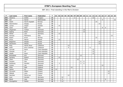| $\mathsf{P}$ | Last name    | First name         | Federation     | T  | 01 | 02 |    |    |    | 03 04 05 06 07 | 08 09 |    | 10 <sup>1</sup> | $11$ | $12$ | 13 |    |    | 14 15 16       | 17 | 18 | 19 | 20 |
|--------------|--------------|--------------------|----------------|----|----|----|----|----|----|----------------|-------|----|-----------------|------|------|----|----|----|----------------|----|----|----|----|
| 265          | Skobrics     | Zoltán             | Hungary        | 14 |    |    |    |    |    | $\mathbf 2$    |       |    |                 |      |      | 12 |    |    |                |    |    |    |    |
| 266          | Dol          | Daniel             | Netherlands    | 14 |    |    |    |    |    |                |       |    |                 |      |      |    |    |    | $\overline{4}$ |    |    |    | 10 |
| 267          | Oseth        | Henrik Aspdahl     | Norway         | 14 |    |    |    |    |    |                |       |    |                 |      |      |    | 14 |    |                |    |    |    |    |
| 268          | Starchenkov  | Sergey             | Russia         | 14 |    |    |    |    |    |                |       |    |                 |      |      |    |    | 14 |                |    |    |    |    |
| 269          | Larsen       | Jesper             | Sweden         | 14 |    | 14 |    |    |    |                |       |    |                 |      |      |    |    |    |                |    |    |    |    |
| 270          | Clark        | Mark               | <b>USA</b>     | 14 |    |    |    |    |    |                |       |    |                 |      |      |    |    |    | 8              | 6  |    |    |    |
| 271          | Jörgensen    | Torben             | Denmark        | 13 |    |    |    |    |    |                |       |    | 13              |      |      |    |    |    |                |    |    |    |    |
| 272          | Sejling      | René               | Denmark        | 13 |    |    |    |    |    |                |       |    | 13              |      |      |    |    |    |                |    |    |    |    |
| 273          | Pöhler       | Lars               | Germany        | 13 |    | 13 |    |    |    |                |       |    |                 |      |      |    |    |    |                |    |    |    |    |
| 274          | Fanizza      | Pierfranco         | Italy          | 13 |    |    |    |    |    |                |       |    |                 |      |      |    |    |    |                |    |    | 13 |    |
| 275          | Espen        | Arvid              | Norway         | 13 |    |    |    |    |    |                |       |    |                 |      |      |    | 13 |    |                |    |    |    |    |
| 276          | Preus        | Patryk             | Poland         | 13 |    | 13 |    |    |    |                |       |    |                 |      |      |    |    |    |                |    |    |    |    |
| 277          | Bogachev     | Sergey             | Russia         | 13 |    |    |    |    |    |                |       |    |                 |      |      |    |    | 13 |                |    |    |    |    |
| 278          | Parshukov    | Alexey             | Russia         | 13 |    |    |    |    |    |                |       |    |                 |      |      |    |    | 13 |                |    |    |    |    |
| 279          | Roig         | <b>Hector Roca</b> | Catalonia      | 12 |    |    |    | 12 |    |                |       |    |                 |      |      |    |    |    |                |    |    |    |    |
| 280          | Soler        | Artur Colomer      | Catalonia      | 12 |    |    |    | 6  |    |                |       |    |                 |      | 6    |    |    |    |                |    |    |    |    |
| 281          | Cermak       | Pavel              | Czech Republic | 12 |    |    |    |    |    |                |       |    |                 |      |      | 12 |    |    |                |    |    |    |    |
| 282          | Hindrak      | Jiri               | Czech Republic | 12 |    |    |    |    |    |                |       |    |                 |      |      | 12 |    |    |                |    |    |    |    |
| 283          | Hladik       | Karel              | Czech Republic | 12 |    |    |    |    |    |                |       |    |                 |      |      | 12 |    |    |                |    |    |    |    |
| 284          | Bröndsted    | Kim                | Denmark        | 12 |    |    |    |    |    |                |       | 12 |                 |      |      |    |    |    |                |    |    |    |    |
| 285          | Norberg      | Robert             | Denmark        | 12 |    | 12 |    |    |    |                |       |    |                 |      |      |    |    |    |                |    |    |    |    |
| 286          | Olsen        | Claus              | Denmark        | 12 |    |    |    |    |    |                | 12    |    |                 |      |      |    |    |    |                |    |    |    |    |
| 287          | Poulsen      | Dan                | Denmark        | 12 |    |    |    |    |    |                |       | 6  | 6               |      |      |    |    |    |                |    |    |    |    |
| 288          | Rothborg     | Karsten            | Denmark        | 12 |    | 3  |    |    |    |                |       | 3  | 6               |      |      |    |    |    |                |    |    |    |    |
| 289          | Cocker       | Lee                | England        | 12 |    |    |    |    |    |                |       |    |                 |      |      |    |    |    | 12             |    |    |    |    |
| 290          | Miller       | Matt               | England        | 12 |    |    |    |    | 12 |                |       |    |                 |      |      |    |    |    |                |    |    |    |    |
| 291          | Halme        | Ari                | Finland        | 12 | 12 |    |    |    |    |                |       |    |                 |      |      |    |    |    |                |    |    |    |    |
| 292          | Hirvonen     | Mikko              | Finland        | 12 |    |    |    |    |    |                |       |    |                 |      |      |    |    |    |                |    | 12 |    |    |
| 293          | Mäkelä       | Juho               | Finland        | 12 |    |    |    |    |    |                |       |    |                 |      |      |    |    |    |                |    | 12 |    |    |
| 294          | Sanchez      | Pierre Luc         | France         | 12 |    |    |    | 12 |    |                |       |    |                 |      |      |    |    |    |                |    |    |    |    |
| 294          | Aust         | Karsten            | Germany        | 12 |    |    | 12 |    |    |                |       |    |                 |      |      |    |    |    |                |    |    |    |    |
| 296          | <b>Blank</b> | Uwe                | Germany        | 12 |    |    | 6  |    |    |                |       |    |                 |      |      |    |    |    |                | 6  |    |    |    |
| 297          | Klockgether  | Stefan             | Germany        | 12 |    |    | 12 |    |    |                |       |    |                 |      |      |    |    |    |                |    |    |    |    |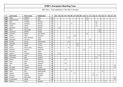| P   | Last name     | First name   | Federation  | T.   | 01 | 02 |    |    |                | 03   04   05   06   07   08   09 |    | 10 | 11 |    |   |                | 12   13   14   15   16   17 |   |   | $18$   19 |    | 20 |
|-----|---------------|--------------|-------------|------|----|----|----|----|----------------|----------------------------------|----|----|----|----|---|----------------|-----------------------------|---|---|-----------|----|----|
| 298 | Magri         | Stefano      | Italy       | 12   |    |    |    |    |                |                                  |    |    | 12 |    |   |                |                             |   |   |           |    |    |
| 299 | Spadavecchia  | Andrea       | Italy       | 12   |    |    |    |    |                |                                  |    |    | 12 |    |   |                |                             |   |   |           |    |    |
| 300 | Aker          | Christer     | Norway      | 12   |    |    |    |    |                |                                  |    |    |    |    |   | 12             |                             |   |   |           |    |    |
| 301 | Skoglund      | Andreas      | Norway      | $12$ |    |    |    |    | 4              |                                  |    |    |    |    |   | $\,8\,$        |                             |   |   |           |    |    |
| 302 | Vatne         | Didrik       | Norway      | 12   |    |    |    |    |                |                                  |    |    |    |    |   | 12             |                             |   |   |           |    |    |
| 303 | Szpański      | Dawid        | Poland      | 12   |    | 12 |    |    |                |                                  |    |    |    |    |   |                |                             |   |   |           |    |    |
| 304 | Deev          | Alexander    | Russia      | 12   |    |    |    |    |                |                                  |    |    |    |    |   |                | 12                          |   |   |           |    |    |
| 305 | Lukyanov      | Mikhail      | Russia      | 12   |    |    |    |    |                |                                  |    |    |    |    |   |                | 12                          |   |   |           |    |    |
| 306 | Colonna       | Mattia       | San Marino  | $12$ |    |    |    |    |                |                                  |    |    | 12 |    |   |                |                             |   |   |           |    |    |
| 307 | Malek         | Milan        | Slovenia    | 12   |    |    |    |    |                | 12                               |    |    |    |    |   |                |                             |   |   |           |    |    |
| 308 | Carrión       | Raul Jimenez | Spain       | 12   |    |    |    | 12 |                |                                  |    |    |    |    |   |                |                             |   |   |           |    |    |
| 309 | Samanes       | Ion Acin     | Spain       | 12   |    |    |    |    |                |                                  |    |    |    | 12 |   |                |                             |   |   |           |    |    |
| 310 | Ecoffey       | Xavier       | Switzerland | 12   |    |    |    | 12 |                |                                  |    |    |    |    |   |                |                             |   |   |           |    |    |
| 311 | Atesoglu      | Bülent       | Turkey      | 12   |    |    |    |    |                |                                  | 12 |    |    |    |   |                |                             |   |   |           |    |    |
| 312 | Dogan         | Habib        | Turkey      | 12   |    |    |    |    |                |                                  | 12 |    |    |    |   |                |                             |   |   |           |    |    |
| 313 | Gonze         | Pierre Yves  | Belgium     | 11   |    |    |    | 8  |                |                                  |    |    |    | 3  |   |                |                             |   |   |           |    |    |
| 314 | Erichsen      | Tommy        | Denmark     | 11   |    |    |    |    |                |                                  |    | 11 |    |    |   |                |                             |   |   |           |    |    |
| 315 | Sullivan      | Neil         | Malta       | 11   |    |    |    |    |                |                                  |    |    |    |    |   |                |                             |   |   |           | 11 |    |
| 316 | Janicki       | Tomasz       | Poland      | 11   |    | 11 |    |    |                |                                  |    |    |    |    |   |                |                             |   |   |           |    |    |
| 317 | Matvienko     | Kirill       | Russia      | 11   |    |    |    |    |                |                                  |    |    |    |    |   |                | 11                          |   |   |           |    |    |
| 318 | Thunberg      | Klas         | Sweden      | 11   |    |    |    |    |                |                                  |    |    |    |    |   | 11             |                             |   |   |           |    |    |
| 319 | <b>Braine</b> | Olivier      | Belgium     | 10   |    |    | 10 |    |                |                                  |    |    |    |    |   |                |                             |   |   |           |    |    |
| 320 | Hjort         | Mark         | Denmark     | 10   |    |    |    |    |                |                                  |    | 1  |    | 9  |   |                |                             |   |   |           |    |    |
| 321 | Sear          | Dan          | England     | 10   |    |    | 10 |    |                |                                  |    |    |    |    |   |                |                             |   |   |           |    |    |
| 322 | Ali           | Fahad        | Kuwait      | 10   |    |    |    |    |                |                                  |    |    |    |    |   |                |                             |   |   |           |    | 10 |
| 323 | Al-Shatti     | Yaqoub       | Kuwait      | 10   |    |    |    |    |                |                                  |    |    |    |    |   |                |                             |   |   |           |    | 10 |
| 324 | Hendriks      | Louis        | Netherlands | 10   |    |    | 10 |    |                |                                  |    |    |    |    |   |                |                             |   |   |           |    |    |
| 325 | Hulst         | Phil         | Netherlands | 10   |    |    |    |    | $\overline{2}$ |                                  |    |    |    |    |   |                |                             | 8 |   |           |    |    |
| 326 | Lajovic       | Dušan        | Slovenia    | 10   |    |    |    |    |                | $\overline{4}$                   |    |    |    |    | 6 |                |                             |   |   |           |    |    |
| 327 | Jansson       | Markus       | Sweden      | 10   |    |    |    |    |                |                                  |    |    |    |    | 8 | $\overline{2}$ |                             |   |   |           |    |    |
| 328 | Al Attar      | Mahmood      | <b>UAE</b>  | 10   |    |    |    |    |                |                                  |    |    |    |    |   |                |                             |   |   |           |    | 10 |
| 329 | Al-Mansoori   | Hareb        | <b>UAE</b>  | 10   |    |    |    |    |                |                                  |    |    |    |    |   |                |                             |   |   |           |    | 10 |
| 330 | Milanov       | Yavor        | Bulgaria    | 9    |    |    |    |    |                |                                  |    |    |    |    |   |                |                             |   | 9 |           |    |    |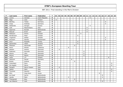| P   | Last name     | First name   | Federation     | T | 01 | 02 |  |   |   |   | 03   04   05   06   07   08   09 |   | 10 <sup>1</sup> | $11$ | $12$ |  |   | 13 14 15 16    | 17 | 18 | 19 | 20 |
|-----|---------------|--------------|----------------|---|----|----|--|---|---|---|----------------------------------|---|-----------------|------|------|--|---|----------------|----|----|----|----|
| 331 | Lorenc        | Jaroslav     | Czech Republic | 9 |    |    |  |   |   |   |                                  |   |                 |      | 9    |  |   |                |    |    |    |    |
| 332 | Maja          | Juha         | Finland        | 9 | 9  |    |  |   |   |   |                                  |   |                 |      |      |  |   |                |    |    |    |    |
| 333 | Börding       | Tobias       | Germany        | 9 |    |    |  |   |   |   |                                  |   |                 |      |      |  |   |                | 9  |    |    |    |
| 334 | Gripp         | Andreas      | Germany        | 9 |    |    |  |   |   |   |                                  |   |                 |      |      |  |   |                | 9  |    |    |    |
| 335 | Stefanidis    | Giorgos      | Greece         | 9 |    |    |  |   |   |   |                                  |   |                 |      | 9    |  |   |                |    |    |    |    |
| 336 | Celli         | Massimiliano | Italy          | 9 |    |    |  |   |   |   |                                  |   |                 | 9    |      |  |   |                |    |    |    |    |
| 337 | Sigmond       | Ronald       | Netherlands    | 9 |    |    |  |   |   |   |                                  |   |                 | 9    |      |  |   |                |    |    |    |    |
| 338 | Pascual       | Erwin        | Spain          | 9 |    |    |  |   |   |   |                                  |   |                 | 9    |      |  |   |                |    |    |    |    |
| 339 | Mattsson      | Simon        | Sweden         | 9 |    |    |  |   |   |   |                                  | 9 |                 |      |      |  |   |                |    |    |    |    |
| 340 | Nordersson    | Peter        | Sweden         | 9 |    |    |  |   |   |   | 9                                |   |                 |      |      |  |   |                |    |    |    |    |
| 341 | Yngström      | Stefan       | Sweden         | 9 |    |    |  |   |   |   |                                  |   |                 |      |      |  |   |                | 9  |    |    |    |
| 342 | Ancarani      | Sandro       | Switzerland    | 9 |    |    |  |   |   |   |                                  |   |                 |      |      |  |   |                | 9  |    |    |    |
| 343 | Onur          | Mustafa      | Turkey         | 9 |    |    |  |   |   |   | 9                                |   |                 |      |      |  |   |                |    |    |    |    |
| 344 | Dementiev     | Viktor       | Ukraine        | 9 |    |    |  |   |   |   | 9                                |   |                 |      |      |  |   |                |    |    |    |    |
| 345 | Pittesser     | Alexander    | Austria        | 8 |    |    |  |   |   | 8 |                                  |   |                 |      |      |  |   |                |    |    |    |    |
| 346 | Perez         | Moises       | Catalonia      | 8 |    |    |  | 8 |   |   |                                  |   |                 |      |      |  |   |                |    |    |    |    |
| 347 | Nielsen       | Soeren       | Denmark        | 8 |    | 8  |  |   |   |   |                                  |   |                 |      |      |  |   |                |    |    |    |    |
| 348 | Pedersen      | Kenneth      | Denmark        | 8 |    |    |  |   |   |   |                                  |   | 8               |      |      |  |   |                |    |    |    |    |
| 349 | Wozny         | John         | Denmark        | 8 |    |    |  |   |   |   |                                  |   | 8               |      |      |  |   |                |    |    |    |    |
| 350 | Wozny         | Martin       | Denmark        | 8 |    |    |  |   |   |   |                                  |   | 8               |      |      |  |   |                |    |    |    |    |
| 351 | Laiho         | $J-P$        | Finland        | 8 |    |    |  |   |   |   |                                  |   |                 |      |      |  |   |                |    | 8  |    |    |
| 352 | Hellmich      | Daniel       | Germany        | 8 |    |    |  |   | 8 |   |                                  |   |                 |      |      |  |   |                |    |    |    |    |
| 353 | <b>Brotto</b> | Andrea       | Italy          | 8 |    |    |  |   |   | 8 |                                  |   |                 |      |      |  |   |                |    |    |    |    |
| 354 | Colombani     | Piero        | Italy          | 8 |    |    |  |   |   |   |                                  |   |                 |      |      |  |   |                |    |    | 8  |    |
| 355 | De Angelis    | Marco        | Italy          | 8 |    |    |  |   |   |   |                                  |   |                 |      |      |  |   |                |    |    | 8  |    |
| 356 | Parapini      | Marco Cesare | Italy          | 8 |    | 8  |  |   |   |   |                                  |   |                 |      |      |  |   |                |    |    |    |    |
| 357 | Spiteri       | Mark         | Italy          | 8 |    |    |  |   |   |   |                                  |   |                 |      |      |  |   |                |    |    | 8  |    |
| 358 | Tuccimei      | Saverio      | Italy          | 8 |    |    |  |   |   |   |                                  |   |                 |      |      |  |   |                |    |    | 8  |    |
| 359 | Shin          | Jong Hyun    | Korea          | 8 |    |    |  |   |   |   |                                  |   |                 |      |      |  | 8 |                |    |    |    |    |
| 360 | de Graaf      | Gerrie       | Netherlands    | 8 |    |    |  |   |   |   |                                  |   |                 |      |      |  |   | $\,8\,$        |    |    |    |    |
| 361 | Jacobs        | Mark         | Netherlands    | 8 |    |    |  | 4 |   |   |                                  |   |                 |      |      |  |   | $\overline{4}$ |    |    |    |    |
| 362 | Thienpondt    | <b>Nico</b>  | Netherlands    | 8 |    |    |  |   |   | 8 |                                  |   |                 |      |      |  |   |                |    |    |    |    |
| 363 | van Weeren    | Jord         | Netherlands    | 8 |    |    |  |   |   |   |                                  |   |                 |      |      |  |   | 8              |    |    |    |    |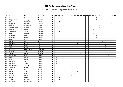| P   | Last name    | First name   | Federation | T.                      | 01 | 02 |                |   |   |   | 03 04 05 06 07 08 09 10 |   |   | $11$ | $12$ | 13             | 14 |   | 15 16 17 |   | 18 | 19 | 20 |
|-----|--------------|--------------|------------|-------------------------|----|----|----------------|---|---|---|-------------------------|---|---|------|------|----------------|----|---|----------|---|----|----|----|
| 364 | Gether       | Hans Fredrik | Norway     | 8                       |    |    |                |   |   |   |                         |   |   |      |      |                | 8  |   |          |   |    |    |    |
| 365 | Ragnarsson   | Jon Ingi     | Norway     | 8                       |    |    |                |   |   |   |                         |   |   |      |      |                | 8  |   |          |   |    |    |    |
| 366 | Olesiński    | Krzysztof    | Poland     | 8                       |    | 8  |                |   |   |   |                         |   |   |      |      |                |    |   |          |   |    |    |    |
| 367 | Gogoasa      | Mihaita      | Romania    | 8                       |    |    |                |   |   |   |                         |   |   |      |      | $\overline{4}$ |    |   |          |   |    | 4  |    |
| 368 | Gurkov       | Alexander    | Russia     | 8                       |    |    |                |   |   |   |                         |   |   |      |      |                |    | 8 |          |   |    |    |    |
| 369 | Yaroslavtsev | Alexey       | Russia     | 8                       |    |    |                |   |   |   |                         |   |   |      |      |                |    | 8 |          |   |    |    |    |
| 370 | Keckes       | Pavol        | Slovakia   | 8                       |    |    |                |   |   |   |                         |   |   |      |      | 8              |    |   |          |   |    |    |    |
| 371 | Andersson    | Jonas        | Sweden     | 8                       |    | 8  |                |   |   |   |                         |   |   |      |      |                |    |   |          |   |    |    |    |
| 372 | Green        | Rasmus       | Sweden     | 8                       |    |    |                |   |   |   |                         |   |   |      |      | 8              |    |   |          |   |    |    |    |
| 373 | Lindbäck     | Lars         | Sweden     | 8                       |    |    |                |   |   |   |                         |   |   |      |      |                | 8  |   |          |   |    |    |    |
| 374 | Lindqvist    | Björn        | Sweden     | 8                       |    |    |                |   |   |   |                         |   |   |      |      |                | 8  |   |          |   |    |    |    |
| 375 | Oralek       | Martin       | Sweden     | 8                       |    |    |                |   |   |   |                         |   |   |      |      | 8              |    |   |          |   |    |    |    |
| 376 | Nolan        | Pat          | <b>USA</b> | 8                       |    |    |                |   |   |   |                         |   |   |      |      |                |    |   | 8        |   |    |    |    |
| 377 | Kudelya      | Sergey       | Russia     | $\overline{\mathbf{z}}$ |    |    |                |   |   |   | 6                       |   |   |      |      |                |    | 1 |          |   |    |    |    |
| 378 | Landl        | Rene         | Austria    | 6                       |    |    |                |   |   |   |                         |   |   |      |      |                |    |   |          | 6 |    |    |    |
| 379 | Stiel        | Anton        | Austria    | $\boldsymbol{6}$        |    |    |                |   |   |   |                         |   |   |      |      |                |    |   |          | 6 |    |    |    |
| 380 | Miranda      | Axel Guimo   | Catalonia  | 6                       |    |    |                | 6 |   |   |                         |   |   |      |      |                |    |   |          |   |    |    |    |
| 381 | Funder       | Troels       | Denmark    | 6                       |    |    |                |   |   |   |                         |   | 6 |      |      |                |    |   |          |   |    |    |    |
| 382 | Jensen       | Henrik       | Denmark    | 6                       |    |    |                |   |   |   |                         | 6 |   |      |      |                |    |   |          |   |    |    |    |
| 383 | Häggman      | Ville        | Finland    | 6                       |    |    |                |   |   |   |                         |   |   |      |      |                |    |   |          |   | 6  |    |    |
| 384 | Kallio       | Matias       | Finland    | 6                       | 6  |    |                |   |   |   |                         |   |   |      |      |                |    |   |          |   |    |    |    |
| 385 | Lintilä      | Lasse        | Finland    | 6                       | 6  |    |                |   |   |   |                         |   |   |      |      |                |    |   |          |   |    |    |    |
| 386 | Nieminen     | Joni         | Finland    | 6                       | 6  |    |                |   |   |   |                         |   |   |      |      |                |    |   |          |   |    |    |    |
| 387 | Ryhänen      | Teppo        | Finland    | 6                       | 6  |    |                |   |   |   |                         |   |   |      |      |                |    |   |          |   |    |    |    |
| 388 | Raatikainen  | Teemu        | Finland    | 6                       |    |    |                |   | 6 |   |                         |   |   |      |      |                |    |   |          |   |    |    |    |
| 389 | Valtonen     | Anssi        | Finland    | 6                       |    |    |                |   | 6 |   |                         |   |   |      |      |                |    |   |          |   |    |    |    |
| 390 | Eigelt       | Lukas        | Germany    | 6                       |    |    |                |   | 6 |   |                         |   |   |      |      |                |    |   |          |   |    |    |    |
| 391 | Gäbler       | Tobias       | Germany    | 6                       |    |    |                |   |   |   | 6                       |   |   |      |      |                |    |   |          |   |    |    |    |
| 392 | Knopp        | Peter        | Germany    | 6                       |    |    | $\overline{2}$ |   |   | 4 |                         |   |   |      |      |                |    |   |          |   |    |    |    |
| 393 | Mrosek       | Manuel       | Germany    | 6                       |    |    |                |   | 6 |   |                         |   |   |      |      |                |    |   |          |   |    |    |    |
| 394 | Staar        | Lieven       | Germany    | 6                       |    | 6  |                |   |   |   |                         |   |   |      |      |                |    |   |          |   |    |    |    |
| 395 | <b>Tieck</b> | Christian    | Germany    | 6                       |    | 6  |                |   |   |   |                         |   |   |      |      |                |    |   |          |   |    |    |    |
| 396 | Francesco    | Dante Didon  | Italy      | 6                       |    |    |                |   |   |   |                         |   |   | 6    |      |                |    |   |          |   |    |    |    |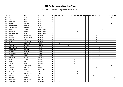| P   | Last name    | First name | Federation  | T              | 01 |                  |  |   | 02   03   04   05   06   07   08   09 |   | 10 <sup>1</sup> | $11$ |   | $12$ 13 14 15 16 |   |   |   | 17 | 18 | 19 | 20 |
|-----|--------------|------------|-------------|----------------|----|------------------|--|---|---------------------------------------|---|-----------------|------|---|------------------|---|---|---|----|----|----|----|
| 397 | Gualdi       | Andrea     | Italy       | 6              |    |                  |  |   |                                       |   |                 |      |   |                  |   |   |   |    |    | 6  |    |
| 398 | Inga         | Marco      | Italy       | 6              |    |                  |  |   |                                       |   |                 | 6    |   |                  |   |   |   |    |    |    |    |
| 399 | Padovani     | Marco      | Italy       | 6              |    |                  |  |   |                                       |   |                 | 6    |   |                  |   |   |   |    |    |    |    |
| 400 | Spada        | Amedeo     | Italy       | 6              |    |                  |  |   |                                       |   |                 |      |   |                  |   |   |   |    |    | 6  |    |
| 401 | Spadavecchia | Renato     | Italy       | 6              |    |                  |  |   |                                       |   |                 | 6    |   |                  |   |   |   |    |    |    |    |
| 402 | Amolevicius  | Domas      | Latvia      | 6              |    | 6                |  |   |                                       |   |                 |      |   |                  |   |   |   |    |    |    |    |
| 403 | Grove        | Jeroen     | Netherlands | 6              |    |                  |  |   |                                       |   |                 |      |   |                  |   |   | 6 |    |    |    |    |
| 404 | Sigmond      | Marco      | Netherlands | 6              |    |                  |  |   |                                       | 6 |                 |      |   |                  |   |   |   |    |    |    |    |
| 405 | Steenbekkers | Sven       | Netherlands | 6              |    |                  |  |   |                                       |   |                 |      | 6 |                  |   |   |   |    |    |    |    |
| 406 | Barstad      | Stig Rune  | Norway      | 6              |    |                  |  |   |                                       |   |                 |      |   |                  | 6 |   |   |    |    |    |    |
| 407 | Hansen       | Audun Boye | Norway      | 6              |    |                  |  |   |                                       |   |                 |      |   |                  | 6 |   |   |    |    |    |    |
| 408 | Kulseng      | Øyvin      | Norway      | 6              |    |                  |  |   |                                       |   |                 |      |   |                  | 6 |   |   |    |    |    |    |
| 409 | Lunde        | Tor-Øyvind | Norway      | 6              |    |                  |  |   |                                       |   |                 |      |   |                  | 6 |   |   |    |    |    |    |
| 410 | Pająk        | Mirosław   | Poland      | 6              |    | $\boldsymbol{6}$ |  |   |                                       |   |                 |      |   |                  |   |   |   |    |    |    |    |
| 411 | Araújo       | Antonio    | Portugal    | 6              |    |                  |  | 6 |                                       |   |                 |      |   |                  |   |   |   |    |    |    |    |
| 412 | Gorodnichy   | Ivan       | Russia      | 6              |    |                  |  |   |                                       |   |                 |      |   |                  |   | 6 |   |    |    |    |    |
| 413 | Lapshinsky   | Dmitry     | Russia      | 6              |    |                  |  |   |                                       |   |                 |      |   |                  |   | 6 |   |    |    |    |    |
| 414 | Mineev       | Evgeny     | Russia      | 6              |    |                  |  |   |                                       |   |                 |      |   |                  |   | 6 |   |    |    |    |    |
| 415 | Potorochin   | Filipp     | Russia      | 6              |    |                  |  |   |                                       |   |                 |      |   |                  |   | 6 |   |    |    |    |    |
| 416 | Sokolov      | Oleg       | Russia      | 6              |    |                  |  |   |                                       |   |                 |      |   |                  |   | 6 |   |    |    |    |    |
| 417 | Bacchioci    | Ettore     | San Marino  | 6              |    |                  |  |   |                                       |   |                 | 6    |   |                  |   |   |   |    |    |    |    |
| 418 | Erzen        | Tomaz      | Slovenia    | 6              |    |                  |  |   | 6                                     |   |                 |      |   |                  |   |   |   |    |    |    |    |
| 419 | Feguš        | Matej      | Slovenia    | 6              |    |                  |  |   | 6                                     |   |                 |      |   |                  |   |   |   |    |    |    |    |
| 420 | Stenko       | Nino       | Slovenia    | 6              |    |                  |  |   | 6                                     |   |                 |      |   |                  |   |   |   |    |    |    |    |
| 421 | Gonzalez     | Jose María | Spain       | 6              |    |                  |  |   |                                       |   |                 |      |   |                  |   |   |   |    |    | 6  |    |
| 422 | Jansson      | Mattias    | Sweden      | 6              |    |                  |  |   |                                       |   |                 |      |   |                  | 6 |   |   |    |    |    |    |
| 423 | Vontobel     | Larry      | Switzerland | 6              |    |                  |  | 6 |                                       |   |                 |      |   |                  |   |   |   |    |    |    |    |
| 424 | Erkeskin     | Taygun     | Turkey      | 6              |    |                  |  |   |                                       | 6 |                 |      |   |                  |   |   |   |    |    |    |    |
| 425 | Tikir        | Mehmet Ali | Turkey      | 6              |    |                  |  |   |                                       | 6 |                 |      |   |                  |   |   |   |    |    |    |    |
| 426 | Spacey       | Tanner     | <b>USA</b>  | 6              |    |                  |  |   |                                       |   |                 |      |   | 6                |   |   |   |    |    |    |    |
| 427 | Abdulla      | Fawaz      | Bahrain     | $\overline{5}$ |    |                  |  |   |                                       |   |                 |      |   |                  |   |   |   |    |    |    | 5  |
| 428 | Al-Jahromi   | Mohammed   | Bahrain     | 5              |    |                  |  |   |                                       |   |                 |      |   |                  |   |   |   |    |    |    | 5  |
| 429 | Jørgensen    | Henrik     | Denmark     | 5              |    | 1                |  |   |                                       |   | 4               |      |   |                  |   |   |   |    |    |    |    |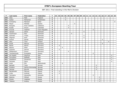| P   | Last name      | First name        | Federation     | T | 01 | 02                       | 03             |   |   |   |                | 04   05   06   07   08   09 | 10 <sup>1</sup> | 11 | 12 | 13             | $14$           |   | 15 16 17       | 18 | $19$ 20        |   |
|-----|----------------|-------------------|----------------|---|----|--------------------------|----------------|---|---|---|----------------|-----------------------------|-----------------|----|----|----------------|----------------|---|----------------|----|----------------|---|
| 430 | Giles          | Matt              | England        | 5 |    |                          |                | 5 |   |   |                |                             |                 |    |    |                |                |   |                |    |                |   |
| 431 | Sultan         | Mohamed           | Kazakhstan     | 5 |    |                          |                | 5 |   |   |                |                             |                 |    |    |                |                |   |                |    |                |   |
| 432 | Al-Awamy       | Mansoor           | Qatar          | 5 |    |                          |                |   |   |   |                |                             |                 |    |    |                |                |   |                |    |                | 5 |
| 433 | Mayer          | Michael           | Austria        | 4 |    |                          |                |   |   |   | $\overline{4}$ |                             |                 |    |    |                |                |   |                |    |                |   |
| 434 | <b>Burgués</b> | Alvar Cardona     | Catalonia      | 4 |    |                          |                |   | 4 |   |                |                             |                 |    |    |                |                |   |                |    |                |   |
| 435 | Rueda          | Arturo            | Colombia       | 4 |    |                          |                |   | 4 |   |                |                             |                 |    |    |                |                |   |                |    |                |   |
| 436 | Dvorak         | Vladimir          | Czech Republic | 4 |    |                          |                |   |   |   |                |                             |                 |    |    | $\overline{4}$ |                |   |                |    |                |   |
| 437 | Hansen         | Sören             | Denmark        | 4 |    |                          |                |   |   |   |                |                             | 4               |    |    |                |                |   |                |    |                |   |
| 438 | Hutchinson     | Paul              | Denmark        | 4 |    |                          |                |   |   | 4 |                |                             |                 |    |    |                |                |   |                |    |                |   |
| 439 | Schmidt        | Troels            | Denmark        | 4 |    |                          |                |   |   |   |                |                             | $\overline{4}$  |    |    |                |                |   |                |    |                |   |
| 440 | Wigman         | Kent              | Denmark        | 4 |    |                          |                |   |   |   |                |                             | 4               |    |    |                |                |   |                |    |                |   |
| 441 | French         | Daniel            | England        | 4 |    |                          |                |   |   |   |                |                             |                 |    |    |                |                |   | $\overline{4}$ |    |                |   |
| 442 | Alho           | Timo              | Finland        | 4 |    |                          |                |   |   |   |                |                             |                 |    |    |                |                |   |                | 4  |                |   |
| 443 | Arndt          | Marcus            | Germany        | 4 |    |                          |                |   |   |   |                |                             |                 |    |    |                |                |   | 4              |    |                |   |
| 444 | Balzer         | Martin            | Germany        | 4 |    | $\overline{4}$           |                |   |   |   |                |                             |                 |    |    |                |                |   |                |    |                |   |
| 445 | Basner         | Peter             | Germany        | 4 |    |                          | $\overline{4}$ |   |   |   |                |                             |                 |    |    |                |                |   |                |    |                |   |
| 446 | Gutsche        | Dennis            | Germany        | 4 |    | $\overline{\mathcal{L}}$ |                |   |   |   |                |                             |                 |    |    |                |                |   |                |    |                |   |
| 447 | Wildenhayn     | Simon             | Germany        | 4 |    |                          |                |   | 4 |   |                |                             |                 |    |    |                |                |   |                |    |                |   |
| 448 | Tsorbatzoudis  | Evangelos         | Greece         | 4 |    |                          |                |   |   |   |                |                             |                 |    |    | $\overline{4}$ |                |   |                |    |                |   |
| 449 | De Angelis     | Gianluca          | Italy          | 4 |    |                          |                |   |   |   |                |                             |                 |    |    |                |                |   |                |    | $\overline{4}$ |   |
| 450 | Formisano      | Raffaele          | Italy          | 4 |    |                          |                |   |   |   |                |                             |                 |    |    |                |                |   |                |    | $\overline{4}$ |   |
| 451 | Maddaloni      | Domenico          | Italy          | 4 |    |                          |                |   |   |   |                |                             |                 |    |    |                |                |   |                |    | 4              |   |
| 452 | Pennese        | Dario             | Italy          | 4 |    |                          |                |   |   |   |                |                             |                 |    |    |                |                |   |                |    | $\overline{4}$ |   |
| 453 | Hulst          | Phil              | Netherlands    | 4 |    |                          | $\overline{4}$ |   |   |   |                |                             |                 |    |    |                |                |   |                |    |                |   |
| 454 | Barkald        | Terje             | Norway         | 4 |    |                          |                |   |   |   |                |                             |                 |    |    |                | $\overline{4}$ |   |                |    |                |   |
| 455 | Emblem         | Patrick Gimmestad | Norway         | 4 |    |                          |                |   |   |   |                |                             |                 |    |    |                | 4              |   |                |    |                |   |
| 456 | Harang         | Øyvind            | Norway         | 4 |    |                          |                |   |   |   |                |                             |                 |    |    |                | 4              |   |                |    |                |   |
| 457 | Bentkowski     | Mariusz           | Poland         | 4 |    | $\overline{4}$           |                |   |   |   |                |                             |                 |    |    |                |                |   |                |    |                |   |
| 458 | Linke          | Andrzej           | Poland         | 4 |    | 4                        |                |   |   |   |                |                             |                 |    |    |                |                |   |                |    |                |   |
| 459 | Tariceanu      | Alexandru         | Romania        | 4 |    |                          |                |   |   |   |                |                             |                 |    |    | $\overline{4}$ |                |   |                |    |                |   |
| 460 | Belenky        | Mikhail           | Russia         | 4 |    |                          |                |   |   |   |                |                             |                 |    |    |                |                | 4 |                |    |                |   |
| 461 | Myslev         | Vladislav         | Russia         | 4 |    |                          |                |   |   |   |                |                             |                 |    |    |                |                | 4 |                |    |                |   |
| 462 | Tokarev        | Andrey            | Russia         | 4 |    |                          |                |   |   |   |                |                             |                 |    |    |                |                | 4 |                |    |                |   |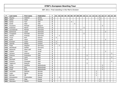| P   | Last name   | First name    | Federation  | T.           | 01 | 02 |  |   |                | 03   04   05   06   07   08   09 |   | 10 | 11 | $12$   13   14 |   |                | $15$   16      | 17 | 18 | 19 | 20 |
|-----|-------------|---------------|-------------|--------------|----|----|--|---|----------------|----------------------------------|---|----|----|----------------|---|----------------|----------------|----|----|----|----|
| 463 | Maysky      | Vladimir      | Serbia      | 4            |    |    |  |   |                |                                  |   |    |    |                |   | $\overline{4}$ |                |    |    |    |    |
| 464 | Shilan      | Vitaly        | Ukraine     | 4            |    |    |  |   |                |                                  |   |    |    |                |   | 4              |                |    |    |    |    |
| 465 | Carter      | Tom           | <b>USA</b>  | 4            |    |    |  | 4 |                |                                  |   |    |    |                |   |                |                |    |    |    |    |
| 466 | Smith       | Allan         | <b>USA</b>  | 4            |    |    |  |   | $\overline{4}$ |                                  |   |    |    |                |   |                |                |    |    |    |    |
| 467 | Coussens    | Michael       | Belgium     | 3            |    |    |  |   |                |                                  |   |    |    |                |   |                | 3              |    |    |    |    |
| 468 | Andersen    | Martin        | Denmark     | 3            |    |    |  |   |                |                                  |   | 3  |    |                |   |                |                |    |    |    |    |
| 469 | Levandovski | Morten        | Denmark     | 3            |    |    |  |   |                |                                  | 3 |    |    |                |   |                |                |    |    |    |    |
| 470 | Scherlund   | Lasse         | Denmark     | 3            |    |    |  |   |                |                                  |   |    |    |                |   |                |                | 3  |    |    |    |
| 471 | Truegaard   | Kenneth       | Denmark     | 3            |    |    |  |   |                |                                  |   | 3  |    |                |   |                |                |    |    |    |    |
| 472 | Ydesen      | Andreas       | Denmark     | 3            |    | 3  |  |   |                |                                  |   |    |    |                |   |                |                |    |    |    |    |
| 473 | Truus       | Kert          | Estonia     | 3            | 3  |    |  |   |                |                                  |   |    |    |                |   |                |                |    |    |    |    |
| 474 | Kallio      | Jesse         | Finland     | 3            |    |    |  |   |                |                                  |   |    |    |                |   |                |                | 3  |    |    |    |
| 475 | Kuossari    | Jouko         | Finland     | 3            | 3  |    |  |   |                |                                  |   |    |    |                |   |                |                |    |    |    |    |
| 476 | Vaarala     | Miikka        | Finland     | $\mathbf{3}$ | 3  |    |  |   |                |                                  |   |    |    |                |   |                |                |    |    |    |    |
| 477 | Fiege       | Stephan       | Germany     | 3            |    | 3  |  |   |                |                                  |   |    |    |                |   |                |                |    |    |    |    |
| 478 | Wendlandt   | Steffen       | Germany     | 3            |    |    |  |   |                |                                  |   | 3  |    |                |   |                |                |    |    |    |    |
| 479 | Mahamid     | Abed Latif    | Israel      | 3            |    |    |  |   |                | 3                                |   |    |    |                |   |                |                |    |    |    |    |
| 480 | Volpert     | Yossi         | Israel      | 3            |    |    |  |   |                |                                  |   |    |    |                |   |                |                | 3  |    |    |    |
| 481 | Caivano     | Antonio       | Italy       | 3            |    |    |  |   |                |                                  |   |    |    |                |   |                |                |    |    | 3  |    |
| 482 | Colonna     | Francesco     | Italy       | 3            |    |    |  |   |                |                                  |   |    | 3  |                |   |                |                |    |    |    |    |
| 483 | Ieva        | Carlo         | Italy       | 3            |    |    |  |   |                |                                  |   |    |    |                |   |                |                |    |    | 3  |    |
| 484 | Mambelli    | Omar          | Italy       | 3            |    |    |  |   |                |                                  |   |    | 3  |                |   |                |                |    |    |    |    |
| 485 | Sciascia    | Giuseppe      | Italy       | 3            |    |    |  |   |                |                                  |   |    |    |                |   |                |                |    |    | 3  |    |
| 486 | Tagliavini  | Roberto       | Italy       | 3            |    |    |  |   |                |                                  |   |    | 3  |                |   |                |                |    |    |    |    |
| 487 | Cirkel      | Geoffrey      | Netherlands | $\mathbf{3}$ |    |    |  |   |                |                                  |   |    |    |                |   |                | 3              |    |    |    |    |
| 488 | Gorter      | Elco          | Netherlands | 3            |    |    |  |   |                |                                  |   |    |    |                |   |                | 3              |    |    |    |    |
| 489 | Knijff      | Peter         | Netherlands | 3            |    |    |  |   |                |                                  |   |    |    |                |   |                | $\overline{3}$ |    |    |    |    |
| 490 | Lauritzen   | Mathias       | Norway      | 3            |    |    |  |   |                |                                  |   |    |    |                | 3 |                |                |    |    |    |    |
| 491 | Lygre       | <b>Bjarte</b> | Norway      | 3            |    |    |  |   |                |                                  |   |    |    |                | 3 |                |                |    |    |    |    |
| 492 | Selvnes     | Pål           | Norway      | $\mathbf{3}$ |    |    |  |   |                |                                  |   |    |    |                | 3 |                |                |    |    |    |    |
| 493 | Antuszewicz | Przemysław    | Poland      | 3            |    | 3  |  |   |                |                                  |   |    |    |                |   |                |                |    |    |    |    |
| 494 | Kozyrev     | Oleg          | Russia      | 3            |    |    |  |   |                |                                  |   |    |    |                |   | 3              |                |    |    |    |    |
| 495 | Okorokov    | Maxim         | Russia      | 3            |    |    |  |   |                |                                  |   |    |    |                |   | 3              |                |    |    |    |    |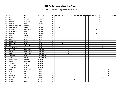| P   | Last name         | First name   | Federation     | T                       | 01 |                |                | 02   03   04   05   06   07   08   09 |                |                |   | 10             | $11$ |   | $12$ 13 14     |   | 15             | 16             | 17 | 18             | $19$ 20 |  |
|-----|-------------------|--------------|----------------|-------------------------|----|----------------|----------------|---------------------------------------|----------------|----------------|---|----------------|------|---|----------------|---|----------------|----------------|----|----------------|---------|--|
| 496 | Sokolov           | Maxim        | Russia         | 3                       |    |                |                |                                       |                |                |   |                |      |   |                |   | $\mathfrak{Z}$ |                |    |                |         |  |
| 497 | Vasilenko         | Alexey       | Russia         | 3                       |    |                |                |                                       |                |                |   |                |      |   |                |   | 3              |                |    |                |         |  |
| 498 | Vasilyev          | Vladimir     | Russia         | 3                       |    |                |                |                                       |                |                |   |                |      |   |                |   | 3              |                |    |                |         |  |
| 499 | Keckes            | Marek        | Slovakia       | 3                       |    |                |                |                                       |                |                |   |                |      | 3 |                |   |                |                |    |                |         |  |
| 500 | Castillo Leongson | Sammy        | Spain          | 3                       |    |                |                |                                       |                |                |   |                |      |   |                |   |                |                |    |                | 3       |  |
| 501 | Bergendorff       | Goran        | Sweden         | 3                       |    | 3              |                |                                       |                |                |   |                |      |   |                |   |                |                |    |                |         |  |
| 502 | Eliasson          | Karl-Johan   | Sweden         | 3                       |    |                |                |                                       |                |                |   |                |      |   |                | 3 |                |                |    |                |         |  |
| 503 | Lunderquist       | Mats         | Sweden         | 3                       |    |                |                |                                       |                |                |   |                | 3    |   |                |   |                |                |    |                |         |  |
| 504 | Östberg           | Simon        | Sweden         | $\mathbf{3}$            |    |                |                |                                       |                |                |   |                |      |   |                | 3 |                |                |    |                |         |  |
| 505 | <b>Basak</b>      | Önder        | Turkey         | 3                       |    |                |                |                                       |                |                | 3 |                |      |   |                |   |                |                |    |                |         |  |
| 506 | Cakir             | Celalettin   | Turkey         | 3                       |    |                |                |                                       |                |                | 3 |                |      |   |                |   |                |                |    |                |         |  |
| 507 | Guran             | Adem         | Turkey         | 3                       |    |                |                |                                       |                |                | 3 |                |      |   |                |   |                |                |    |                |         |  |
| 508 | Csernicsek        | Manuel       | Austria        | $\overline{2}$          |    |                |                |                                       |                | $\overline{2}$ |   |                |      |   |                |   |                |                |    |                |         |  |
| 509 | Claessens         | Wim          | Belgium        | $\overline{2}$          |    |                | $\overline{2}$ |                                       |                |                |   |                |      |   |                |   |                |                |    |                |         |  |
| 500 | Cools             | Jonathan     | Belgium        | $\overline{2}$          |    |                |                |                                       |                |                |   |                |      |   |                |   |                | $\overline{2}$ |    |                |         |  |
| 511 | Vandamme          | Chris        | Belgium        | $\overline{2}$          |    |                |                |                                       |                |                |   |                |      |   |                |   |                | $\overline{2}$ |    |                |         |  |
| 512 | Galisteo          | Raul Galvez  | Catalonia      | $\overline{2}$          |    |                |                |                                       | $\overline{2}$ |                |   |                |      |   |                |   |                |                |    |                |         |  |
| 513 | Noble             | Diego Peña   | Catalonia      | $\overline{\mathbf{2}}$ |    |                |                |                                       | $\overline{2}$ |                |   |                |      |   |                |   |                |                |    |                |         |  |
| 514 | Reig              | Joan Piqué   | Catalonia      | $\overline{2}$          |    |                |                |                                       | $\overline{2}$ |                |   |                |      |   |                |   |                |                |    |                |         |  |
| 515 | Jaroslav          | Lorenc       | Czech Republic | $\overline{2}$          |    |                |                |                                       |                |                |   |                |      |   | $\overline{2}$ |   |                |                |    |                |         |  |
| 516 | Vcelis            | Mihcal       | Czech Republic | $\overline{2}$          |    |                |                |                                       |                |                |   |                |      |   | $\overline{2}$ |   |                |                |    |                |         |  |
| 517 | Brunebjerg        | Michael      | Denmark        | $\overline{2}$          |    |                |                |                                       |                |                |   | $\overline{2}$ |      |   |                |   |                |                |    |                |         |  |
| 518 | Kyed              | Kenneth      | Denmark        | $\overline{\mathbf{2}}$ |    |                |                |                                       |                |                |   | $\overline{2}$ |      |   |                |   |                |                |    |                |         |  |
| 519 | Sörensen          | Tony         | Denmark        | $\mathbf{2}$            |    |                |                |                                       |                |                |   | $\overline{2}$ |      |   |                |   |                |                |    |                |         |  |
| 520 | Engstrøm          | Fredrik      | Denmark        | $\overline{\mathbf{2}}$ |    | $\overline{2}$ |                |                                       |                |                |   |                |      |   |                |   |                |                |    |                |         |  |
| 521 | Soerensen         | Egon         | Denmark        | $\overline{2}$          |    | $\overline{2}$ |                |                                       |                |                |   |                |      |   |                |   |                |                |    |                |         |  |
| 522 | Kivelä            | Riku-Petteri | Finland        | $\overline{2}$          |    |                |                |                                       |                |                |   |                |      |   |                |   |                |                |    | $\overline{2}$ |         |  |
| 523 | Pietilä           | Mikko        | Finland        | $\overline{2}$          |    |                |                |                                       |                |                |   |                |      |   |                |   |                |                |    | $\overline{2}$ |         |  |
| 524 | Virta             | Matti        | Finland        | $\overline{\mathbf{2}}$ |    |                |                |                                       |                |                |   |                |      |   |                |   |                |                |    | $\mathbf 2$    |         |  |
| 525 | Aaltonen          | Jari         | Finland        | $\overline{\mathbf{2}}$ |    |                |                |                                       |                |                |   |                |      |   |                |   |                |                |    | $\mathbf 2$    |         |  |
| 526 | Sarmadi           | Mathias      | France         | $\overline{2}$          |    |                |                |                                       |                |                |   |                |      |   |                |   |                | $\overline{2}$ |    |                |         |  |
| 527 | Muth              | Jens         | Germany        | $\overline{2}$          |    |                |                |                                       |                | $\overline{2}$ |   |                |      |   |                |   |                |                |    |                |         |  |
| 528 | Pescher           | Oliver       | Germany        | $\overline{2}$          |    |                |                |                                       |                |                |   |                |      |   |                |   |                | $\overline{2}$ |    |                |         |  |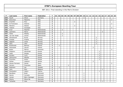| P   | Last name       | First name     | Federation  | T.                      | 01 | 02             |                |                |                | 03   04   05   06   07   08   09 | 10             | 11 | 12 |                |                | 13   14   15   16   17 |                | 18 | $19$ 20        |  |
|-----|-----------------|----------------|-------------|-------------------------|----|----------------|----------------|----------------|----------------|----------------------------------|----------------|----|----|----------------|----------------|------------------------|----------------|----|----------------|--|
| 529 | Rauth           | Oliver         | Germany     | $\overline{2}$          |    |                |                |                |                |                                  | $\overline{2}$ |    |    |                |                |                        |                |    |                |  |
| 530 | Branchesi       | Massimo        | Italy       | $\overline{2}$          |    |                |                |                |                |                                  |                |    |    |                |                |                        |                |    | $\overline{2}$ |  |
| 531 | D'achille       | Nico           | Italy       | $\overline{\mathbf{2}}$ |    |                |                |                | 2              |                                  |                |    |    |                |                |                        |                |    |                |  |
| 532 | Di Francesco    | Antonio        | Italy       | $\overline{2}$          |    |                |                |                |                |                                  |                |    |    |                |                |                        |                |    | 2              |  |
| 533 | Maniero         | Alessio        | Italy       | $\overline{\mathbf{2}}$ |    |                |                |                | $\overline{2}$ |                                  |                |    |    |                |                |                        |                |    |                |  |
| 534 | Tedone          | Giuseppe       | Italy       | $\overline{2}$          |    |                |                |                |                |                                  |                |    |    |                |                |                        |                |    | $\overline{2}$ |  |
| 535 | Krull           | Maarten        | Netherlands | $\mathbf{2}$            |    |                | $\overline{2}$ |                |                |                                  |                |    |    |                |                |                        |                |    |                |  |
| 536 | Lammers         | Marco          | Netherlands | $\mathbf{2}$            |    |                |                |                |                |                                  |                |    |    |                |                |                        | $\overline{2}$ |    |                |  |
| 537 | Selier          | Wesley         | Netherlands | $\overline{\mathbf{2}}$ |    |                | $\overline{2}$ |                |                |                                  |                |    |    |                |                |                        |                |    |                |  |
| 538 | van der Heide   | Jeroen         | Netherlands | $\overline{2}$          |    |                | 2              |                |                |                                  |                |    |    |                |                |                        |                |    |                |  |
| 539 | Almestrand      | Runar          | Norway      | $\mathbf{2}$            |    |                |                |                |                |                                  |                |    |    |                | $\overline{2}$ |                        |                |    |                |  |
| 540 | Finstad         | Fredrik        | Norway      | $\overline{\mathbf{2}}$ |    |                |                |                |                |                                  |                |    |    |                | $\overline{2}$ |                        |                |    |                |  |
| 541 | Sjøgren         | Jonas          | Norway      | $\overline{\mathbf{2}}$ |    |                |                |                |                |                                  |                |    |    |                | $\mathbf 2$    |                        |                |    |                |  |
| 542 | Aare            | John           | Norway      | $\overline{\mathbf{2}}$ |    |                |                |                |                |                                  |                |    |    |                | $\overline{2}$ |                        |                |    |                |  |
| 543 | Bryłkowski      | Bartosz        | Poland      | $\overline{2}$          |    | $\overline{2}$ |                |                |                |                                  |                |    |    |                |                |                        |                |    |                |  |
| 544 | Pietraszek      | Janusz         | Poland      | $\mathbf{2}$            |    |                |                |                |                |                                  |                |    |    | $\overline{2}$ |                |                        |                |    |                |  |
| 545 | <b>Bulan</b>    | Marius         | Romania     | $\overline{2}$          |    |                |                |                |                |                                  |                |    |    |                |                |                        |                |    | $\overline{2}$ |  |
| 546 | Dolginov        | Alexander      | Russia      | $\overline{2}$          |    |                |                |                |                |                                  |                |    |    |                |                | $\overline{2}$         |                |    |                |  |
| 547 | Isaev           | Sergey         | Russia      | $\overline{\mathbf{2}}$ |    |                |                |                |                |                                  |                |    |    |                |                | $\overline{2}$         |                |    |                |  |
| 548 | Korolev         | Yuriy          | Russia      | $\mathbf{2}$            |    |                |                |                |                |                                  |                |    |    |                |                | $\overline{2}$         |                |    |                |  |
| 549 | Ostroumov       | Nikolay        | Russia      | $\overline{\mathbf{2}}$ |    |                |                |                |                |                                  |                |    |    |                |                | $\overline{2}$         |                |    |                |  |
| 550 | Pronchev        | Anton          | Russia      | $\overline{\mathbf{2}}$ |    |                |                |                |                |                                  |                |    |    |                |                | $\overline{2}$         |                |    |                |  |
| 551 | Strbac          | Vladimir       | Serbia      | $\overline{2}$          |    |                |                |                |                |                                  |                |    |    | $\overline{2}$ |                |                        |                |    |                |  |
| 552 | Alonso Farraces | Daniel         | Spain       | $\overline{\mathbf{2}}$ |    |                |                |                |                |                                  |                |    |    |                |                |                        |                |    | $\mathbf 2$    |  |
| 553 | Ferrero         | Francisco      | Spain       | $\mathbf{2}$            |    |                |                | $\overline{2}$ |                |                                  |                |    |    |                |                |                        |                |    |                |  |
| 554 | Robinson        | Ian            | Sweden      | $\overline{\mathbf{c}}$ |    | $\overline{2}$ |                |                |                |                                  |                |    |    |                |                |                        |                |    |                |  |
| 555 | Joris           | <b>Nico</b>    | Belgium     | 1                       |    |                |                |                |                |                                  |                |    |    |                |                |                        | $\mathbf{1}$   |    |                |  |
| 556 | Smolyakov       | Valery         | Cyprus      | $\mathbf{1}$            |    |                |                |                |                |                                  |                |    |    |                |                | $\mathbf{1}$           |                |    |                |  |
| 557 | Bendtsen        | <b>Brett</b>   | Denmark     | $\mathbf{1}$            |    |                |                |                |                |                                  | 1              |    |    |                |                |                        |                |    |                |  |
| 558 | Garcia          | Cornelio       | Denmark     | $\mathbf 1$             |    |                |                |                |                |                                  | 1              |    |    |                |                |                        |                |    |                |  |
| 559 | Jensen          | Björn Saksager | Denmark     | $\mathbf{1}$            |    |                |                |                |                |                                  | $\mathbf{1}$   |    |    |                |                |                        |                |    |                |  |
| 560 | Wozny           | Sören Bo       | Denmark     | 1                       |    |                |                |                |                |                                  | 1              |    |    |                |                |                        |                |    |                |  |
| 561 | Tscharke        | Uwe            | Germany     | 1                       |    |                |                |                |                |                                  |                |    |    |                |                |                        | $\mathbf{1}$   |    |                |  |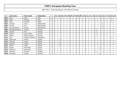| P   | Last name        | First name       | Federation         |   | 01 |  | 02 03 04 | 05 | 06 07 08 09 |  | 10 <sup>°</sup> | 11 | 12 | $13$   14 | 15 <sup>1</sup> | 16 | 17 <sup>1</sup> | 18 | 19 <sup>1</sup> | 20 |
|-----|------------------|------------------|--------------------|---|----|--|----------|----|-------------|--|-----------------|----|----|-----------|-----------------|----|-----------------|----|-----------------|----|
| 562 | Iorio            | Aldo             | Italy              | 1 |    |  |          |    |             |  |                 |    |    |           |                 |    |                 |    |                 |    |
| 563 | Prato            | Sandro           | Italy              | 1 |    |  |          |    |             |  |                 |    |    |           |                 |    |                 |    |                 |    |
| 564 | Arpa             | Kennith          | Malta              | 1 |    |  |          |    |             |  |                 |    |    |           |                 |    |                 |    | 1               |    |
| 565 | de Haan          | Kevin            | Netherlands        | 1 |    |  |          |    |             |  |                 |    |    |           |                 |    |                 |    |                 |    |
| 566 | Koning           | Eric             | Netherlands        | 1 |    |  |          |    |             |  |                 |    |    |           |                 |    |                 |    |                 |    |
| 567 | van den Bosch    | Henny            | <b>Netherlands</b> | 1 |    |  |          |    |             |  |                 |    |    |           |                 |    |                 |    |                 |    |
| 568 | Hesselberg-Meyer | Fredrik          | Norway             | 1 |    |  |          |    |             |  |                 |    |    | 1         |                 |    |                 |    |                 |    |
| 569 | Iversen          | Erik             | Norway             | 1 |    |  |          |    |             |  |                 |    |    | 1         |                 |    |                 |    |                 |    |
| 570 | Jensen           | John Anders      | Norway             | 1 |    |  |          |    |             |  |                 |    |    | 1         |                 |    |                 |    |                 |    |
| 571 | Sælen            | Ruben Hansen     | Norway             | 1 |    |  |          |    |             |  |                 |    |    | 1         |                 |    |                 |    |                 |    |
| 572 | <b>Diaz</b>      | Ricardo Gonzales | Philippines        | 1 |    |  |          |    |             |  |                 |    |    |           |                 |    |                 |    |                 |    |
| 573 | Dąbrowski        | Paweł            | Poland             | 1 |    |  |          |    |             |  |                 |    |    |           |                 |    |                 |    |                 |    |
| 574 | Jedynak          | Paweł            | Poland             | 1 |    |  |          |    |             |  |                 |    |    |           |                 |    |                 |    |                 |    |
| 575 | Kantyka          | Dawid            | Poland             | 1 |    |  |          |    |             |  |                 |    |    |           |                 |    |                 |    |                 |    |
| 576 | Martin           | Adam             | Poland             | 1 |    |  |          |    |             |  |                 |    |    |           |                 |    |                 |    |                 |    |
| 577 | Brykov           | Alexander        | Russia             | 1 |    |  |          |    |             |  |                 |    |    |           |                 |    |                 |    |                 |    |
| 578 | Milkovich        | Slavolyub        | Serbia             | 1 |    |  |          |    |             |  |                 |    |    |           |                 |    |                 |    |                 |    |
| 579 | Karlsson         | Richard          | Sweden             | 1 |    |  |          |    |             |  |                 |    |    | 1         |                 |    |                 |    |                 |    |
| 580 | Karmazin         | Evgeny           | Ukraine            | 1 |    |  |          |    |             |  |                 |    |    |           |                 |    |                 |    |                 |    |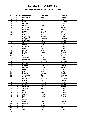#### **Brunswick Ballmaster Open / Finland / Gold**

| Pos.                     | <b>Points</b>   | Last name      | <b>First name</b> | Federation |
|--------------------------|-----------------|----------------|-------------------|------------|
| $\mathbf{1}$             | 150             | Koivuniemi     | Mika              | Finland    |
| $\overline{2}$           | 120             | Rash           | Sean              | <b>USA</b> |
| 3                        | 105             | Moor           | Paul              | England    |
| $\overline{\mathcal{L}}$ | 90              | Lehtonen       | Kimmo             | Finland    |
| $\overline{5}$           | 75              | <b>Barnes</b>  | Chris             | <b>USA</b> |
| $\overline{6}$           | $\overline{72}$ | Paulsson       | Martin            | Sweden     |
| $\overline{7}$           | 69              | Palermaa       | Osku              | Finland    |
| 8                        | 66              | Russel         | Ronnie            | <b>USA</b> |
| $\overline{9}$           | 63              | Wahlgren       | Karl              | Finland    |
| 10                       | 60              | Hellström      | Peter             | Sweden     |
| 11                       | 45              | Hagelberg      | Rasmus            | Sweden     |
| 12                       | 45              | Öhrgaar        | Frederik          | Denmark    |
| 13                       | 42              | Hagelberg      | Kristoffer        | Sweden     |
| 14                       | 42              | Arup           | Matias            | Sweden     |
| 15                       | 39              | Holmström      | Ville             | Finland    |
| 16                       | 39              | Lindgren       | Jussi             | Finland    |
| 17                       | 36              | Heino          | Mika              | Finland    |
| 18                       | 36              | Eklund         | Dennis            | Sweden     |
| 19                       | 33              | Lindholm       | Jesse             | Finland    |
| $\overline{20}$          | $\overline{33}$ | Helminen       | Jouni             | Finland    |
| 21                       | 24              | Palermaa       | Toni              | Finland    |
| 22                       | 24              | Torgersen      | Tore              | Sweden     |
| 23                       | 24              | Leandersson    | <b>Tomas</b>      | Sweden     |
| $\overline{24}$          | 24              | Teece          | Raymond           | England    |
| 25                       | 24              | Lehtonen       | Petri             | Finland    |
| 26                       | 18              | Hansen         | Carsten W.        | Denmark    |
| 27                       | 18              | Karlsson       | <b>Tobias</b>     | Sweden     |
| 28                       | 18              | Uotila         | Pasi              | Finland    |
| $\overline{29}$          | 18              | Hurri          | Kari              | Finland    |
| 30                       | 18              | Henriksson     | Marcus            | Sweden     |
| $\overline{31}$          | 12              | Verbruggen     | Gery              | Belgium    |
| 32                       | 12              | Määttä         | Mika              | Finland    |
| $\overline{33}$          | 12              | <b>Barrett</b> | Dominic           | England    |
| 34                       | 12              | Halme          | Ari               | Finland    |
| $\overline{35}$          | 12              | Tiainen        | Samuli            | Finland    |
| 36                       | 9               | Olsson         | Mattias           | Sweden     |
| 37                       | 9               | Andersin       | Erik              | Sweden     |
| 38                       | $\overline{9}$  | Sadeharju      | Arttu             | Finland    |
| 39                       | $\overline{9}$  | Ranta          | Tony              | Finland    |
| 40                       | 9               | Maja           | Juha              | Finland    |
| 41                       | 6               | Jussila        | Perttu            | Finland    |
| 42                       | $\overline{6}$  | Kallio         | Matias            | Finland    |
| 43                       | $\overline{6}$  | Ryhänen        | Teppo             | Finland    |
| 44                       | 6               | Nieminen       | Joni              | Finland    |
| 45                       | 6               | Lintilä        | Lasse             | Finland    |
| 46                       | $\overline{3}$  | Valaranta      | Samu              | Finland    |
| 47                       | $\overline{3}$  | Kuossari       | Jouko             | Finland    |
| 48                       | $\overline{3}$  | Ocando         | Melvin            | Spain      |
| 49                       | $\overline{3}$  | Vaarala        | Miikka            | Finland    |
| 50                       | $\overline{3}$  | <b>Truus</b>   | Kert              | Estonia    |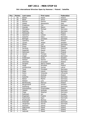#### **5th International Wroclaw Open by Hammer / Poland / Satellite**

| Pos.                     | <b>Points</b>           | Last name         | <b>First name</b> | Federation |
|--------------------------|-------------------------|-------------------|-------------------|------------|
| $\mathbf{1}$             | 50                      | Bielski           | Paweł             | Poland     |
| $\overline{2}$           | 40                      | <b>Blase</b>      | Oliver            | Germany    |
| $\overline{\mathbf{3}}$  | 35                      | Eklund            | Dennis            | Sweden     |
| $\overline{\mathcal{L}}$ | 30                      | Silletti          | Alessandro        | Italy      |
| $\overline{5}$           | 25                      | Friedrichs        | Tim               | Germany    |
| 6                        | 24                      | Ocando            | Melvin            | Spain      |
| $\overline{7}$           | 23                      | Michajlow         | Michael           | Germany    |
| 8                        | 22                      | Matthies          | Tilo              | Germany    |
| 9                        | 21                      | McDowell          | Ray               | Poland     |
| 10                       | 20                      | Zjawiony          | Łukasz            | Poland     |
| 11                       | 15                      | Gutsche           | Falco             | Germany    |
| 12                       | 15                      | Birlinger         | Christian         | Germany    |
| 13                       | 14                      | Zjawiony          | Piotr             | Poland     |
| 14                       | 14                      | Larsen            | Jesper            | Sweden     |
| 15                       | 13                      | Pöhler            | Lars              | Germany    |
| 16                       | 13                      | Preus             | Patryk            | Poland     |
| 17                       | 12                      | Norberg           | Robert            | Denmark    |
| 18                       | 12                      | Szpański          | Dawid             | Poland     |
| 19                       | 11                      | Helminen          | Jouni             | Finland    |
| 20                       | 11                      | Janicki           | Tomasz            | Poland     |
| 21                       | 8                       | Unger             | Stephan           | Germany    |
| 22                       | $\overline{8}$          | Andersson         | Jonas             | Sweden     |
| $\overline{23}$          | $\overline{8}$          | Nielsen           | Soeren            | Denmark    |
| 24                       | 8                       | Olesiński         | Krzysztof         | Poland     |
| 25                       | $\overline{8}$          | Parapini          | Marco Cesare      | Italy      |
| 26                       | $\overline{6}$          | Pająk             | Mirosław          | Poland     |
| 27                       | 6                       | Amolevicius       | Domas             | Latvia     |
| 28                       | 6                       | <b>Tieck</b>      | Christian         | Germany    |
| 29                       | $\overline{6}$          | Staar             | Lieven            | Germany    |
| 30                       | $\overline{6}$          | Gykis             | Vytautas          | Lithuania  |
| 31                       | $\overline{4}$          | Linke             | Andrzej           | Poland     |
| $\overline{32}$          | 4                       | Gutsche           | Dennis            | Germany    |
| $\overline{33}$          | $\overline{4}$          | <b>Balzer</b>     | Martin            | Germany    |
| 34                       | 4                       | Nielsen           | Lars              | Denmark    |
| 35                       | $\overline{\mathbf{4}}$ | Bentkowski        | Mariusz           | Poland     |
| 36                       | $\overline{3}$          | Bergendorff       | Goran             | Sweden     |
| 37                       | $\overline{3}$          | Rothborg          | Karsten           | Denmark    |
| 38                       | $\overline{3}$          | Antuszewicz       | Przemysław        | Poland     |
| 39                       | $\overline{3}$          | Ydesen            | Andreas           | Denmark    |
| 40                       | $\overline{3}$          | Fiege             | Stephan           | Germany    |
| 41                       | $\overline{2}$          | Robinson          | Ian               | Sweden     |
| 42                       | $\overline{2}$          | Engstrøm          | Fredrik           | Denmark    |
| 43                       | $\overline{2}$          | Soerensen         | Egon              | Denmark    |
| 44                       | $\overline{2}$          | <b>Bryłkowski</b> | Bartosz           | Poland     |
| 45                       | $\overline{2}$          | Ankerdal          | Kenneth           | Denmark    |
| 46                       | $\mathbf{1}$            | Jørgensen         | Henrik            | Denmark    |
| 47                       | $\mathbf{1}$            | Kantyka           | Dawid             | Poland     |
| 48                       | $\mathbf 1$             | Dąbrowski         | Paweł             | Poland     |
| 49                       | $\mathbf{1}$            | Martin            | Adam              | Poland     |
| 50                       | $\mathbf{1}$            | Jedynak           | Paweł             | Poland     |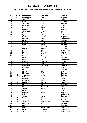#### **Hammer Bronzen Schietspoel Tournament 2011 / Netherlands / Silver**

| Pos.                    | <b>Points</b>           | Last name     | First name     | Federation  |
|-------------------------|-------------------------|---------------|----------------|-------------|
| $\mathbf{1}$            | 100                     | Verbruggen    | Gery           | Belgium     |
| $\overline{2}$          | 80                      | Agerbo        | Jesper         | Denmark     |
| $\overline{\mathbf{3}}$ | 70                      | Moor          | Paul           | England     |
| $\overline{4}$          | 60                      | Schröder      | Timo           | Germany     |
| $\overline{5}$          | 50                      | Palermaa      | Osku           | Finland     |
| $\overline{6}$          | 48                      | Mortensen     | Jimmy Dan      | Denmark     |
| $\overline{7}$          | 46                      | Stampe        | Mik            | Denmark     |
| 8                       | 44                      | Torgersen     | Tore           | Norway      |
| 9                       | 42                      | Unger         | Stephan        | Germany     |
| 10                      | 40                      | Spil          | Johnny         | Netherlands |
| 11                      | 30                      | Milet         | Xavier         | Belgium     |
| 12                      | 30                      | Wouters       | Dave           | Netherlands |
| 13                      | 28                      | Krämer        | Michael        | Germany     |
| 14                      | 28                      | Karlsson      | <b>Tobias</b>  | Sweden      |
| 15                      | 26                      | Ravez         | Jimmy          | Belgium     |
| 16                      | 26                      | Teece         | Raymond        | England     |
| 17                      | 24                      | Cundy         | Darren         | England     |
| 18                      | 24                      | Mol           | Roel           | Netherlands |
| 19                      | 22                      | Larsen        | Thomas         | Denmark     |
| 20                      | 22                      | Kweens        | Christian      | Netherlands |
| 21                      | 16                      | Dreyer        | <b>Dirk</b>    | Germany     |
| $\overline{22}$         | 16                      | Lousdal       | Anders         | Denmark     |
| 23                      | 16                      | Kok           | Eric           | Netherlands |
| $\overline{24}$         | 16                      | Karlsson      | Christian      | Sweden      |
| 25                      | 16                      | Sandbakken    | Mads           | Norway      |
| 26                      | 12                      | Dommelen      | Remco van      | Netherlands |
| $\overline{27}$         | 12                      | Ohrgaard      | Frederik       | Denmark     |
| 28                      | 12                      | Aust          | Karsten        | Germany     |
| 29                      | 12                      | Adsbol        | Johnni         | Denmark     |
| 30                      | 12                      | Klockgether   | Stefan         | Germany     |
| $\overline{31}$         | 8                       | Grabowski     | Achim          | Germany     |
| 32                      | 8                       | Helminen      | Jouni          | Finland     |
| $\overline{33}$         | $\overline{8}$          | Kabowski      | Eike           | Germany     |
| 34                      | 8                       | Gruffman      | James          | Sweden      |
| 35                      | $\overline{8}$          | Stinissen     | Michell        | Netherlands |
| 36                      | 6                       | <b>Blank</b>  | Uwe            | Germany     |
| 37                      | 6                       | Ek            | Svein-Ake      | Norway      |
| 38                      | 6                       | Suslov        | Andrey         | Russia      |
| 39                      | 6                       | Klitte        | Martin         | Denmark     |
| 40                      | 6                       | Hansen        | Carsten        | Denmark     |
| 41                      | $\overline{\mathbf{4}}$ | Hulst         | Phil           | Netherlands |
| 42                      | 4                       | Canady        | David          | Germany     |
| 43                      | $\overline{\mathbf{4}}$ | <b>Basner</b> | Peter          | Germany     |
| 44                      | 4                       | Zjawiony      | Piotr          | Poland      |
| 45                      | $\overline{\mathbf{4}}$ | Zandwijk      | Dwayne van     | Netherlands |
| 46                      | $\overline{2}$          | Claessens     | Wim            | Belgium     |
| 47                      | $\overline{2}$          | Knopp         | Peter          | Germany     |
| 48                      | $\overline{2}$          | Heide         | Jeroen van der | Netherlands |
| 49                      | $\overline{2}$          | Krull         | Maarten        | Netherlands |
| 50                      | $\overline{2}$          | Selier        | Wesley         | Netherlands |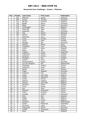#### **Brunswick Euro Challenge / France / Platinum**

| Pos.                     | <b>Points</b>   | Last name       | First name | Federation  |
|--------------------------|-----------------|-----------------|------------|-------------|
| $\mathbf{1}$             | 250             | Ridhwan         | Syafiq     | Malaysia    |
| $\overline{2}$           | 200             | Larsen          | Thomas     | Denmark     |
| 3                        | 175             | <b>Barrett</b>  | Dominic    | England     |
| $\overline{\mathcal{L}}$ | 150             | <b>Baade</b>    | Marco      | Germany     |
| $\overline{5}$           | 125             | <b>Blase</b>    | Oliver     | Germany     |
| $\overline{6}$           | 120             | Verbruggen      | Gery       | Belgium     |
| $\overline{7}$           | 115             | Palermaa        | Osku       | Finland     |
| 8                        | 110             | Kabowski        | Eike       | Germany     |
| $\overline{9}$           | 105             | Ang             | Adrian     | Malaysia    |
| 10                       | 100             | Eklund          | Dennis     | Sweden      |
| 11                       | 75              | Helminen        | Jouni      | Finland     |
| 12                       | $\overline{75}$ | Cayez           | Vincent    | France      |
| 13                       | 70              | Ljung           | Peter      | Sweden      |
| 14                       | 70              | Stampe          | Mik        | Denmark     |
| 15                       | 65              | Ocando          | Melvin     | Spain       |
| 16                       | 65              | Torgersen       | Tore       | Norway      |
| 17                       | 60              | Cairns          | Adam       | England     |
| 18                       | 60              | Ratia           | Jari       | Finland     |
| 19                       | 55              | Legnani         | Lucas      | Argentina   |
| $\overline{20}$          | 55              | Andersson       | Robert     | Sweden      |
| 21                       | 40              | Lehtonen        | Kimmo      | Finland     |
| 22                       | 40              | Wahlgren        | Karl       | Sweden      |
| 23                       | 40              | Levikin         | Artur      | Latvia      |
| $\overline{24}$          | 40              | Winternheimer   | Pascal     | Germany     |
| 25                       | 40              | van den Bogaard | Ron        | Netherlands |
| 26                       | 30              | Stathatos       | Ioannis    | Greece      |
| 27                       | 30              | Krasavkin       | Victor     | Russia      |
| 28                       | 30              | Ranta           | Tony       | Finland     |
| $\overline{29}$          | $\overline{30}$ | Unger           | Stephan    | Germany     |
| 30                       | 30              | Andersin        | Erik       | Sweden      |
| $\overline{31}$          | 20              | Lebon           | Jean Marc  | Belgium     |
| 32                       | 20              | Vahidi          | Alexandre  | Ireland     |
| $\overline{33}$          | 20              | Cundy           | Darren     | England     |
| 34                       | 20              | Salmon          | Frederic   | Belgium     |
| $\overline{35}$          | 20              | Samain          | Jean-Marc  | Belgium     |
| 36                       | 15              | Paulsson        | Martin     | Sweden      |
| 37                       | 15              | <b>Rives</b>    | Mickel     | France      |
| 38                       | 15              | Alix            | Yoan       | France      |
| 39                       | 15              | Michaud         | Emmanuel   | France      |
| 40                       | 15              | Fabre           | Anthony    | France      |
| 41                       | 10              | Lousdal         | Anders     | Denmark     |
| 42                       | 10              | Sear            | Dan        | England     |
| 43                       | 10              | Maggi           | Mats       | Belgium     |
| 44                       | 10              | <b>Braine</b>   | Olivier    | Belgium     |
| 45                       | 10              | <b>Hendriks</b> | Louis      | Netherlands |
| 46                       | 5               | Sultan          | Mohamed    | Ksakhstan   |
| 47                       | $\overline{5}$  | Sermand         | Julien     | France      |
| 48                       | $\overline{5}$  | Grabowski       | Achim      | Germany     |
| 49                       | $\overline{5}$  | Zulkifli        | Zulmazran  | Malaysia    |
| 50                       | $\overline{5}$  | Giles           | Matt       | England     |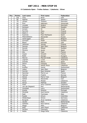#### **IX Catalonia Open - Trofeu Galasa / Catalonia / Silver**

| Pos.            | <b>Points</b>           | Last name       | First name           | Federation  |
|-----------------|-------------------------|-----------------|----------------------|-------------|
| $\mathbf{1}$    | 100                     | Voss            | <b>Brian</b>         | <b>USA</b>  |
| $\overline{2}$  | 80                      | Agerbo          | Jesper               | Denmark     |
| $\overline{3}$  | 70                      | Larsen          | Thoams               | Denmark     |
| 4               | 60                      | Ruiz            | Ildemaro             | Venezuela   |
| $\overline{5}$  | 50                      | Lousdal         | Anders               | Denmark     |
| $\overline{6}$  | 48                      | Karlsson        | <b>Tobias</b>        | Sweden      |
| $\overline{7}$  | 46                      | Aviram          | Or                   | Israel      |
| 8               | 44                      | Nurmilo         | Panu                 | Finland     |
| 9               | 42                      | Stott Jr        | Paul                 | Ireland     |
| 10              | 40                      | <b>Suances</b>  | Paco Rodriguez       | Spain       |
| 11              | 30                      | Medveditskov    | Alexander            | Russia      |
| 12              | 30                      | Verbruggen      | Gery                 | Belgium     |
| 13              | 28                      | Grimsen         | Peder                | Sweden      |
| 14              | 28                      | <b>Bland</b>    | <b>Kenneth</b>       | <b>USA</b>  |
| 15              | 26                      | <b>Jehkinen</b> | Joonas               | Finland     |
| 16              | $\overline{26}$         | Samain          | Jean Marc            | Belgium     |
| 17              | 24                      | Kanold          | Mikael               | Sweden      |
| 18              | 24                      | Moreno          | Javier               | Spain       |
| 19              | 22                      | Alix            | Yoan                 | France      |
| 20              | 22                      | Cayez           | Vincent              | France      |
| 21              | 16                      | <b>Bodis</b>    | Giorgio              | Hungary     |
| 22              | 16                      | Marron          | <b>Marcial Ovide</b> | Catalonia   |
| $\overline{23}$ | 16                      | Legnani         | Lucas                | Argentina   |
| 24              | 16                      | Ocando          | Melvin               | Spain       |
| 25              | 16                      | Sacco           | François             | France      |
| 26              | 12                      | Roig            | <b>Hector Roca</b>   | Catalonia   |
| 27              | 12                      | Ecoffey         | Xavier               | Switzerland |
| 28              | 12                      | Lebon           | Jean Marc            | Belgium     |
| 29              | 12                      | Carrión         | Raul Jimenez         | Spain       |
| $\overline{30}$ | 12                      | Sanchez         | Pierre Luc           | France      |
| 31              | 8                       | <b>Tjernes</b>  | Fredrik              | Norway      |
| $\overline{32}$ | 8                       | Gonze           | Pierre Yves          | Belgium     |
| $\overline{33}$ | $\overline{8}$          | Vahidi          | Alexandre            | Iran        |
| 34              | 8                       | Perez           | Moises               | Catalonia   |
| 35              | 8                       | Aarup           | Mathias              | Sweden      |
| 36              | $\overline{6}$          | Soler           | Artur Colomer        | Catalonia   |
| 37              | 6                       | van der Bogaard | Ron                  | Netherlands |
| 38              | 6                       | Vontobel        | Larry                | Switzerland |
| 39              | 6                       | Araújo          | Antonio              | Portugal    |
| 40              | 6                       | Miranda         | Axel Guimo           | Catalonia   |
| 41              | $\overline{\mathbf{4}}$ | Radi            | Tommaso              | Italy       |
| 42              | 4                       | Rueda           | Arturo               | Colombia    |
| 43              | 4                       | Wildenhayn      | Simon                | Germany     |
| 44              | 4                       | <b>Burgués</b>  | Alvar Cardona        | Catalonia   |
| 45              | 4                       | Jacobs          | Mark                 | Netherlands |
| 46              | $\overline{2}$          | Galisteo        | Raul Galvez          | Catalonia   |
| 47              | $\overline{2}$          | Maggi           | Mats                 | Belgium     |
| 48              | $\overline{2}$          | Reig            | Joan Piqué           | Catalonia   |
| 49              | $\overline{2}$          | Ferrero         | Francisco            | Spain       |
| 50              | $\overline{2}$          | Noble           | Diego Peña           | Catalonia   |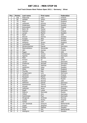#### **2nd Track Dream-Bowl Palace Open 2011 / Germany / Silver**

| Pos.            | <b>Points</b>           | Last name     | First name  | Federation     |
|-----------------|-------------------------|---------------|-------------|----------------|
| $\mathbf{1}$    | 100                     | Palermaa      | Osku        | Finland        |
| $\overline{2}$  | 80                      | Helldén       | Johan       | Sweden         |
| $\overline{3}$  | 70                      | Moor          | Paul        | England        |
| 4               | 60                      | Lehtonen      | Kimmo       | Finland        |
| $\overline{5}$  | 50                      | Andersson     | Robert      | Sweden         |
| $\overline{6}$  | 48                      | Koivuniemi    | Mika        | Finland        |
| $\overline{7}$  | 46                      | Bohn III      | Parker      | <b>USA</b>     |
| 8               | 44                      | Salonen       | Petteri     | Finland        |
| $\overline{9}$  | 42                      | Larsen        | Martin      | Sweden         |
| 10              | 40                      | Rash          | Sean        | <b>USA</b>     |
| 11              | 30                      | Eklund        | Dennis      | Sweden         |
| 12              | 30                      | Kurppa        | Niko        | Finland        |
| 13              | 28                      | Andersin      | Erik        | Sweden         |
| 14              | 28                      | Williams      | Stuart      | England        |
| 15              | 26                      | Loschetter    | Chris       | <b>USA</b>     |
| 16              | 26                      | Winternheimer | Pascal      | Germany        |
| 17              | 24                      | Medveditskov  | Alexander   | Russia         |
| 18              | 24                      | Jähi          | Joonas      | Finland        |
| 19              | 22                      | Fagan         | Mike        | <b>USA</b>     |
| 20              | 22                      | Mortensen     | Jimmy       | Denmark        |
| 21              | 16                      | Agerbo        | Jesper      | Denmark        |
| 22              | 16                      | Mohr          | Ronnie      | <b>USA</b>     |
| $\overline{23}$ | 16                      | Aviram        | Or          | Israel         |
| 24              | 16                      | Larsen        | Thomas      | Denmark        |
| $\overline{25}$ | 16                      | Grabovac      | Michael     | Germany        |
| 26              | 12                      | Aarup         | Mathias     | Sweden         |
| 27              | 12                      | Hellström     | Peter       | Sweden         |
| 28              | 12                      | Miller        | Matt        | England        |
| 29              | 12                      | Thurlby       | Rob         | England        |
| $\overline{30}$ | 12                      | Tangermann    | Lars        | Germany        |
| 31              | 8                       | Jehkinen      | Joonas      | Finland        |
| 32              | 8                       | Paulsson      | Martin      | Sweden         |
| $\overline{33}$ | $\overline{8}$          | Suslov        | Andrey      | Russia         |
| 34              | 8                       | Russell       | Ronnie      | <b>USA</b>     |
| 35              | 8                       | Hellmich      | Daniel      | Germany        |
| 36              | 6                       | Raatikainen   | Teemu       | Finland        |
| 37              | 6                       | Mrosek        | Manuel      | <b>Germany</b> |
| 38              | 6                       | Valtonen      | Anssi       | Finland        |
| 39              | 6                       | Eigelt        | Lukas       | Germany        |
| 40              | 6                       | Sidorov       | Gennady     | Russia         |
| 41              | $\overline{\mathbf{4}}$ | Völkel        | <b>Dirk</b> | Germany        |
| 42              | 4                       | Hutchinson    | Paul        | Denmark        |
| 43              | 4                       | Skoglund      | Andreas     | Norway         |
| 44              | 4                       | Jussila       | Perttu      | Finland        |
| 45              | 4                       | Carter        | Tom         | <b>USA</b>     |
| 46              | $\overline{2}$          | van Zandwijk  | Dwayne      | Netherlands    |
| 47              | $\overline{2}$          | Unger         | Stephan     | Germany        |
| 48              | $\overline{2}$          | Olsson        | Mattias     | Sweden         |
| 49              | $\overline{2}$          | <b>Hulst</b>  | Phil        | Netherlands    |
| 50              | $\overline{2}$          | Wahlgren      | Karl        | Sweden         |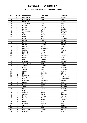#### **5th Qubica/AMF Open 2011 / Slovenia / Silver**

| Pos.            | <b>Points</b>           | Last name          | First name    | Federation  |
|-----------------|-------------------------|--------------------|---------------|-------------|
| $\mathbf{1}$    | 100                     | Koivuniemi         | Mika          | Finland     |
| $\overline{2}$  | 80                      | Loschetter         | Chris         | <b>USA</b>  |
| $\overline{3}$  | 70                      | Palermaa           | Osku          | Finland     |
| 4               | 60                      | Torgersen          | Tore          | Norway      |
| $\overline{5}$  | 50                      | Fagan              | Mike          | <b>USA</b>  |
| $\overline{6}$  | 48                      | Larsen             | Thomas        | Denmark     |
| $\overline{7}$  | 46                      | Larsen             | Martin        | Sweden      |
| 8               | 44                      | Verbruggen         | Gery          | Belgium     |
| 9               | 42                      | Ljung              | Peter         | Sweden      |
| 10              | 40                      | $\overline{H}$ ahn | Daniel        | Austria     |
| 11              | 30                      | Voss               | <b>Brian</b>  | <b>USA</b>  |
| 12              | 30                      | Moor               | Paul          | England     |
| 13              | 28                      | Eklund             | Dennis        | Sweden      |
| 14              | 28                      | Gross              | <b>Thomas</b> | Austria     |
| 15              | 26                      | Aarup              | Mathias       | Sweden      |
| 16              | 26                      | Agerbo             | Jesper        | Denmark     |
| 17              | 24                      | Rauscher           | Alexander     | Austria     |
| 18              | 24                      | Jussila            | Perttu        | Finland     |
| 19              | 22                      | Bohn III           | Parker        | <b>USA</b>  |
| 20              | 22                      | Fürbacher          | Roman         | Austria     |
| 21              | 16                      | Lischka            | Klaus-Uwe     | Germany     |
| 22              | 16                      | Smith              | Robert        | <b>USA</b>  |
| $\overline{23}$ | 16                      | <b>Bodis</b>       | Giorgio       | Hungary     |
| 24              | 16                      | Hardarson          | Hafthor       | Iceland     |
| 25              | 16                      | Sandbäkken         | Mads          | Norway      |
| 26              | 12                      | Zjawiony           | Lukasz        | Poland      |
| 27              | 12                      | Malek              | Milan         | Slovenia    |
| 28              | 12                      | Völkel             | <b>Dirk</b>   | Germany     |
| 29              | 12                      | Stott Jr.          | Paul          | Ireland     |
| $\overline{30}$ | 12                      | <b>Bland</b>       | Kenneth       | <b>USA</b>  |
| 31              | 8                       | Zjawiony           | Piotr         | Poland      |
| 32              | 8                       | Thienpondt         | Nico          | Netherlands |
| $\overline{33}$ | $\overline{8}$          | Kok                | Eric          | Netherlands |
| 34              | 8                       | Pittesser          | Alexander     | Austria     |
| 35              | 8                       | <b>Brotto</b>      | Andrea        | Italy       |
| 36              | $\overline{6}$          | Feguš              | Matej         | Slovenia    |
| 37              | 6                       | Stenko             | Nino          | Slovenia    |
| 38              | 6                       | Erzen              | Tomaz         | Slovenia    |
| 39              | 6                       | Gykis              | Vytautas      | Lithuania   |
| 40              | 6                       | Galeone            | Nicola        | Italy       |
| 41              | $\overline{\mathbf{4}}$ | Canady             | David         | Germany     |
| 42              | 4                       | Mayer              | Michael       | Austria     |
| 43              | 4                       | Lajovic            | Dušan         | Slovenia    |
| 44              | 4                       | Knopp              | Peter         | Germany     |
| 45              | 4                       | Smith              | Allan         | <b>USA</b>  |
| 46              | $\overline{2}$          | Maniero            | Alessio       | Italy       |
| 47              | $\overline{2}$          | Skobrics           | Zoltán        | Hungary     |
| 48              | $\overline{2}$          | Muth               | <b>Jens</b>   | Germany     |
| 49              | $\overline{2}$          | Csernicsek         | Manuel        | Austria     |
| $\overline{50}$ | $\overline{2}$          | D'achille          | Nico          | Italy       |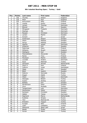#### **8th Istanbul Bowling Open / Turkey / Gold**

| Pos.                     | <b>Points</b>   | Last name    | <b>First name</b> | Federation  |
|--------------------------|-----------------|--------------|-------------------|-------------|
| 1                        | 150             | Thurlby      | Robert            | England     |
| $\overline{2}$           | 120             | Moor         | Paul              | England     |
| $\overline{3}$           | 105             | Koivuniemi   | Mika              | Finland     |
| $\overline{\mathcal{L}}$ | 90              | Jussila      | Perttu            | Finland     |
| $\overline{5}$           | 75              | Larsen       | Thomas            | Denmark     |
| 6                        | 72              | Eklund       | Den               | Sweden      |
| $\overline{7}$           | 69              | Öhrgaard     | Frederik          | Denmark     |
| 8                        | 66              | Stampe       | Mik               | Denmark     |
| 9                        | 63              | Racpan       | Christian         | Germany     |
| 10                       | 60              | Larsen       | Martin            | Sweden      |
| 11                       | 45              | Aviram       | Or                | Israel      |
| 12                       | 45              | Andersson    | Robert            | Sweden      |
| 13                       | 42              | Olson        | Mattias           | Sweden      |
| 14                       | 42              | Aarup        | <b>Mattias</b>    | Sweden      |
| $\overline{1}5$          | 39              | Agerbo       | Jesper            | Denmark     |
| 16                       | 39              | Andersin     | Erik              | Sweden      |
| 17                       | 36              | Palermaa     | Osku              | Finland     |
| 18                       | 36              | Williams     | Stuart            | England     |
| 19                       | 33              | Wahlgren     | Karl              | Sweden      |
| 20                       | $\overline{33}$ | Medveditskov | Alexander         | Russia      |
| 21                       | 24              | Ranta        | Tony              | Finland     |
| 22                       | 24              | Paulsson     | Martin            | Sweden      |
| $\overline{23}$          | 24              | Lousdal      | Anders            | Denmark     |
| 24                       | 24              | Kaya         | Mehmet            | Turkey      |
| $\overline{25}$          | $\overline{2}4$ | Stinissen    | Michell           | Netherlands |
| 26                       | 18              | Stott Jr.    | Paul              | Ireland     |
| 27                       | 18              | Caferov      | Vusal             | Azerbaijan  |
| 28                       | 18              | Ojala        | <b>Kim</b>        | Sweden      |
| 29                       | 18              | Biehl        | Joakim            | Sweden      |
| 30                       | 18              | Sidorov      | Gennady           | Russia      |
| 31                       | 12              | Dogan        | Habib             | Turkey      |
| $\overline{32}$          | 12              | Olsen        | Claus             | Denmark     |
| $\overline{33}$          | 12              | Atesoglu     | Bülent            | Turkey      |
| 34                       | 12              | Suslov       | Andrey            | Russia      |
| 35                       | 12              | Bolleby      | Kim               | Sweden      |
| 36                       | 9               | Nordersson   | Peter             | Sweden      |
| 37                       | $\overline{9}$  | Onur         | Mustafa           | Turkey      |
| 38                       | $\overline{9}$  | Tangermann   | Lars              | Germany     |
| 39                       | $\overline{9}$  | Dementiev    | Viktor            | Ukraine     |
| 40                       | 9               | Karlsson     | Christian         | Sweden      |
| 41                       | $\overline{6}$  | Gäbler       | <b>Tobias</b>     | Germany     |
| 42                       | $\overline{6}$  | Sigmond      | Marco             | Netherlands |
| 43                       | 6               | Kudelya      | Sergey            | Russia      |
| 44                       | 6               | <b>Tikir</b> | Mehmet Ali        | Turkey      |
| 45                       | 6               | Erkeskin     | <b>Taygun</b>     | Turkey      |
| 46                       | $\overline{3}$  | Kurppa       | Niko              | Finland     |
| 47                       | $\overline{3}$  | Cakir        | Celalettin        | Turkey      |
| 48                       | $\overline{3}$  | Mahamid      | Abed Latif        | Israel      |
| 49                       | $\overline{3}$  | <b>Basak</b> | Önder             | Turkey      |
| 50                       | $\overline{3}$  | Guran        | Adem              | Turkey      |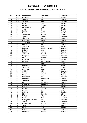#### **Bowltech Aalborg International 2011 / Denmark / Gold**

| Pos.            | <b>Points</b>  | Last name          | First name      | Federation     |
|-----------------|----------------|--------------------|-----------------|----------------|
| $\mathbf{1}$    | 150            | Palermaa           | Osku            | Finland        |
| $\overline{2}$  | 120            | Stampe             | Mik             | Denmark        |
| $\overline{3}$  | 105            | Williams           | Stuart          | England        |
| 4               | 90             | Pejstrup           | Lars            | Sweden         |
| $\overline{5}$  | 75             | Aarup              | Mathias         | Sweden         |
| $\overline{6}$  | 72             | Sandbäkken         | Mads            | Norway         |
| $\overline{7}$  | 69             | Ojala              | Kim             | Sweden         |
| 8               | 66             | Jussila            | Perttu          | Finland        |
| 9               | 63             | Larsen             | Martin          | Sweden         |
| 10              | 60             | Andersson          | Robert          | Sweden         |
| 11              | 45             | Agerbo             | Jesper          | Denmark        |
| 12              | 45             | Ankerdal           | Michael         | Denmark        |
| 13              | 42             | Mortensen          | Jimmy           | Denmark        |
| $\overline{14}$ | 42             | Torgersen          | Tore            | Norway         |
| 15              | 39             | Adsböl             | Johnni          | <b>Denmark</b> |
| 16              | 39             | Wahlgren           | Karl            | Sweden         |
| 17              | 36             | Hansen             | Carsten Warming | Denmark        |
| 18              | 36             | Höberg             | Lars            | Denmark        |
| 19              | 33             | Lousdal            | Anders          | Denmark        |
| 20              | 33             | Ankerdal           | Kenneth         | Denmark        |
| 21              | 24             | Öhrgaard           | Frederik        | Denmark        |
| 22              | 24             | Bai                | Michael         | Denmark        |
| $\overline{23}$ | 24             | Paulsson           | Martin          | Sweden         |
| 24              | 24             | Pedersen           | Glenn Morten    | Norway         |
| 25              | 24             | Tonteri            | Juhani          | Finland        |
| 26              | 18             | <b>Hardorson</b>   | <b>Hafthor</b>  | Iceland        |
| 27              | 18             | Valaranta          | Samu            | Finland        |
| 28              | 18             | Gruffman           | James           | Sweden         |
| 29              | 18             | Guldbäk            | John            | Denmark        |
| $\overline{30}$ | 18             | Olsson             | <b>Mattias</b>  | Sweden         |
| 31              | 12             | Nielsen            | Lars            | Denmark        |
| $\overline{32}$ | 12             | Bröndsted          | Kim             | Denmark        |
| $\overline{33}$ | 12             | Rudshagen          | Björn Einer     | Norway         |
| 34              | 12             | Andersen           | Jan             | Denmark        |
| 35              | 12             | Ek                 | Svein Aake      | Norway         |
| 36              | 9              | Medveditskov       | Alexander       | Russia         |
| 37              | 9              | Mattsson           | Simon           | Sweden         |
| 38              | 9              | Larsen             | Thomas          | Denmark        |
| $\overline{39}$ | 9              | Aviram             | 0r              | Israel         |
| 40              | 9              | Sjöberg            | Eric            | Sweden         |
| 41              | $\overline{6}$ | <b>Bland</b>       | Kenneth         | <b>USA</b>     |
| 42              | 6              | Helldén            | Johan           | Sweden         |
| 43              | 6              | Moor               | Paul            | England        |
| 44              | 6              | Östergaard-Poulsen | Dan             | Denmark        |
| 45              | 6              | Jensen             | Henrik          | Denmark        |
| 46              | $\overline{3}$ | Levandovski        | Morten          | Denmark        |
| 47              | $\overline{3}$ | <b>Stott</b>       | Paul            | Ireland        |
| 48              | $\overline{3}$ | Ljung              | Peter           | Sweden         |
| 49              | $\overline{3}$ | Madsen             | Mathias         | Denmark        |
| 50              | $\overline{3}$ | Rothborg           | Karsten         | Denmark        |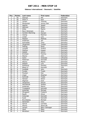#### **Odense International / Denmark / Satellite**

| Pos.                     | <b>Points</b>            | Last name       | <b>First name</b> | Federation |
|--------------------------|--------------------------|-----------------|-------------------|------------|
| $\mathbf{1}$             | 50                       | <b>Stampe</b>   | Mik               | Denmark    |
| $\overline{2}$           | 40                       | Stott Jr.       | Paul              | Ireland    |
| $\overline{3}$           | 35                       | Larsen          | Thomas            | Denmark    |
| $\overline{\mathcal{L}}$ | 30                       | Mortensen       | Jimmy Dan         | Denmark    |
| $\overline{5}$           | 25                       | Agerbo          | Jesper            | Denmark    |
| $\overline{6}$           | 24                       | Aahman          | Sören             | Denmark    |
| $\overline{7}$           | 23                       | Klitte          | Martin            | Denmark    |
| 8                        | 22                       | Ravn Sörensen   | <b>Jens</b>       | Denmark    |
| $\overline{9}$           | 21                       | Carsten Warming | Hansen            | Denmark    |
| 10                       | 20                       | Ussing          | Rasmus            | Denmark    |
| 11                       | 15                       | Linder          | Lars              | Denmark    |
| 12                       | 15                       | Madsen          | Mathias           | Denmark    |
| 13                       | 14                       | Andersen        | Jan               | Denmark    |
| 14                       | 14                       | Schroeder       | Timo              | Germany    |
| $\overline{15}$          | 13                       | Jörgensen       | Torben            | Denmark    |
| 16                       | 13                       | Sejling         | René              | Denmark    |
| 17                       | 12                       | Lousdal         | Anders            | Denmark    |
| 18                       | 12                       | Walther         | Kasper            | Denmark    |
| 19                       | 11                       | Adsböl          | Johnni            | Denmark    |
| 20                       | 11                       | Erichsen        | Tommy             | Denmark    |
| 21                       | 8                        | Wozny           | John              | Denmark    |
| 22                       | $\overline{8}$           | Gykis           | Vytautas          | Lithuania  |
| 23                       | $\overline{8}$           | Pedersen        | Kenneth           | Denmark    |
| 24                       | 8                        | Wozny           | Martin            | Denmark    |
| 25                       | $\overline{8}$           | Nielsen         | Lars              | Denmark    |
| 26                       | $\overline{6}$           | Rothborg        | Karsten           | Denmark    |
| 27                       | 6                        | Bland Jr.       | Kenneth           | <b>USA</b> |
| 28                       | $\overline{6}$           | Guldbäk         | John              | Denmark    |
| $\overline{29}$          | $\overline{6}$           | Funder          | Troels            | Denmark    |
| 30                       | 6                        | Poulsen         | Dan               | Denmark    |
| $\overline{31}$          | $\overline{4}$           | Unger           | Stephan           | Germany    |
| 32                       | $\overline{\mathcal{L}}$ | Schmidt         | Troels            | Denmark    |
| 33                       | $\overline{\mathbf{4}}$  | Hansen          | Sören             | Denmark    |
| 34                       | 4                        | Wigman          | Kent              | Denmark    |
| $\overline{35}$          | $\overline{\mathbf{4}}$  | Jörgensen       | Henrik            | Denmark    |
| 36                       | $\overline{3}$           | Wendlandt       | Steffen           | Germany    |
| 37                       | $\overline{3}$           | Andersen        | Martin            | Denmark    |
| 38                       | $\overline{3}$           | Truegaard       | Kenneth           | Denmark    |
| 39                       | $\overline{3}$           | Ankerdal        | Michael           | Denmark    |
| 40                       | $\overline{3}$           | Öhrgaard        | Frederik          | Denmark    |
| 41                       | $\overline{2}$           | Rauth           | Oliver            | Germany    |
| 42                       | $\overline{2}$           | Ankerdal        | Kenneth           | Denmark    |
| 43                       | $\overline{2}$           | Kyed            | Kenneth           | Denmark    |
| 44                       | $\overline{2}$           | Brunebjerg      | Michael           | Denmark    |
| 45                       | $\overline{2}$           | Sörensen        | Tony              | Denmark    |
| 46                       | $\mathbf{1}$             | Garcia          | Cornelio          | Denmark    |
| 47                       | $\mathbf{1}$             | Wozny           | Sören Bo          | Denmark    |
| 48                       | $\mathbf{1}$             | Jensen          | Björn Saksager    | Denmark    |
| 49                       | $\mathbf{1}$             | Hjort           | Mark              | Denmark    |
| 50                       | $\mathbf{1}$             | Bendtsen        | <b>Brett</b>      | Denmark    |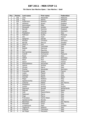#### **7th Storm San Marino Open / San Marino / Gold**

| Pos.                    | <b>Points</b>                    | Last name      | First name   | Federation  |
|-------------------------|----------------------------------|----------------|--------------|-------------|
| $\mathbf{1}$            | 150                              | Liew           | Alexander    | Malaysia    |
| $\overline{2}$          | 120                              | Ang            | Adrian       | Malaysia    |
| $\overline{3}$          | 105                              | Andersson      | Roberto      | Sweden      |
| $\overline{\mathbf{4}}$ | 90                               | Williams       | Stuart       | England     |
| $\overline{5}$          | 75                               | Koivuniemi     | Mika         | Finland     |
| 6                       | 72                               | Monacelli      | Amleto       | Venezuela   |
| $\overline{7}$          | 69                               | <b>Barrett</b> | Dominic      | England     |
| 8                       | 66                               | Larsen         | Thomas       | Denmark     |
| 9                       | 63                               | Maddaloni      | Antonio      | Italy       |
| 10                      | 60                               | Ridhwan        | Syafiq       | Malaysia    |
| 11                      | 45                               | Alix           | Yoan         | France      |
| 12                      | 45                               | Spagnoli       | Davide       | Italy       |
| 13                      | 42                               | Racpan         | Christian    | Germany     |
| $\overline{14}$         | 42                               | Berndt         | Marcus       | Sweden      |
| 15                      | 39                               | Stott Jr.      | Paul         | Ireland     |
| 16                      | 39                               | Radi           | Tommaso      | Italy       |
| 17                      | 36                               | <b>Badiali</b> | Gianluca     | Italy       |
| 18                      | 36                               | Celli          | Maurizio     | Italy       |
| 19                      | 33                               | Del Carmine    | Alessandro   | Italy       |
| 20                      | 33                               | Zulkifli       | Zulmazran    | Malaysia    |
| 21                      | 24                               | Rossi          | Federico     | Italy       |
| 22                      | 24                               | Völkel         | Dirk         | Germany     |
| $\overline{23}$         | 24                               | Moor           | Paul         | England     |
| 24                      | 24                               | Sacco          | Thierry      | France      |
| $\overline{25}$         | 24                               | Medveditskov   | Alexander    | Russia      |
| 26                      | 18                               | Spezia         | Andrea       | Italy       |
| 27                      | 18                               | Zorzan         | Marco        | Italy       |
| 28                      | 18                               | Fischer        | Alexander    | Germany     |
| 29                      | 18                               | Frouvelle      | Serge        | France      |
| 30                      | 18                               | Lopez          | Miguel       | <b>USA</b>  |
| 31                      | 12                               | Galeone        | Nicola       | Italy       |
| $\overline{32}$         | 12                               | Ocando         | Melvin       | Spain       |
| $\overline{33}$         | 12                               | Magri          | Stefano      | Italy       |
| 34                      | 12                               | Spadavecchia   | Andrea       | Italy       |
| 35                      | 12                               | Colonna        | Mattia       | San Marino  |
| 36                      | 9                                | Maddaloni      | Enrico       | Italy       |
| 37                      | 9                                | Suslov         | Andrey       | Russia      |
| 38                      | $\overline{9}$                   | Sigmond        | Ronald       | Netherlands |
| 39                      | $\overline{9}$                   | Pascual        | Erwin        | Spain       |
| 40                      | 9                                | Celli          | Massimiliano | Italy       |
| 41                      | $\overline{6}$                   | Padovani       | Marco        | Italy       |
| 42                      | $\overline{6}$                   | Inga           | Marco        | Italy       |
| 43                      | 6                                | Francesco      | Dante Didon  | Italy       |
| 44                      | 6                                | Spadavecchia   | Renato       | Italy       |
| 45                      | 6                                | Bacchioci      | Ettore       | San Marino  |
| 46                      | $\overline{3}$                   | Mambelli       | Omar         | Italy       |
| 47                      | $\overline{3}$<br>$\overline{3}$ | Lunderquist    | Mats         | Sweden      |
| 48                      |                                  | Tagliavini     | Roberto      | Italy       |
| 49                      | $\overline{3}$                   | Colonna        | Francesco    | Italy       |
| 50                      | $\overline{3}$                   | de Filippi     | Pierpaolo    | Italy       |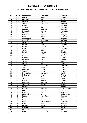#### **33 Trofeu Internacional Ciutat de Barcelona / Catalonia / Gold**

| Pos.            | <b>Points</b>           | Last name         | First name    | Federation     |
|-----------------|-------------------------|-------------------|---------------|----------------|
| $\mathbf{1}$    | 150                     | Larsen            | Martin        | Sweden         |
| $\overline{2}$  | 120                     | Koivuniemi        | Mika          | Finland        |
| $\overline{3}$  | 105                     | Andersson         | Robert        | Sweden         |
| 4               | 90                      | Zulkifli          | Zulmazran     | Malaysia       |
| $\overline{5}$  | $\overline{75}$         | Maggi             | Mats          | Belgium        |
| $\overline{6}$  | 72                      | Williams          | Stuart        | England        |
| $\overline{7}$  | 69                      | Racpan            | Christian     | Germany        |
| $\overline{8}$  | 66                      | Monacelli         | Amleto        | Venezuela      |
| $\overline{9}$  | 63                      | Stampe            | Mik           | Denmark        |
| 10              | 60                      | Ridhwan           | Syafiq        | Malaysia       |
| 11              | 45                      | Ovide             | Marcial       | Catalonia      |
| 12              | 45                      | Verbruggen        | Gery          | Belgium        |
| 13              | 42                      | Samain            | Jean Marc     | Belgium        |
| 14              | 42                      | Sermand           | Julien        | France         |
| 15              | 39                      | <b>Barrett</b>    | Dominic       | England        |
| 16              | 39                      | Larsen            | Thomas        | Denmark        |
| 17              | 36                      | Moor              | Paul          | England        |
| 18              | 36                      | Voss              | <b>Brian</b>  | <b>USA</b>     |
| 19              | 33                      | Berndt            | Marcus        | Sweden         |
| 20              | 33                      | Ang               | Adrian        | Malaysia       |
| 21              | 24                      | Oksanen           | <b>Jere</b>   | Finland        |
| 22              | 24                      | Helldén           | Johan         | Sweden         |
| $\overline{23}$ | 24                      | Palermaa          | Osku          | Finland        |
| 24              | 24                      | Aviram            | Or            | Israel         |
| $\overline{25}$ | 24                      | Agerbo            | Jesper        | Denmark        |
| 26              | 18                      | Ibañez            | Moi Perez     | Catalonia      |
| 27              | 18                      | Walter            | Kasper        | Denmark        |
| 28              | 18                      | Heinonen          | Markus        | Finland        |
| 29              | 18                      | Jussila           | Perttu        | Finland        |
| $\overline{30}$ | 18                      | Medveditskov      | Alexander     | Russia         |
| 31              | 12                      | Holmström         | Ville         | Finland        |
| 32              | 12                      | Ojala             | Kim           | Sweden         |
| $\overline{33}$ | 12                      | Alix              | Yoan          | France         |
| 34              | 12                      | Olsson            | Mattias       | Sweden         |
| 35              | 12                      | Samanes           | Ion Acin      | Spain          |
| 36              | 9                       | <b>Stefanidis</b> | Giorgos       | Greece         |
| 37              | 9                       | Bolleby           | Kim           | Sweden         |
| 38              | $\overline{9}$          | Lorenc            | Jaroslav      | Czech Republic |
| $\overline{39}$ | 9                       | Cayez             | Vincent       | France         |
| 40              | 9                       | Hjort             | Mark          | Denmark        |
| 41              | $\overline{6}$          | Steenbekkers      | Sven          | Netherlands    |
| 42              | 6                       | Lebon             | Jean Marc     | Belgium        |
| 43              | 6                       | Lopez             | Miguel        | <b>USA</b>     |
| 44              | 6                       | Öhrgaard          | Frederik      | Denmark        |
| 45              | 6                       | Soler             | Artur Colomer | Catalonia      |
| 46              | $\overline{3}$          | Liew              | Alex          | Malaysia       |
| 47              | $\overline{3}$          | Keckes            | Marek         | Slovakia       |
| 48              | $\overline{3}$          | Hardarson         | Hafbor        | Iceland        |
| 49              | $\overline{\mathbf{3}}$ | Rodriguez         | Paco          | Spain          |
| 50              | $\overline{3}$          | Gonze             | Pierre-Yves   | Belgium        |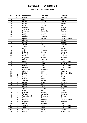#### **BNC Open / Slovakia / Silver**

| Pos.            | <b>Points</b>           | Last name      | First name   | <b>Federation</b> |
|-----------------|-------------------------|----------------|--------------|-------------------|
| 1               | 100                     | <b>Barrett</b> | Dominic      | England           |
| $\overline{2}$  | 80                      | Voss           | <b>Brian</b> | <b>USA</b>        |
| 3               | 70                      | Larsen         | Thomas       | Denmark           |
| $\overline{4}$  | 60                      | Larsen         | Martin       | Sweden            |
| $\overline{5}$  | 50                      | Gross          | Thomas       | Austria           |
| 6               | 48                      | Gabrijan       | Anze         | Slovenia          |
| $\overline{7}$  | 46                      | Wahlgren       | Karl         | Sweden            |
| 8               | 44                      | Mortensen      | Jimmy Dan    | Denmark           |
| 9               | 42                      | Rauscher       | Michael      | Austria           |
| 10              | 40                      | Lampo          | Sami         | Finland           |
| 11              | 30                      | Racpan         | Christian    | Germany           |
| 12              | 30                      | Spacil         | Janusz       | Czech Republic    |
| 13              | 28                      | Bolleby        | <b>Kim</b>   | Sweden            |
| 14              | 28                      | <b>Backe</b>   | Patrick      | Sweden            |
| 15              | 26                      | Völkel         | <b>Dirk</b>  | Germany           |
| 16              | 26                      | Jussila        | Perttu       | Finland           |
| 17              | 24                      | Ljung          | Peter        | Sweden            |
| 18              | 24                      | Gykis          | Vytautas     | Lithuania         |
| 19              | 22                      | Dobondi        | Bogdan       | Romania           |
| 20              | 22                      | Engström       | Janusz       | Sweden            |
| 21              | 16                      | Cardona        | Alvar        | Catalonia         |
| 22              | 16                      | Gagenoiu       | Romeo        | Romania           |
| 23              | 16                      | Sidorov        | Gennady      | Russia            |
| $\overline{24}$ | 16                      | Kutina         | Karel        | Czech Republic    |
| 25              | 16                      | Jurinyi        | Ludovit      | Slovakia          |
| 26              | 12                      | <b>Hladik</b>  | Karel        | Czech Republic    |
| 27              | 12                      | Cermak         | Pavel        | Czech Republic    |
| 28              | 12                      | Medveditskov   | Alexander    | Russia            |
| 29              | 12                      | Skobrics       | Zoltan       | Hungary           |
| $\overline{30}$ | 12                      | <b>Hindrak</b> | Jiri         | Czech Republic    |
| 31              | 8                       | Fischer        | Alexander    | Germany           |
| 32              | $\overline{8}$          | Green          | Rasmus       | Sweden            |
| $\overline{33}$ | $\overline{8}$          | Oralek         | Martin       | Sweden            |
| 34              | 8                       | Jansson        | Markus       | Sweden            |
| 35              | $\overline{8}$          | Keckes         | Pavol        | Slovakia          |
| 36              | 6                       | Suslov         | Andrey       | Russia            |
| 37              | 6                       | Lajovic        | Dusan        | Slovenia          |
| 38              | 6                       | Spacey         | Tanner       | <b>USA</b>        |
| 39              | 6                       | Levikin        | Artur        | Latvia            |
| 40              | 6                       | Lischka        | Klaus-Uwe    | Germany           |
| 41              | 4                       | Tariceanu      | Alexandru    | Romania           |
| 42              | 4                       | Tsorbatzoudis  | Evangelos    | Greece            |
| 43              | 4                       | Canady         | David        | Germany           |
| 44              | $\overline{\mathbf{4}}$ | Dvorak         | Vladimir     | Czech Republic    |
| 45              | 4                       | Gogoasa        | Mihaita      | Romania           |
| 46              | $\overline{2}$          | Strbac         | Vladimir     | Serbia            |
| 47              | $\overline{2}$          | Jaroslav       | Lorenc       | Czech Republic    |
| 48              | $\overline{2}$          | <b>Vcelis</b>  | Mihcal       | Czech Republic    |
| 49              | $\overline{2}$          | Pietraszek     | Janusz       | Poland            |
| 50              | $\overline{2}$          | Hilferink      | Ramon        | Netherlands       |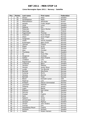#### **Linne Norwegian Open 2011 / Norway / Satellite**

| Pos.                     | <b>Points</b>             | Last name        | First name        | <b>Federation</b> |
|--------------------------|---------------------------|------------------|-------------------|-------------------|
| $\mathbf{1}$             | 50                        | Westin           | Peter             | Sweden            |
| $\overline{2}$           | 40                        | Sandbækken       | Mads              | Norway            |
| $\overline{3}$           | 35                        | Medveditskov     | Alexander         | Russia            |
| $\overline{\mathcal{L}}$ | 30                        | Aaneby           | Frode Jørgen      | Norway            |
| $\overline{5}$           | 25                        | Carle            | Linus             | Sweden            |
| 6                        | 24                        | Sjöberg          | Eric              | Sweden            |
| $\overline{7}$           | 23                        | Pedersen         | Glenn Morten      | Norway            |
| 8                        | 22                        | Palermaa         | Osku              | Finland           |
| 9                        | 21                        | Fagerstrøm       | Thomas            | Norway            |
| 10                       | 20                        | Andersen         | Rune Herold       | Norway            |
| 11                       | 15                        | Olsen            | Svein Roger       | Norway            |
| 12                       | 15                        | Torgersen        | Tore              | <b>Norway</b>     |
| 13                       | 14                        | Oseth            | Henrik Aspdahl    | Norway            |
| $\overline{14}$          | 14                        | Rudshagen        | Bjørn Einar       | Norway            |
| $\overline{15}$          | 13                        | <b>Tjernes</b>   | Fredrik           | Norway            |
| 16                       | 13                        | Espen            | Arvid             | Norway            |
| 17                       | 12                        | Vatne            | <b>Didrik</b>     | Norway            |
| 18                       | 12                        | Aker             | Christer          | Norway            |
| 19                       | 11                        | Thunberg         | Klas              | Sweden            |
| 20                       | 11                        | Ek               | Svein Åke         | Norway            |
| $\overline{21}$          | 8                         | Skoglund         | Andreas           | Norway            |
| 22                       | $\overline{8}$            | Gether           | Hans Fredrik      | Norway            |
| $\overline{23}$          | 8                         | Lindbäck         | Lars              | Sweden            |
| 24                       | 8                         | Ragnarsson       | Jon Ingi          | Norway            |
| 25                       | $\overline{8}$            | Lindqvist        | Björn             | Sweden            |
| 26                       | $\overline{6}$            | Jansson          | <b>Mattias</b>    | Sweden            |
| 27                       | 6                         | Hansen           | Audun Boye        | Norway            |
| 28                       | $\overline{6}$            | Lunde            | Tor-Øyvind        | Norway            |
| 29                       | $\overline{6}$            | Barstad          | <b>Stig Rune</b>  | Norway            |
| 30                       | 6                         | Kulseng          | Øyvin             | Norway            |
| 31                       | $\overline{\mathbf{4}}$   | Harang           | Øyvind            | Norway            |
| $\overline{32}$          | $\overline{\mathbf{4}}$   | <b>Barkald</b>   | Terje             | Norway            |
| $\overline{33}$          | $\overline{4}$            | <b>Bland</b>     | Kenneth Junior    | <b>USA</b>        |
| 34                       | 4                         | Pejstrup         | Lars              | Sweden            |
| 35                       | $\overline{\mathcal{L}}$  | Emblem           | Patrick Gimmestad | Norway            |
| 36                       | $\overline{3}$            | Lauritzen        | <b>Mathias</b>    | Norway            |
| 37                       | $\overline{3}$            | Östberg          | Simon             | Sweden            |
| 38                       | $\overline{3}$            | Lygre            | <b>Bjarte</b>     | Norway            |
| 39                       | $\overline{3}$            | Eliasson         | Karl-Johan        | Sweden            |
| 40                       | $\overline{\overline{3}}$ | Selvnes          | Pål               | Norway            |
| 41                       | $\overline{2}$            | Finstad          | Fredrik           | Norway            |
| 42                       | $\overline{2}$            | Aare             | John              | Norway            |
| 43                       | $\overline{2}$            | Sjøgren          | Jonas             | Norway            |
| 44                       | $\overline{2}$            | Almestrand       | Runar             | Norway            |
| 45                       | $\overline{2}$            | Jansson          | Markus            | Sweden            |
| 46                       | $\mathbf{1}$              | Jensen           | John Anders       | Norway            |
| 47                       | $\mathbf{1}$              | Iversen          | Erik              | Norway            |
| 48                       | $\mathbf{1}$              | Hesselberg-Meyer | Fredrik           | Norway            |
| 49                       | $\mathbf{1}$              | Karlsson         | Richard           | Sweden            |
| $\overline{50}$          | $\mathbf{1}$              | Sælen            | Ruben Hansen      | Norway            |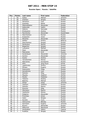#### **Russian Open / Russia / Satellite**

| Pos.            | <b>Points</b>            | Last name    | First name    | Federation     |
|-----------------|--------------------------|--------------|---------------|----------------|
| 1               | 50                       | Kalika       | Mikhail       | Ukraine        |
| $\overline{2}$  | 40                       | Andreev      | Sergey        | Russia         |
| 3               | 35                       | Semenov      | Ivan          | Russia         |
| $\overline{4}$  | 30                       | Koshelev     | <b>Nikita</b> | Russia         |
| $\overline{5}$  | 25                       | Medveditskov | Alexander     | Russia         |
| 6               | 24                       | Kalacutok    | Vadim         | Russia         |
| $\overline{7}$  | 23                       | Sidorov      | Gennady       | Russia         |
| 8               | 22                       | Emelyanov    | Andrey        | Russia         |
| 9               | 21                       | Panchenko    | Alexander     | Kazakhstan     |
| 10              | 20                       | Starchenkov  | Roman         | Russia         |
| 11              | 15                       | Krasavkin    | Victor        | Russia         |
| 12              | 15                       | Minenko      | Alexander     | Russia         |
| 13              | 14                       | Shilkin      | Dmitry        | <b>Belarus</b> |
| 14              | 14                       | Starchenkov  | Sergey        | Russia         |
| 15              | 13                       | Parshukov    | Alexey        | Russia         |
| 16              | 13                       | Bogachev     | Sergey        | Russia         |
| 17              | 12                       | Lukyanov     | Mikhail       | Russia         |
| 18              | 12                       | Deev         | Alexander     | Russia         |
| 19              | 11                       | Matvienko    | Kirill        | Russia         |
| 20              | 11                       | Kondratyev   | Alexander     | Ukraine        |
| 21              | 8                        | Gurkov       | Alexander     | Russia         |
| 22              | $\overline{8}$           | Suslov       | Andrey        | Russia         |
| 23              | $\overline{8}$           | Yaroslavtsev | Alexey        | Russia         |
| 24              | 8                        | Matvienko    | Konstantin    | Russia         |
| 25              | $\overline{8}$           | Shin         | Jong Hyun     | Korea          |
| 26              | $\overline{6}$           | Lapshinsky   | Dmitry        | Russia         |
| 27              | 6                        | Mineev       | Evgeny        | Russia         |
| 28              | 6                        | Potorochin   | Filipp        | Russia         |
| 29              | 6                        | Gorodnichy   | Ivan          | Russia         |
| $\overline{30}$ | $\overline{6}$           | Sokolov      | Oleg          | Russia         |
| 31              | $\overline{\mathcal{L}}$ | Maysky       | Vladimir      | Serbia         |
| 32              | 4                        | Myslev       | Vladislav     | Russia         |
| 33              | 4                        | Tokarev      | Andrey        | Russia         |
| 34              | 4                        | Belenky      | Mikhail       | Russia         |
| $\overline{35}$ | $\overline{\mathcal{L}}$ | Shilan       | Vitaly        | Ukraine        |
| 36              | $\overline{3}$           | Vasilyev     | Vladimir      | Russia         |
| 37              | $\overline{\mathbf{3}}$  | Sokolov      | Maxim         | Russia         |
| 38              | $\overline{3}$           | Kozyrev      | Oleg          | Russia         |
| 39              | $\overline{3}$           | Okorokov     | Maxim         | Russia         |
| 40              | $\overline{3}$           | Vasilenko    | Alexey        | Russia         |
| 41              | $\overline{2}$           | Dolginov     | Alexander     | Russia         |
| 42              | $\overline{2}$           | Pronchev     | Anton         | Russia         |
| 43              | $\overline{2}$           | Isaev        | Sergey        | Russia         |
| 44              | $\overline{2}$           | Korolev      | Yuriy         | Russia         |
| 45              | $\overline{2}$           | Ostroumov    | Nikolay       | Russia         |
| 46              | $\mathbf{1}$             | Karmazin     | Evgeny        | Ukraine        |
| 47              | $\mathbf{1}$             | Brykov       | Alexander     | Russia         |
| 48              | $\overline{1}$           | Milkovich    | Slavolyub     | Serbia         |
| 49              | $\mathbf{1}$             | Smolyakov    | Valery        | Cyprus         |
| 50              | $\mathbf{1}$             | Kudelya      | Sergey        | Russia         |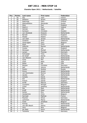#### **Chandra Open 2011 / Netherlands / Satellite**

| Pos.                     | <b>Points</b>           | Last name        | <b>First name</b> | Federation  |
|--------------------------|-------------------------|------------------|-------------------|-------------|
| 1                        | 50                      | Alix             | Yoan              | France      |
| $\overline{2}$           | 40                      | Williams         | <b>Stuart</b>     | England     |
| 3                        | 35                      | Palermaa         | Osku              | Finland     |
| $\overline{\mathcal{L}}$ | $\overline{30}$         | Medveditskov     | Alexander         | Russia      |
| $\overline{5}$           | 25                      | Moor             | Paul              | England     |
| $\overline{6}$           | 24                      | Stott jr.        | Paul              | Ireland     |
| $\overline{7}$           | 23                      | Ishman           | Adam              | <b>USA</b>  |
| 8                        | 22                      | Karlsson         | Christian         | Sweden      |
| $\overline{9}$           | $\overline{21}$         | van Zandwijk     | Dwayne            | Netherlands |
| 10                       | 20                      | <b>Barrett</b>   | Dominic           | England     |
| 11                       | 15                      | Woelki           | Robert            | Germany     |
| 12                       | 15                      | van Geel         | Jeroen            | Netherlands |
| 13                       | 14                      | Cardona          | Alvar             | Catalunia   |
| 14                       | 14                      | Verbruggen       | Gery              | Belgium     |
| $\overline{1}5$          | 13                      | <b>Klerk</b>     | Chris             | <b>USA</b>  |
| 16                       | 13                      | <b>Hilferink</b> | Ramon             | Netherlands |
| 17                       | 12                      | Cocker           | Lee               | England     |
| 18                       | 12                      | Stinissen        | Michell           | Netherlands |
| 19                       | 11                      | Larsen           | Thomas            | Denmark     |
| $\overline{20}$          | 11                      | Schroeder        | Timo              | Germany     |
| 21                       | 8                       | de Graaf         | Gerrie            | Netherlands |
| 22                       | $\overline{8}$          | van Weeren       | Jord              | Netherlands |
| 23                       | $\overline{8}$          | Hulst            | Phil              | Netherlands |
| 24                       | 8                       | Clark            | Mark              | <b>USA</b>  |
| 25                       | 8                       | Nolan            | Pat               | <b>USA</b>  |
| 26                       | $\overline{6}$          | Racpan           | Christian         | Germany     |
| 27                       | 6                       | Spil             | Johnny            | Netherlands |
| 28                       | 6                       | Suslov           | Andrey            | Russia      |
| 29                       | 6                       | Grove            | Jeroen            | Netherlands |
| 30                       | $\overline{6}$          | van Dommelen     | Remco             | Netherlands |
| $\overline{31}$          | $\overline{4}$          | <b>Jacobs</b>    | Mark              | Netherlands |
| 32                       | $\overline{\mathbf{4}}$ | Canady           | David             | Germany     |
| 33                       | 4                       | Dol              | Daniel            | Netherlands |
| 34                       | 4                       | French           | Daniel            | England     |
| $\overline{35}$          | 4                       | Arndt            | Marcus            | Germany     |
| 36                       | $\overline{3}$          | Coussens         | Michael           | Belgium     |
| 37                       | $\overline{3}$          | Cirkel           | Geoffrey          | Netherlands |
| 38                       | $\overline{3}$          | Mol              | Roel              | Netherlands |
| 39                       | $\overline{3}$          | Knijff           | Peter             | Netherlands |
| 40                       | $\overline{3}$          | Gorter           | Elco              | Netherlands |
| 41                       | $\overline{2}$          | Vandamme         | Chris             | Belgium     |
| 42                       | $\overline{2}$          | Sarmadi          | Mathias           | France      |
| 43                       | $\overline{2}$          | Pescher          | Oliver            | Germany     |
| 44                       | $\overline{2}$          | Lammers          | Marco             | Netherlands |
| 45                       | $\overline{2}$          | Cools            | Jonathan          | Belgium     |
| 46                       | $\mathbf{1}$            | Koning           | Eric              | Netherlands |
| 47                       | $\mathbf{1}$            | van den Bosch    | Henny             | Netherlands |
| 48                       | $\mathbf{1}$            | Joris            | <b>Nico</b>       | Belgium     |
| 49                       | $\mathbf{1}$            | de Haan          | Kevin             | Netherlands |
| 50                       | $\mathbf{1}$            | Tscharke         | Uwe               | Germany     |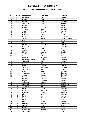#### **9th Columbia 300 Vienna Open / Austria / Gold**

| Pos.                    | <b>Points</b>   | Last name      | <b>First name</b> | Federation      |
|-------------------------|-----------------|----------------|-------------------|-----------------|
| $\mathbf{1}$            | 150             | Palermaa       | Osku              | Finland         |
| $\overline{2}$          | 120             | <b>Barnes</b>  | Chris             | <b>USA</b>      |
| $\overline{\mathbf{3}}$ | 105             | <b>Barrett</b> | Dominic           | England         |
| 4                       | 90              | Wahlgren       | Karl              | Sweden          |
| $\overline{5}$          | 75              | Larsen         | Martin            | Sweden          |
| 6                       | $\overline{72}$ | Olsson         | Matthias          | Sweden          |
| $\overline{7}$          | 69              | Williams       | Stuart            | England         |
| 8                       | 66              | Gross          | Thomas            | Austria         |
| 9                       | 63              | Uotila         | Pasi              | Finland         |
| 10                      | 60              | Hellden        | Johan             | Sweden          |
| 11                      | 45              | Moor           | Paul              | England         |
| 12                      | 45              | Talpa          | Marek             | Czech Republic  |
| 13                      | 42              | Ranta          | Toni              | Finland         |
| 14                      | 42              | Ishman         | Adam              | <b>USA</b>      |
| 15                      | 39              | Larsen         | <b>Thomas</b>     | Denmark         |
| 16                      | 39              | Friedrichs     | Tim               | Germany         |
| 17                      | 36              | <b>Klerk</b>   | Chris             | <b>USA</b>      |
| 18                      | 36              | Jussila        | Perttu            | Finland         |
| 19                      | 33              | Eklund         | Dennis            | Sweden          |
| 20                      | 33              | Günther        | Kai               | Germany         |
| 21                      | 24              | Tonteri        | Juhani            | Finland         |
| 22                      | 24              | <b>Kubalek</b> | Benjamin          | Austria         |
| $\overline{23}$         | 24              | Warming Hansen | Carsten           | Denmark         |
| 24                      | 24              | Andersin       | Erik              | Sweden          |
| 25                      | 24              | Valaranta      | Samu              | Finland         |
| 26                      | 18              | Ussing         | Rasmus            | Denmark         |
| 27                      | 18              | Samain         | Jean Marc         | Belgium         |
| 28                      | 18              | Sadeharju      | Arttu             | Finland         |
| 29                      | 18              | Miller         | <b>Steve</b>      | England         |
| 30                      | 18              | Grabowski      | Achim             | Germany         |
| 31                      | 12              | Cundy          | Darren            | England         |
| 32                      | 12              | Maggi          | Mats              | Belgium         |
| $\overline{33}$         | 12              | Rauscher       | Alexander         | Austria         |
| 34                      | 12              | Unger          | Stephan           | Germany         |
| 35                      | 12              | Jehkinen       | Joonas            | Finland         |
| 36                      | 9               | Ancarani       | Sandro            | Switzerland     |
| 37                      | 9               | Yngström       | Stefan            | Sweden          |
| 38                      | $\overline{9}$  | Börding        | <b>Tobias</b>     | Germany         |
| 39                      | $\overline{9}$  | Gripp          | Andreas           | Germany         |
| 40                      | 9               | Milanov        | Yavor             | <b>Bulgaria</b> |
| 41                      | $\overline{6}$  | <b>Blank</b>   | Uwe               | Germany         |
| 42                      | $\overline{6}$  | Landl          | Rene              | Austria         |
| 43                      | 6               | Ojala          | Kim               | Sweden          |
| 44                      | $\overline{6}$  | Clark          | Mark              | <b>USA</b>      |
| 45                      | 6               | Stiel          | Anton             | Austria         |
| 46                      | $\overline{3}$  | Stinissen      | Michell           | Netherlands     |
| 47                      | $\overline{3}$  | Volpert        | Yossi             | Israel          |
| 48                      | $\overline{3}$  | Kallio         | Jesse             | Finland         |
| 49                      | $\overline{3}$  | Medveditskov   | Alexander         | Russia          |
| 50                      | $\overline{3}$  | Scherlund      | Lasse             | Denmark         |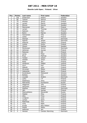#### **Ebonite Lahti Open / Finland / Silver**

| Pos.                    | <b>Points</b>           | Last name      | <b>First name</b> | Federation |
|-------------------------|-------------------------|----------------|-------------------|------------|
| $\mathbf{1}$            | 100                     | Andersson      | Robert            | Sweden     |
| $\overline{2}$          | 80                      | Tiainen        | Samuli            | Finland    |
| 3                       | 70                      | Ahokas         | Jarmo             | Finland    |
| $\overline{\mathbf{4}}$ | 60                      | Larsen         | Martin            | Sweden     |
| $\overline{5}$          | 50                      | Eklund         | Dennis            | Sweden     |
| $\overline{6}$          | 48                      | Mannonen       | Petri             | Finland    |
| $\overline{7}$          | 46                      | Larsen         | Thomas            | Denmark    |
| 8                       | 44                      | Salonen        | Petri             | Finland    |
| $\overline{9}$          | 42                      | <b>Bohm</b>    | Patrick           | Sweden     |
| 10                      | 40                      | Holmström      | Ville             | Finland    |
| 11                      | 30                      | Uotila         | Pasi              | Finland    |
| 12                      | 30                      | Stampe         | Mik               | Denmark    |
| 13                      | 28                      | Agerbo         | Jesper            | Denmark    |
| 14                      | 28                      | Asplund        | Teemu             | Finland    |
| 15                      | 26                      | Jussila        | Perttu            | Finland    |
| 16                      | 26                      | Olsson         | Mattias           | Sweden     |
| 17                      | 24                      | Mortensen      | Jimmy             | Denmark    |
| 18                      | 24                      | Jehkinen       | Joonas            | Finland    |
| 19                      | 22                      | Pakonen        | Olli              | Finland    |
| 20                      | 22                      | Ljung          | Peter             | Sweden     |
| 21                      | 16                      | Årup           | Mathias           | Sweden     |
| 22                      | 16                      | Tonteri        | Juhani            | Finland    |
| 23                      | 16                      | Helldén        | Johan             | Sweden     |
| 24                      | 16                      | Ratia          | Jari              | Finland    |
| 25                      | 16                      | Harðarson      | Hafþór            | Iceland    |
| 26                      | 12                      | Hurri          | Kari              | Finland    |
| 27                      | 12                      | Mäkelä         | Juho              | Finland    |
| 28                      | 12                      | Hirvonen       | Mikko             | Finland    |
| 29                      | 12                      | Valaranta      | Samu              | Finland    |
| 30                      | 12                      | Kondratyev     | Oleksandr         | Ukraine    |
| $\overline{31}$         | 8                       | <b>Bolleby</b> | Kim               | Sweden     |
| 32                      | $\overline{8}$          | Lousdal        | Anders            | Denmark    |
| 33                      | $\overline{8}$          | Laiho          | $J-P$             | Finland    |
| 34                      | 8                       | Sadeharju      | Arttu             | Finland    |
| $\overline{35}$         | $\overline{8}$          | Matvienko      | Konstantin        | Russia     |
| 36                      | 6                       | Häggman        | Ville             | Finland    |
| 37                      | 6                       | Heinonen       | Markus            | Finland    |
| 38                      | 6                       | Walther        | Kasper            | Denmark    |
| 39                      | 6                       | Jähi           | Joonas            | Finland    |
| 40                      | 6                       | Medveditskov   | Alexander         | Russia     |
| 41                      | 4                       | Määttä         | Mika              | Finland    |
| 42                      | $\overline{4}$          | Alho           | Timo              | Finland    |
| 43                      | $\overline{\mathbf{4}}$ | Lindgren       | Jussi             | Finland    |
| 44                      | 4                       | Lampo          | Sami              | Finland    |
| 45                      | $\overline{\mathbf{4}}$ | Palermaa       | Toni              | Finland    |
| 46                      | $\overline{2}$          | Virta          | Matti             | Finland    |
| 47                      | $\overline{2}$          | Kivelä         | Riku-Petteri      | Finland    |
| 48                      | $\overline{2}$          | Pietilä        | Mikko             | Finland    |
| 49                      | $\overline{2}$          | Aaltonen       | Jari              | Finland    |
| 50                      | $\overline{2}$          | Hansen         | Carsten Warming   | Denmark    |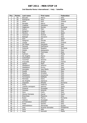#### **2nd Ebonite Roma International / Italy / Satellite**

| Pos.            | <b>Points</b>            | Last name         | <b>First name</b> | Federation   |
|-----------------|--------------------------|-------------------|-------------------|--------------|
| $\mathbf{1}$    | 50                       | <b>Boccato</b>    | Marco             | Italy        |
| $\overline{2}$  | 40                       | Rodriguez         | Paco              | Spain        |
| $\overline{3}$  | 35                       | Stott             | Paul              | Ireland      |
| 4               | 30                       | Reviglio          | Marco             | Italy        |
| $\overline{5}$  | 25                       | Coppola           | Gianpiero         | Italy        |
| 6               | 24                       | Gagenoiu          | Romeo             | Romania      |
| $\overline{7}$  | 23                       | Keituri           | Petri             | Finland      |
| 8               | 22                       | Biolghini         | Diego             | Italy        |
| 9               | 21                       | Moreno            | Javier            | Spain        |
| 10              | 20                       | Canevari          | Andrea            | Italy        |
| 11              | 15                       | Battagli          | Giovanni          | Italy        |
| 12              | 15                       | Acin              | Ion               | Spain        |
| 13              | 14                       | Spagnoli          | Davide            | Italy        |
| 14              | 14                       | Jussila           | Perttu            | Finland      |
| 15              | 13                       | De Filippi        | Pierpaolo         | Italy        |
| 16              | 13                       | Fanizza           | Pierfranco        | Italy        |
| 17              | 12                       | Dobondi           | Bogdani           | Romania      |
| 18              | 12                       | Silletti          | Alessandro        | Italy        |
| 19              | 11                       | Radi              | Tommaso           | Italy        |
| 20              | $11\,$                   | Sullivan          | Neil              | Malta        |
| 21              | 8                        | De Angelis        | Marco             | Italy        |
| 22              | $\overline{8}$           | Colombani         | Piero             | Italy        |
| $\overline{23}$ | $\overline{8}$           | Tuccimei          | Saverio           | Italy        |
| 24              | $\overline{8}$           | Frouvelle         | Serge             | France       |
| 25              | $\overline{8}$           | Spiteri           | Mark              | <b>Italy</b> |
| 26              | $\overline{6}$           | Maddaloni         | Antonio           | Italy        |
| 27              | 6                        | Maddaloni         | Enrico            | Italy        |
| 28              | 6                        | Gonzalez          | Jose María        | Spain        |
| 29              | 6                        | Gualdi            | Andrea            | Italy        |
| 30              | $\overline{6}$           | Spada             | Amedeo            | Italy        |
| 31              | $\overline{\mathcal{L}}$ | Maddaloni         | Domenico          | Italy        |
| 32              | 4                        | Formisano         | Raffaele          | Italy        |
| $\overline{33}$ | $\overline{4}$           | Pennese           | Dario             | Italy        |
| 34              | 4                        | De Angelis        | Gianluca          | Italy        |
| 35              | $\overline{\mathcal{L}}$ | Gogoasa           | Mihaita           | Romania      |
| 36              | $\overline{3}$           | Rossi             | Federico          | Italy        |
| 37              | $\overline{3}$           | Castillo Leongson | Sammy             | Spain        |
| 38              | $\overline{3}$           | Sciascia          | Giuseppe          | Italy        |
| 39              | $\overline{3}$           | Caivano           | Antonio           | Italy        |
| 40              | $\overline{3}$           | Ieva              | Carlo             | Italy        |
| 41              | $\overline{2}$           | Alonso Farraces   | Daniel            | Spain        |
| 42              | $\overline{2}$           | <b>Branchesi</b>  | Massimo           | Italy        |
| 43              | $\overline{2}$           | <b>Bulan</b>      | Marius            | Romania      |
| 44              | $\overline{2}$           | Tedone            | Giuseppe          | Italy        |
| 45              | $\overline{2}$           | Di Francesco      | Antonio           | Italy        |
| 46              | $\mathbf{1}$             | Prato             | Sandro            | Italy        |
| 47              | $\mathbf{1}$             | Medveditskov      | Alexander         | Russia       |
| 48              | $\mathbf{1}$             | Diaz              | Ricardo Gonzales  | Philippines  |
| 49              | $\mathbf{1}$             | Iorio             | Aldo              | Italy        |
| 50              | $\mathbf{1}$             | Arpa              | Kenneth           | Malta        |